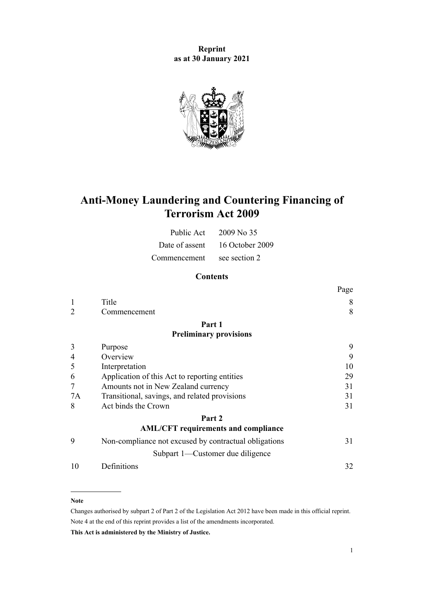**Reprint as at 30 January 2021**



# **Anti-Money Laundering and Countering Financing of Terrorism Act 2009**

| Public Act     | $2009$ No 35    |
|----------------|-----------------|
| Date of assent | 16 October 2009 |
| Commencement   | see section 2   |

# **Contents**

|    |                                                       | Page |
|----|-------------------------------------------------------|------|
|    | Title                                                 | 8    |
| 2  | Commencement                                          | 8    |
|    | Part 1                                                |      |
|    | <b>Preliminary provisions</b>                         |      |
| 3  | Purpose                                               | 9    |
| 4  | Overview                                              | 9    |
| 5  | Interpretation                                        | 10   |
| 6  | Application of this Act to reporting entities         | 29   |
| 7  | Amounts not in New Zealand currency                   | 31   |
| 7A | Transitional, savings, and related provisions         | 31   |
| 8  | Act binds the Crown                                   | 31   |
|    | Part 2                                                |      |
|    | <b>AML/CFT</b> requirements and compliance            |      |
| 9  | Non-compliance not excused by contractual obligations | 31   |
|    | Subpart 1-Customer due diligence                      |      |
| 10 | Definitions                                           | 32   |
|    |                                                       |      |

#### **Note**

Changes authorised by [subpart 2](http://legislation.govt.nz/pdflink.aspx?id=DLM2998524) of Part 2 of the Legislation Act 2012 have been made in this official reprint. Note 4 at the end of this reprint provides a list of the amendments incorporated.

**This Act is administered by the Ministry of Justice.**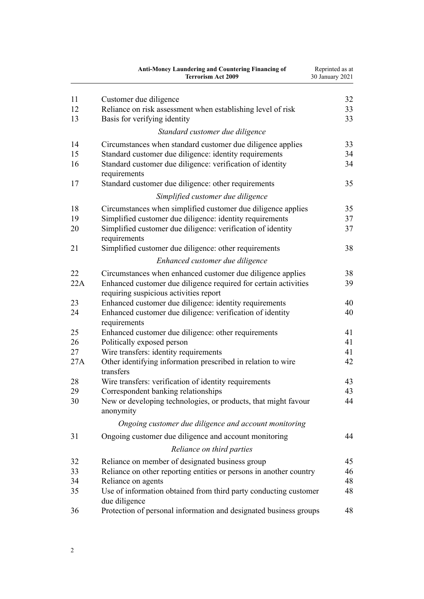|     | <b>Anti-Money Laundering and Countering Financing of</b><br><b>Terrorism Act 2009</b>                     | Reprinted as at<br>30 January 2021 |
|-----|-----------------------------------------------------------------------------------------------------------|------------------------------------|
| 11  | Customer due diligence                                                                                    | 32                                 |
| 12  | Reliance on risk assessment when establishing level of risk                                               | 33                                 |
| 13  | Basis for verifying identity                                                                              | 33                                 |
|     | Standard customer due diligence                                                                           |                                    |
| 14  | Circumstances when standard customer due diligence applies                                                | 33                                 |
| 15  | Standard customer due diligence: identity requirements                                                    | 34                                 |
| 16  | Standard customer due diligence: verification of identity<br>requirements                                 | 34                                 |
| 17  | Standard customer due diligence: other requirements                                                       | 35                                 |
|     | Simplified customer due diligence                                                                         |                                    |
| 18  | Circumstances when simplified customer due diligence applies                                              | 35                                 |
| 19  | Simplified customer due diligence: identity requirements                                                  | 37                                 |
| 20  | Simplified customer due diligence: verification of identity<br>requirements                               | 37                                 |
| 21  | Simplified customer due diligence: other requirements                                                     | 38                                 |
|     | Enhanced customer due diligence                                                                           |                                    |
| 22  | Circumstances when enhanced customer due diligence applies                                                | 38                                 |
| 22A | Enhanced customer due diligence required for certain activities<br>requiring suspicious activities report | 39                                 |
| 23  | Enhanced customer due diligence: identity requirements                                                    | 40                                 |
| 24  | Enhanced customer due diligence: verification of identity<br>requirements                                 | 40                                 |
| 25  | Enhanced customer due diligence: other requirements                                                       | 41                                 |
| 26  | Politically exposed person                                                                                | 41                                 |
| 27  | Wire transfers: identity requirements                                                                     | 41                                 |
| 27A | Other identifying information prescribed in relation to wire<br>transfers                                 | 42                                 |
| 28  | Wire transfers: verification of identity requirements                                                     | 43                                 |
| 29  | Correspondent banking relationships                                                                       | 43                                 |
| 30  | New or developing technologies, or products, that might favour<br>anonymity                               | 44                                 |
|     | Ongoing customer due diligence and account monitoring                                                     |                                    |
| 31  | Ongoing customer due diligence and account monitoring                                                     | 44                                 |
|     | Reliance on third parties                                                                                 |                                    |
| 32  | Reliance on member of designated business group                                                           | 45                                 |
| 33  | Reliance on other reporting entities or persons in another country                                        | 46                                 |
| 34  | Reliance on agents                                                                                        | 48                                 |
| 35  | Use of information obtained from third party conducting customer<br>due diligence                         | 48                                 |
| 36  | Protection of personal information and designated business groups                                         | 48                                 |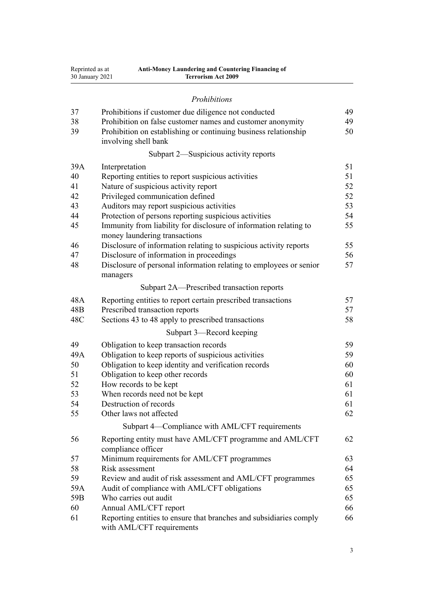| Reprinted as at | <b>Anti-Money Laundering and Countering Financing of</b> |
|-----------------|----------------------------------------------------------|
| 30 January 2021 | <b>Terrorism Act 2009</b>                                |

## *[Prohibitions](#page-48-0)*

| 37              | Prohibitions if customer due diligence not conducted                                               | 49 |  |
|-----------------|----------------------------------------------------------------------------------------------------|----|--|
| 38              | Prohibition on false customer names and customer anonymity                                         |    |  |
| 39              | Prohibition on establishing or continuing business relationship<br>involving shell bank            | 50 |  |
|                 | Subpart 2—Suspicious activity reports                                                              |    |  |
| 39A             | Interpretation                                                                                     | 51 |  |
| 40              | Reporting entities to report suspicious activities                                                 | 51 |  |
| 41              | Nature of suspicious activity report                                                               | 52 |  |
| 42              | Privileged communication defined                                                                   | 52 |  |
| 43              | Auditors may report suspicious activities                                                          | 53 |  |
| 44              | Protection of persons reporting suspicious activities                                              | 54 |  |
| 45              | Immunity from liability for disclosure of information relating to<br>money laundering transactions | 55 |  |
| 46              | Disclosure of information relating to suspicious activity reports                                  | 55 |  |
| 47              | Disclosure of information in proceedings                                                           | 56 |  |
| 48              | Disclosure of personal information relating to employees or senior<br>managers                     | 57 |  |
|                 | Subpart 2A—Prescribed transaction reports                                                          |    |  |
| 48A             | Reporting entities to report certain prescribed transactions                                       | 57 |  |
| 48 <sub>B</sub> | Prescribed transaction reports                                                                     | 57 |  |
| 48C             | Sections 43 to 48 apply to prescribed transactions                                                 | 58 |  |
|                 | Subpart 3-Record keeping                                                                           |    |  |
| 49              | Obligation to keep transaction records                                                             | 59 |  |
| 49A             | Obligation to keep reports of suspicious activities                                                | 59 |  |
| 50              | Obligation to keep identity and verification records                                               | 60 |  |
| 51              | Obligation to keep other records                                                                   | 60 |  |
| 52              | How records to be kept                                                                             | 61 |  |
| 53              | When records need not be kept                                                                      | 61 |  |
| 54              | Destruction of records                                                                             | 61 |  |
| 55              | Other laws not affected                                                                            | 62 |  |
|                 | Subpart 4-Compliance with AML/CFT requirements                                                     |    |  |
| 56              | Reporting entity must have AML/CFT programme and AML/CFT<br>compliance officer                     | 62 |  |
| 57              | Minimum requirements for AML/CFT programmes                                                        | 63 |  |
| 58              | Risk assessment                                                                                    | 64 |  |
| 59              | Review and audit of risk assessment and AML/CFT programmes                                         | 65 |  |
| 59A             | Audit of compliance with AML/CFT obligations                                                       | 65 |  |
| 59B             | Who carries out audit                                                                              | 65 |  |
| 60              | Annual AML/CFT report                                                                              | 66 |  |
| 61              | Reporting entities to ensure that branches and subsidiaries comply                                 | 66 |  |
|                 | with AML/CFT requirements                                                                          |    |  |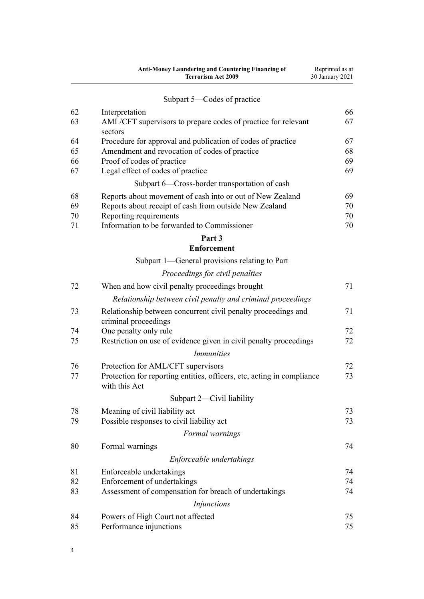|    | <b>Anti-Money Laundering and Countering Financing of</b><br><b>Terrorism Act 2009</b>   | Reprinted as at<br>30 January 2021 |
|----|-----------------------------------------------------------------------------------------|------------------------------------|
|    | Subpart 5—Codes of practice                                                             |                                    |
| 62 | Interpretation                                                                          | 66                                 |
| 63 | AML/CFT supervisors to prepare codes of practice for relevant<br>sectors                | 67                                 |
| 64 | Procedure for approval and publication of codes of practice                             | 67                                 |
| 65 | Amendment and revocation of codes of practice                                           | 68                                 |
| 66 | Proof of codes of practice                                                              | 69                                 |
| 67 | Legal effect of codes of practice                                                       | 69                                 |
|    | Subpart 6-Cross-border transportation of cash                                           |                                    |
| 68 | Reports about movement of cash into or out of New Zealand                               | 69                                 |
| 69 | Reports about receipt of cash from outside New Zealand                                  | 70                                 |
| 70 | Reporting requirements                                                                  | 70                                 |
| 71 | Information to be forwarded to Commissioner                                             | 70                                 |
|    | Part 3                                                                                  |                                    |
|    | <b>Enforcement</b>                                                                      |                                    |
|    | Subpart 1-General provisions relating to Part                                           |                                    |
|    | Proceedings for civil penalties                                                         |                                    |
| 72 | When and how civil penalty proceedings brought                                          | 71                                 |
|    | Relationship between civil penalty and criminal proceedings                             |                                    |
| 73 | Relationship between concurrent civil penalty proceedings and<br>criminal proceedings   | 71                                 |
| 74 | One penalty only rule                                                                   | 72                                 |
| 75 | Restriction on use of evidence given in civil penalty proceedings                       | 72                                 |
|    | <i>Immunities</i>                                                                       |                                    |
| 76 | Protection for AML/CFT supervisors                                                      | 72                                 |
| 77 | Protection for reporting entities, officers, etc, acting in compliance<br>with this Act | 73                                 |
|    | Subpart 2—Civil liability                                                               |                                    |
| 78 | Meaning of civil liability act                                                          | 73                                 |
| 79 | Possible responses to civil liability act                                               | 73                                 |
|    | Formal warnings                                                                         |                                    |
| 80 | Formal warnings                                                                         | 74                                 |
|    | Enforceable undertakings                                                                |                                    |
| 81 | Enforceable undertakings                                                                | 74                                 |
| 82 | Enforcement of undertakings                                                             | 74                                 |
| 83 | Assessment of compensation for breach of undertakings                                   | 74                                 |
|    | Injunctions                                                                             |                                    |
| 84 | Powers of High Court not affected                                                       | 75                                 |
| 85 | Performance injunctions                                                                 | 75                                 |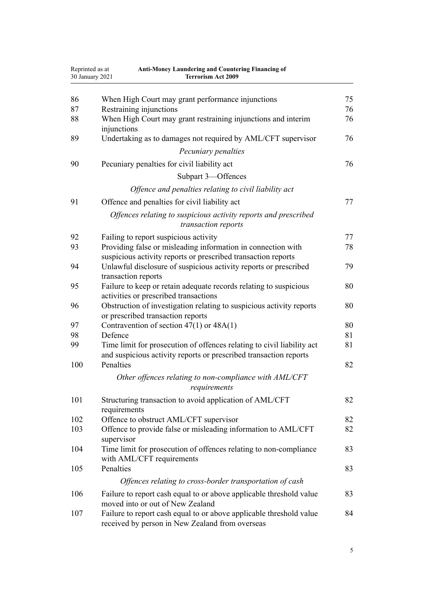| Reprinted as at<br>30 January 2021 | Anti-Money Laundering and Countering Financing of<br><b>Terrorism Act 2009</b>                                                              |    |
|------------------------------------|---------------------------------------------------------------------------------------------------------------------------------------------|----|
| 86                                 | When High Court may grant performance injunctions                                                                                           | 75 |
| 87                                 | Restraining injunctions                                                                                                                     | 76 |
| 88                                 | When High Court may grant restraining injunctions and interim                                                                               | 76 |
|                                    | injunctions                                                                                                                                 |    |
| 89                                 | Undertaking as to damages not required by AML/CFT supervisor                                                                                | 76 |
|                                    | Pecuniary penalties                                                                                                                         |    |
| 90                                 | Pecuniary penalties for civil liability act                                                                                                 | 76 |
|                                    | Subpart 3-Offences                                                                                                                          |    |
|                                    | Offence and penalties relating to civil liability act                                                                                       |    |
| 91                                 | Offence and penalties for civil liability act                                                                                               | 77 |
|                                    | Offences relating to suspicious activity reports and prescribed<br>transaction reports                                                      |    |
| 92                                 | Failing to report suspicious activity                                                                                                       | 77 |
| 93                                 | Providing false or misleading information in connection with                                                                                | 78 |
|                                    | suspicious activity reports or prescribed transaction reports                                                                               |    |
| 94                                 | Unlawful disclosure of suspicious activity reports or prescribed<br>transaction reports                                                     | 79 |
| 95                                 | Failure to keep or retain adequate records relating to suspicious                                                                           | 80 |
|                                    | activities or prescribed transactions                                                                                                       |    |
| 96                                 | Obstruction of investigation relating to suspicious activity reports                                                                        | 80 |
|                                    | or prescribed transaction reports                                                                                                           |    |
| 97                                 | Contravention of section $47(1)$ or $48A(1)$                                                                                                | 80 |
| 98                                 | Defence                                                                                                                                     | 81 |
| 99                                 | Time limit for prosecution of offences relating to civil liability act<br>and suspicious activity reports or prescribed transaction reports | 81 |
| 100                                | Penalties                                                                                                                                   | 82 |
|                                    | Other offences relating to non-compliance with AML/CFT<br>requirements                                                                      |    |
| 101                                | Structuring transaction to avoid application of AML/CFT<br>requirements                                                                     | 82 |
| 102                                | Offence to obstruct AML/CFT supervisor                                                                                                      | 82 |
| 103                                | Offence to provide false or misleading information to AML/CFT<br>supervisor                                                                 | 82 |
| 104                                | Time limit for prosecution of offences relating to non-compliance<br>with AML/CFT requirements                                              | 83 |
| 105                                | Penalties                                                                                                                                   | 83 |
|                                    | Offences relating to cross-border transportation of cash                                                                                    |    |
| 106                                | Failure to report cash equal to or above applicable threshold value<br>moved into or out of New Zealand                                     | 83 |
| 107                                | Failure to report cash equal to or above applicable threshold value<br>received by person in New Zealand from overseas                      | 84 |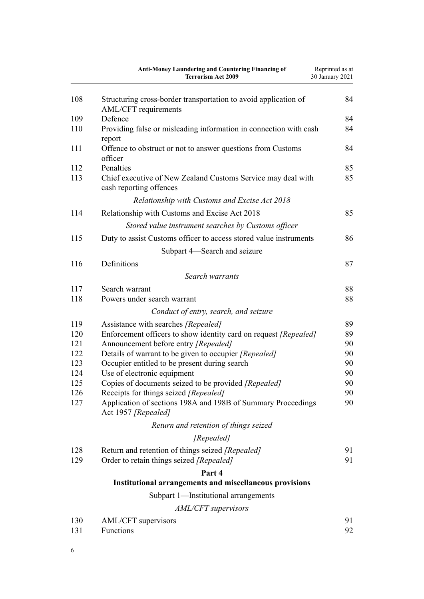|     | Anti-Money Laundering and Countering Financing of<br><b>Terrorism Act 2009</b>          | Reprinted as at<br>30 January 2021 |
|-----|-----------------------------------------------------------------------------------------|------------------------------------|
| 108 | Structuring cross-border transportation to avoid application of<br>AML/CFT requirements | 84                                 |
| 109 | Defence                                                                                 | 84                                 |
| 110 | Providing false or misleading information in connection with cash<br>report             | 84                                 |
| 111 | Offence to obstruct or not to answer questions from Customs<br>officer                  | 84                                 |
| 112 | Penalties                                                                               | 85                                 |
| 113 | Chief executive of New Zealand Customs Service may deal with<br>cash reporting offences | 85                                 |
|     | Relationship with Customs and Excise Act 2018                                           |                                    |
| 114 | Relationship with Customs and Excise Act 2018                                           | 85                                 |
|     | Stored value instrument searches by Customs officer                                     |                                    |
| 115 | Duty to assist Customs officer to access stored value instruments                       | 86                                 |
|     | Subpart 4—Search and seizure                                                            |                                    |
| 116 | Definitions                                                                             | 87                                 |
|     | Search warrants                                                                         |                                    |
| 117 | Search warrant                                                                          | 88                                 |
| 118 | Powers under search warrant                                                             | 88                                 |
|     | Conduct of entry, search, and seizure                                                   |                                    |
| 119 | Assistance with searches [Repealed]                                                     | 89                                 |
| 120 | Enforcement officers to show identity card on request [Repealed]                        | 89                                 |
| 121 | Announcement before entry [Repealed]                                                    | 90                                 |
| 122 | Details of warrant to be given to occupier [Repealed]                                   | 90                                 |
| 123 | Occupier entitled to be present during search                                           | 90                                 |
| 124 | Use of electronic equipment                                                             | 90                                 |
| 125 | Copies of documents seized to be provided [Repealed]                                    | 90                                 |
| 126 | Receipts for things seized [Repealed]                                                   | 90                                 |
| 127 | Application of sections 198A and 198B of Summary Proceedings<br>Act 1957 [Repealed]     | 90                                 |
|     | Return and retention of things seized                                                   |                                    |
|     | [Repealed]                                                                              |                                    |
| 128 | Return and retention of things seized [Repealed]                                        | 91                                 |
| 129 | Order to retain things seized [Repealed]                                                | 91                                 |
|     | Part 4                                                                                  |                                    |
|     | <b>Institutional arrangements and miscellaneous provisions</b>                          |                                    |
|     | Subpart 1—Institutional arrangements                                                    |                                    |
|     | AML/CFT supervisors                                                                     |                                    |
| 130 | AML/CFT supervisors                                                                     | 91                                 |
| 131 | Functions                                                                               | 92                                 |

6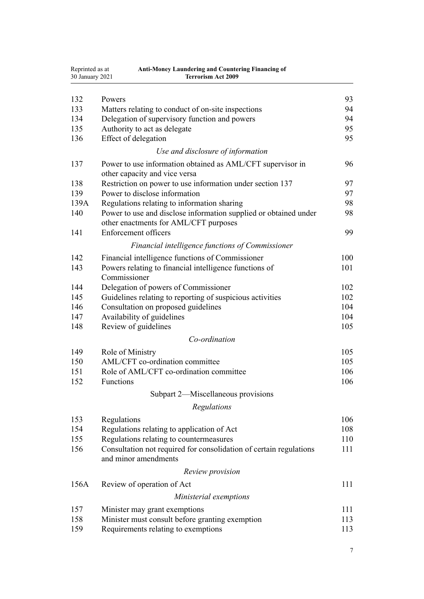| Reprinted as at<br>30 January 2021 | <b>Anti-Money Laundering and Countering Financing of</b><br><b>Terrorism Act 2009</b> |     |
|------------------------------------|---------------------------------------------------------------------------------------|-----|
|                                    |                                                                                       |     |
| 132                                | Powers                                                                                | 93  |
| 133                                | Matters relating to conduct of on-site inspections                                    | 94  |
| 134                                | Delegation of supervisory function and powers                                         | 94  |
| 135                                | Authority to act as delegate                                                          | 95  |
| 136                                | Effect of delegation                                                                  | 95  |
|                                    | Use and disclosure of information                                                     |     |
| 137                                | Power to use information obtained as AML/CFT supervisor in                            | 96  |
|                                    | other capacity and vice versa                                                         |     |
| 138                                | Restriction on power to use information under section 137                             | 97  |
| 139                                | Power to disclose information                                                         | 97  |
| 139A                               | Regulations relating to information sharing                                           | 98  |
| 140                                | Power to use and disclose information supplied or obtained under                      | 98  |
|                                    | other enactments for AML/CFT purposes                                                 |     |
| 141                                | <b>Enforcement officers</b>                                                           | 99  |
|                                    | Financial intelligence functions of Commissioner                                      |     |
| 142                                | Financial intelligence functions of Commissioner                                      | 100 |
| 143                                | Powers relating to financial intelligence functions of                                | 101 |
|                                    | Commissioner                                                                          |     |
| 144                                | Delegation of powers of Commissioner                                                  | 102 |
| 145                                | Guidelines relating to reporting of suspicious activities                             | 102 |
| 146                                | Consultation on proposed guidelines                                                   | 104 |
| 147                                | Availability of guidelines                                                            | 104 |
| 148                                | Review of guidelines                                                                  | 105 |
|                                    | Co-ordination                                                                         |     |
| 149                                | Role of Ministry                                                                      | 105 |
| 150                                | AML/CFT co-ordination committee                                                       | 105 |
| 151                                | Role of AML/CFT co-ordination committee                                               | 106 |
| 152                                | Functions                                                                             | 106 |
|                                    | Subpart 2—Miscellaneous provisions                                                    |     |
|                                    |                                                                                       |     |
|                                    | Regulations                                                                           |     |
| 153                                | Regulations                                                                           | 106 |
| 154                                | Regulations relating to application of Act                                            | 108 |
| 155                                | Regulations relating to countermeasures                                               | 110 |
| 156                                | Consultation not required for consolidation of certain regulations                    | 111 |
|                                    | and minor amendments                                                                  |     |
|                                    | Review provision                                                                      |     |
| 156A                               | Review of operation of Act                                                            | 111 |
|                                    | Ministerial exemptions                                                                |     |
| 157                                | Minister may grant exemptions                                                         | 111 |
| 158                                | Minister must consult before granting exemption                                       | 113 |
| 159                                | Requirements relating to exemptions                                                   | 113 |
|                                    |                                                                                       |     |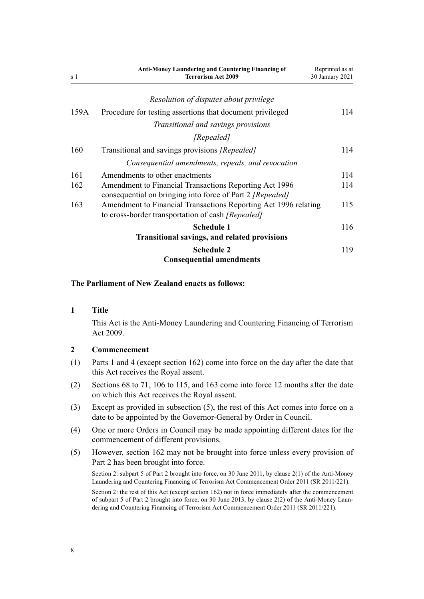<span id="page-7-0"></span>

| s 1  | <b>Anti-Money Laundering and Countering Financing of</b><br><b>Terrorism Act 2009</b>                                       | Reprinted as at<br>30 January 2021 |
|------|-----------------------------------------------------------------------------------------------------------------------------|------------------------------------|
|      | Resolution of disputes about privilege                                                                                      |                                    |
| 159A | Procedure for testing assertions that document privileged                                                                   | 114                                |
|      | Transitional and savings provisions                                                                                         |                                    |
|      | [Repealed]                                                                                                                  |                                    |
| 160  | Transitional and savings provisions [Repealed]                                                                              | 114                                |
|      | Consequential amendments, repeals, and revocation                                                                           |                                    |
| 161  | Amendments to other enactments                                                                                              | 114                                |
| 162  | Amendment to Financial Transactions Reporting Act 1996<br>consequential on bringing into force of Part 2 [Repealed]         | 114                                |
| 163  | Amendment to Financial Transactions Reporting Act 1996 relating<br>to cross-border transportation of cash <i>[Repealed]</i> | 115                                |
|      | <b>Schedule 1</b>                                                                                                           | 116                                |
|      | <b>Transitional savings, and related provisions</b>                                                                         |                                    |
|      | <b>Schedule 2</b><br><b>Consequential amendments</b>                                                                        | 119                                |

#### **The Parliament of New Zealand enacts as follows:**

#### **1 Title**

This Act is the Anti-Money Laundering and Countering Financing of Terrorism Act 2009.

#### **2 Commencement**

- (1) [Parts 1](#page-8-0) and [4](#page-90-0) (except [section 162](#page-113-0)) come into force on the day after the date that this Act receives the Royal assent.
- (2) [Sections 68 to 71,](#page-68-0) [106 to 115,](#page-82-0) and [163](#page-114-0) come into force 12 months after the date on which this Act receives the Royal assent.
- (3) Except as provided in subsection (5), the rest of this Act comes into force on a date to be appointed by the Governor-General by Order in Council.
- (4) One or more Orders in Council may be made appointing different dates for the commencement of different provisions.
- (5) However, [section 162](#page-113-0) may not be brought into force unless every provision of [Part 2](#page-30-0) has been brought into force.

Section 2: subpart 5 of Part 2 brought into force, on 30 June 2011, by [clause 2\(1\)](http://legislation.govt.nz/pdflink.aspx?id=DLM3831005) of the Anti-Money Laundering and Countering Financing of Terrorism Act Commencement Order 2011 (SR 2011/221).

Section 2: the rest of this Act (except section 162) not in force immediately after the commencement of subpart 5 of Part 2 brought into force, on 30 June 2013, by [clause 2\(2\)](http://legislation.govt.nz/pdflink.aspx?id=DLM3831005) of the Anti-Money Laundering and Countering Financing of Terrorism Act Commencement Order 2011 (SR 2011/221).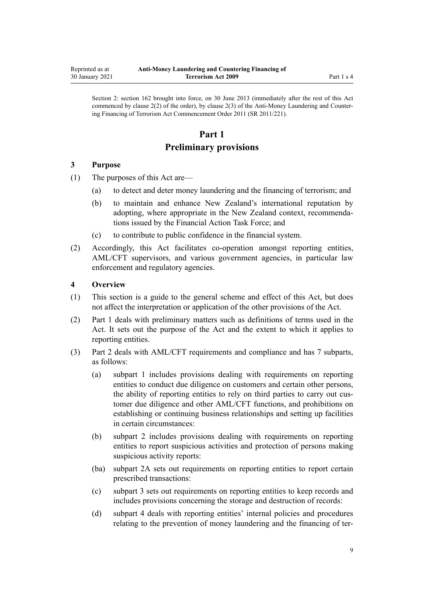<span id="page-8-0"></span>Section 2: section 162 brought into force, on 30 June 2013 (immediately after the rest of this Act commenced by clause 2(2) of the order), by [clause 2\(3\)](http://legislation.govt.nz/pdflink.aspx?id=DLM3831005) of the Anti-Money Laundering and Countering Financing of Terrorism Act Commencement Order 2011 (SR 2011/221).

# **Part 1**

# **Preliminary provisions**

## **3 Purpose**

- (1) The purposes of this Act are—
	- (a) to detect and deter money laundering and the financing of terrorism; and
	- (b) to maintain and enhance New Zealand's international reputation by adopting, where appropriate in the New Zealand context, recommendations issued by the Financial Action Task Force; and
	- (c) to contribute to public confidence in the financial system.
- (2) Accordingly, this Act facilitates co-operation amongst reporting entities, AML/CFT supervisors, and various government agencies, in particular law enforcement and regulatory agencies.

## **4 Overview**

- (1) This section is a guide to the general scheme and effect of this Act, but does not affect the interpretation or application of the other provisions of the Act.
- (2) Part 1 deals with preliminary matters such as definitions of terms used in the Act. It sets out the purpose of the Act and the extent to which it applies to reporting entities.
- (3) [Part 2](#page-30-0) deals with AML/CFT requirements and compliance and has 7 subparts, as follows:
	- (a) [subpart 1](#page-31-0) includes provisions dealing with requirements on reporting entities to conduct due diligence on customers and certain other persons, the ability of reporting entities to rely on third parties to carry out customer due diligence and other AML/CFT functions, and prohibitions on establishing or continuing business relationships and setting up facilities in certain circumstances:
	- (b) [subpart 2](#page-50-0) includes provisions dealing with requirements on reporting entities to report suspicious activities and protection of persons making suspicious activity reports:
	- (ba) [subpart 2A](#page-56-0) sets out requirements on reporting entities to report certain prescribed transactions:
	- (c) [subpart 3](#page-58-0) sets out requirements on reporting entities to keep records and includes provisions concerning the storage and destruction of records:
	- (d) [subpart 4](#page-61-0) deals with reporting entities' internal policies and procedures relating to the prevention of money laundering and the financing of ter-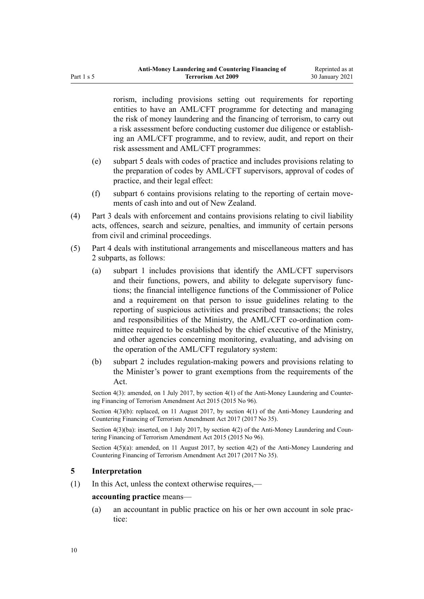<span id="page-9-0"></span>rorism, including provisions setting out requirements for reporting entities to have an AML/CFT programme for detecting and managing the risk of money laundering and the financing of terrorism, to carry out a risk assessment before conducting customer due diligence or establishing an AML/CFT programme, and to review, audit, and report on their risk assessment and AML/CFT programmes:

- (e) [subpart 5](#page-65-0) deals with codes of practice and includes provisions relating to the preparation of codes by AML/CFT supervisors, approval of codes of practice, and their legal effect:
- (f) [subpart 6](#page-68-0) contains provisions relating to the reporting of certain movements of cash into and out of New Zealand.
- (4) [Part 3](#page-70-0) deals with enforcement and contains provisions relating to civil liability acts, offences, search and seizure, penalties, and immunity of certain persons from civil and criminal proceedings.
- (5) [Part 4](#page-90-0) deals with institutional arrangements and miscellaneous matters and has 2 subparts, as follows:
	- (a) [subpart 1](#page-90-0) includes provisions that identify the AML/CFT supervisors and their functions, powers, and ability to delegate supervisory functions; the financial intelligence functions of the Commissioner of Police and a requirement on that person to issue guidelines relating to the reporting of suspicious activities and prescribed transactions; the roles and responsibilities of the Ministry, the AML/CFT co-ordination committee required to be established by the chief executive of the Ministry, and other agencies concerning monitoring, evaluating, and advising on the operation of the AML/CFT regulatory system:
	- (b) [subpart 2](#page-105-0) includes regulation-making powers and provisions relating to the Minister's power to grant exemptions from the requirements of the Act.

Section 4(3): amended, on 1 July 2017, by [section 4\(1\)](http://legislation.govt.nz/pdflink.aspx?id=DLM6602208) of the Anti-Money Laundering and Countering Financing of Terrorism Amendment Act 2015 (2015 No 96).

Section  $4(3)(b)$ : replaced, on 11 August 2017, by section  $4(1)$  of the Anti-Money Laundering and Countering Financing of Terrorism Amendment Act 2017 (2017 No 35).

Section 4(3)(ba): inserted, on 1 July 2017, by [section 4\(2\)](http://legislation.govt.nz/pdflink.aspx?id=DLM6602208) of the Anti-Money Laundering and Countering Financing of Terrorism Amendment Act 2015 (2015 No 96).

Section  $4(5)(a)$ : amended, on 11 August 2017, by [section 4\(2\)](http://legislation.govt.nz/pdflink.aspx?id=DLM7161215) of the Anti-Money Laundering and Countering Financing of Terrorism Amendment Act 2017 (2017 No 35).

## **5 Interpretation**

(1) In this Act, unless the context otherwise requires,—

## **accounting practice** means—

(a) an accountant in public practice on his or her own account in sole practice: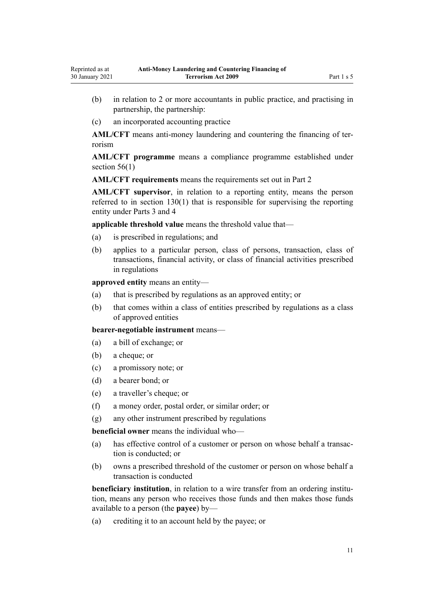- (b) in relation to 2 or more accountants in public practice, and practising in partnership, the partnership:
- (c) an incorporated accounting practice

**AML/CFT** means anti-money laundering and countering the financing of terrorism

**AML/CFT programme** means a compliance programme established under section  $56(1)$ 

**AML/CFT requirements** means the requirements set out in [Part 2](#page-30-0)

**AML/CFT supervisor**, in relation to a reporting entity, means the person referred to in [section 130\(1\)](#page-90-0) that is responsible for supervising the reporting entity under [Parts 3](#page-70-0) and [4](#page-90-0)

**applicable threshold value** means the threshold value that—

- (a) is prescribed in regulations; and
- (b) applies to a particular person, class of persons, transaction, class of transactions, financial activity, or class of financial activities prescribed in regulations

**approved entity** means an entity—

- (a) that is prescribed by regulations as an approved entity; or
- (b) that comes within a class of entities prescribed by regulations as a class of approved entities

**bearer-negotiable instrument** means—

- (a) a bill of exchange; or
- (b) a cheque; or
- (c) a promissory note; or
- (d) a bearer bond; or
- (e) a traveller's cheque; or
- (f) a money order, postal order, or similar order; or
- (g) any other instrument prescribed by regulations

**beneficial owner** means the individual who—

- (a) has effective control of a customer or person on whose behalf a transaction is conducted; or
- (b) owns a prescribed threshold of the customer or person on whose behalf a transaction is conducted

**beneficiary institution**, in relation to a wire transfer from an ordering institution, means any person who receives those funds and then makes those funds available to a person (the **payee**) by—

(a) crediting it to an account held by the payee; or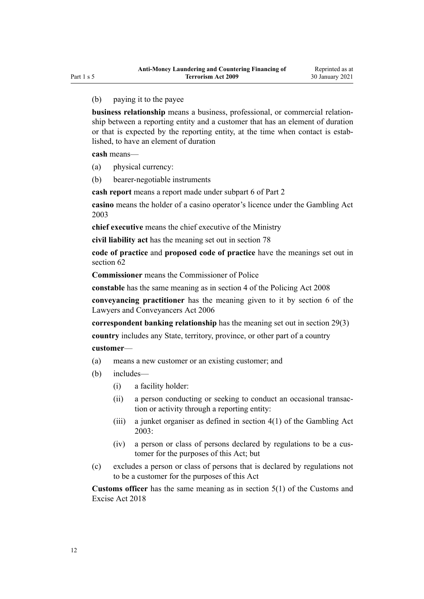## (b) paying it to the payee

**business relationship** means a business, professional, or commercial relationship between a reporting entity and a customer that has an element of duration or that is expected by the reporting entity, at the time when contact is established, to have an element of duration

**cash** means—

- (a) physical currency:
- (b) bearer-negotiable instruments

**cash report** means a report made under [subpart 6](#page-68-0) of Part 2

**casino** means the holder of a casino operator's licence under the [Gambling Act](http://legislation.govt.nz/pdflink.aspx?id=DLM207496) [2003](http://legislation.govt.nz/pdflink.aspx?id=DLM207496)

**chief executive** means the chief executive of the Ministry

**civil liability act** has the meaning set out in [section 78](#page-72-0)

**code of practice** and **proposed code of practice** have the meanings set out in [section 62](#page-65-0)

**Commissioner** means the Commissioner of Police

**constable** has the same meaning as in [section 4](http://legislation.govt.nz/pdflink.aspx?id=DLM1102132) of the Policing Act 2008

**conveyancing practitioner** has the meaning given to it by [section 6](http://legislation.govt.nz/pdflink.aspx?id=DLM364948) of the Lawyers and Conveyancers Act 2006

**correspondent banking relationship** has the meaning set out in [section 29\(3\)](#page-42-0)

**country** includes any State, territory, province, or other part of a country

#### **customer**—

- (a) means a new customer or an existing customer; and
- (b) includes—
	- (i) a facility holder:
	- (ii) a person conducting or seeking to conduct an occasional transaction or activity through a reporting entity:
	- (iii) a junket organiser as defined in [section 4\(1\)](http://legislation.govt.nz/pdflink.aspx?id=DLM207804) of the Gambling Act 2003:
	- (iv) a person or class of persons declared by regulations to be a customer for the purposes of this Act; but
- (c) excludes a person or class of persons that is declared by regulations not to be a customer for the purposes of this Act

**Customs officer** has the same meaning as in [section 5\(1\)](http://legislation.govt.nz/pdflink.aspx?id=DLM7038971) of the Customs and Excise Act 2018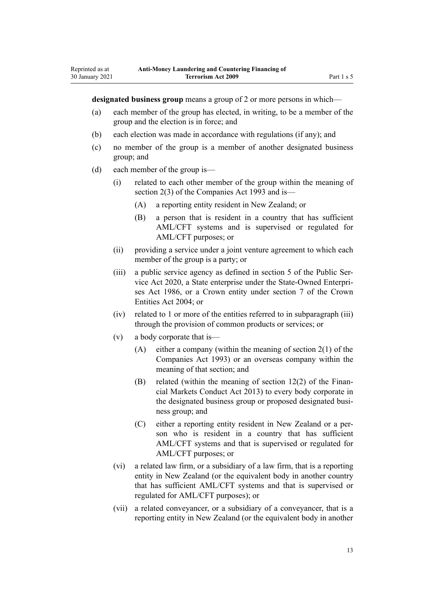**designated business group** means a group of 2 or more persons in which—

- (a) each member of the group has elected, in writing, to be a member of the group and the election is in force; and
- (b) each election was made in accordance with regulations (if any); and
- (c) no member of the group is a member of another designated business group; and
- (d) each member of the group is—

Reprinted as at 30 January 2021

- (i) related to each other member of the group within the meaning of [section 2\(3\)](http://legislation.govt.nz/pdflink.aspx?id=DLM319576) of the Companies Act 1993 and is—
	- (A) a reporting entity resident in New Zealand; or
	- (B) a person that is resident in a country that has sufficient AML/CFT systems and is supervised or regulated for AML/CFT purposes; or
- (ii) providing a service under a joint venture agreement to which each member of the group is a party; or
- (iii) a public service agency as defined in [section 5](http://legislation.govt.nz/pdflink.aspx?id=LMS356868) of the Public Service Act 2020, a State enterprise under the [State-Owned Enterpri](http://legislation.govt.nz/pdflink.aspx?id=DLM97376)[ses Act 1986,](http://legislation.govt.nz/pdflink.aspx?id=DLM97376) or a Crown entity under [section 7](http://legislation.govt.nz/pdflink.aspx?id=DLM329641) of the Crown Entities Act 2004; or
- (iv) related to 1 or more of the entities referred to in subparagraph (iii) through the provision of common products or services; or
- (v) a body corporate that is—
	- (A) either a company (within the meaning of [section 2\(1\)](http://legislation.govt.nz/pdflink.aspx?id=DLM319576) of the Companies Act 1993) or an overseas company within the meaning of that section; and
	- (B) related (within the meaning of [section 12\(2\)](http://legislation.govt.nz/pdflink.aspx?id=DLM4090933) of the Financial Markets Conduct Act 2013) to every body corporate in the designated business group or proposed designated business group; and
	- (C) either a reporting entity resident in New Zealand or a person who is resident in a country that has sufficient AML/CFT systems and that is supervised or regulated for AML/CFT purposes; or
- (vi) a related law firm, or a subsidiary of a law firm, that is a reporting entity in New Zealand (or the equivalent body in another country that has sufficient AML/CFT systems and that is supervised or regulated for AML/CFT purposes); or
- (vii) a related conveyancer, or a subsidiary of a conveyancer, that is a reporting entity in New Zealand (or the equivalent body in another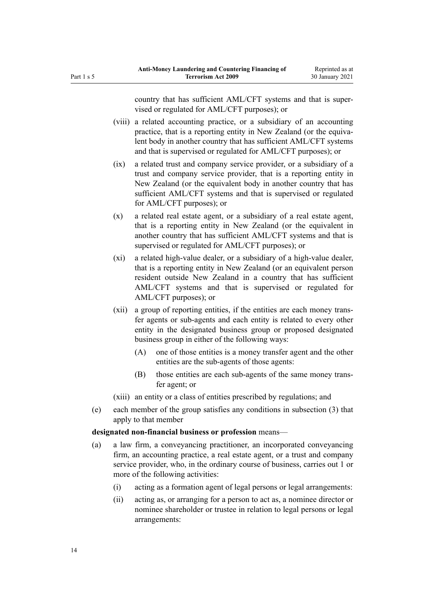country that has sufficient AML/CFT systems and that is supervised or regulated for AML/CFT purposes); or

- (viii) a related accounting practice, or a subsidiary of an accounting practice, that is a reporting entity in New Zealand (or the equivalent body in another country that has sufficient AML/CFT systems and that is supervised or regulated for AML/CFT purposes); or
- (ix) a related trust and company service provider, or a subsidiary of a trust and company service provider, that is a reporting entity in New Zealand (or the equivalent body in another country that has sufficient AML/CFT systems and that is supervised or regulated for AML/CFT purposes); or
- (x) a related real estate agent, or a subsidiary of a real estate agent, that is a reporting entity in New Zealand (or the equivalent in another country that has sufficient AML/CFT systems and that is supervised or regulated for AML/CFT purposes); or
- (xi) a related high-value dealer, or a subsidiary of a high-value dealer, that is a reporting entity in New Zealand (or an equivalent person resident outside New Zealand in a country that has sufficient AML/CFT systems and that is supervised or regulated for AML/CFT purposes); or
- (xii) a group of reporting entities, if the entities are each money transfer agents or sub-agents and each entity is related to every other entity in the designated business group or proposed designated business group in either of the following ways:
	- (A) one of those entities is a money transfer agent and the other entities are the sub-agents of those agents:
	- (B) those entities are each sub-agents of the same money transfer agent; or
- (xiii) an entity or a class of entities prescribed by regulations; and
- (e) each member of the group satisfies any conditions in subsection (3) that apply to that member

## **designated non-financial business or profession** means—

- (a) a law firm, a conveyancing practitioner, an incorporated conveyancing firm, an accounting practice, a real estate agent, or a trust and company service provider, who, in the ordinary course of business, carries out 1 or more of the following activities:
	- (i) acting as a formation agent of legal persons or legal arrangements:
	- (ii) acting as, or arranging for a person to act as, a nominee director or nominee shareholder or trustee in relation to legal persons or legal arrangements: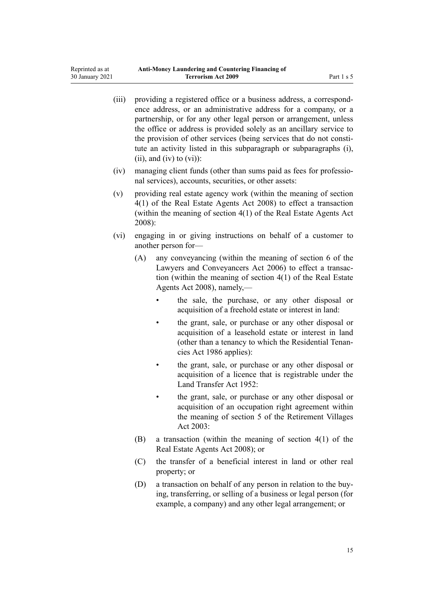| (iii) | providing a registered office or a business address, a correspond-<br>ence address, or an administrative address for a company, or a<br>partnership, or for any other legal person or arrangement, unless<br>the office or address is provided solely as an ancillary service to<br>the provision of other services (being services that do not consti-<br>tute an activity listed in this subparagraph or subparagraphs (i),<br>$(ii)$ , and $(iv)$ to $(vi)$ : |                                                                                                                                                                                                                    |  |  |
|-------|------------------------------------------------------------------------------------------------------------------------------------------------------------------------------------------------------------------------------------------------------------------------------------------------------------------------------------------------------------------------------------------------------------------------------------------------------------------|--------------------------------------------------------------------------------------------------------------------------------------------------------------------------------------------------------------------|--|--|
| (iv)  |                                                                                                                                                                                                                                                                                                                                                                                                                                                                  | managing client funds (other than sums paid as fees for professio-<br>nal services), accounts, securities, or other assets:                                                                                        |  |  |
| (v)   | 2008):                                                                                                                                                                                                                                                                                                                                                                                                                                                           | providing real estate agency work (within the meaning of section<br>4(1) of the Real Estate Agents Act 2008) to effect a transaction<br>(within the meaning of section 4(1) of the Real Estate Agents Act          |  |  |
| (vi)  |                                                                                                                                                                                                                                                                                                                                                                                                                                                                  | engaging in or giving instructions on behalf of a customer to<br>another person for-                                                                                                                               |  |  |
|       | (A)                                                                                                                                                                                                                                                                                                                                                                                                                                                              | any conveyancing (within the meaning of section 6 of the<br>Lawyers and Conveyancers Act 2006) to effect a transac-<br>tion (within the meaning of section $4(1)$ of the Real Estate<br>Agents Act 2008), namely,— |  |  |
|       |                                                                                                                                                                                                                                                                                                                                                                                                                                                                  | the sale, the purchase, or any other disposal or<br>acquisition of a freehold estate or interest in land:                                                                                                          |  |  |
|       |                                                                                                                                                                                                                                                                                                                                                                                                                                                                  | the grant, sale, or purchase or any other disposal or<br>acquisition of a leasehold estate or interest in land<br>(other than a tenancy to which the Residential Tenan-<br>cies Act 1986 applies):                 |  |  |
|       |                                                                                                                                                                                                                                                                                                                                                                                                                                                                  | the grant, sale, or purchase or any other disposal or<br>acquisition of a licence that is registrable under the<br>Land Transfer Act 1952:                                                                         |  |  |
|       |                                                                                                                                                                                                                                                                                                                                                                                                                                                                  | the grant, sale, or purchase or any other disposal or<br>acquisition of an occupation right agreement within<br>the meaning of section 5 of the Retirement Villages<br>Act 2003:                                   |  |  |
|       | (B)                                                                                                                                                                                                                                                                                                                                                                                                                                                              | a transaction (within the meaning of section $4(1)$ of the<br>Real Estate Agents Act 2008); or                                                                                                                     |  |  |
|       | (C)                                                                                                                                                                                                                                                                                                                                                                                                                                                              | the transfer of a beneficial interest in land or other real<br>property; or                                                                                                                                        |  |  |

(D) a transaction on behalf of any person in relation to the buying, transferring, or selling of a business or legal person (for example, a company) and any other legal arrangement; or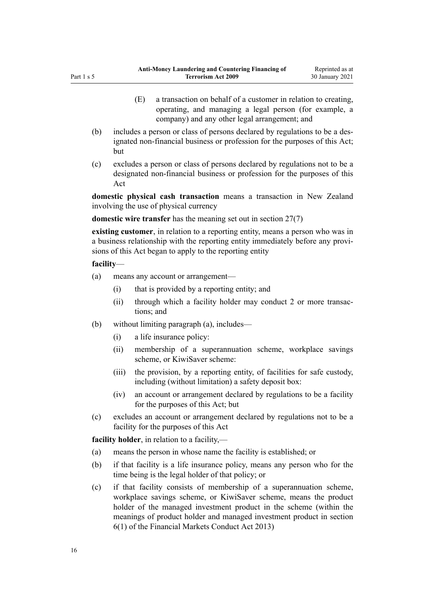- (E) a transaction on behalf of a customer in relation to creating, operating, and managing a legal person (for example, a company) and any other legal arrangement; and
- (b) includes a person or class of persons declared by regulations to be a designated non-financial business or profession for the purposes of this Act; but
- (c) excludes a person or class of persons declared by regulations not to be a designated non-financial business or profession for the purposes of this Act

**domestic physical cash transaction** means a transaction in New Zealand involving the use of physical currency

**domestic wire transfer** has the meaning set out in [section 27\(7\)](#page-40-0)

**existing customer**, in relation to a reporting entity, means a person who was in a business relationship with the reporting entity immediately before any provisions of this Act began to apply to the reporting entity

## **facility**—

- (a) means any account or arrangement—
	- (i) that is provided by a reporting entity; and
	- (ii) through which a facility holder may conduct 2 or more transactions; and
- (b) without limiting paragraph (a), includes—
	- (i) a life insurance policy:
	- (ii) membership of a superannuation scheme, workplace savings scheme, or KiwiSaver scheme:
	- (iii) the provision, by a reporting entity, of facilities for safe custody, including (without limitation) a safety deposit box:
	- (iv) an account or arrangement declared by regulations to be a facility for the purposes of this Act; but
- (c) excludes an account or arrangement declared by regulations not to be a facility for the purposes of this Act

**facility holder**, in relation to a facility,—

- (a) means the person in whose name the facility is established; or
- (b) if that facility is a life insurance policy, means any person who for the time being is the legal holder of that policy; or
- (c) if that facility consists of membership of a superannuation scheme, workplace savings scheme, or KiwiSaver scheme, means the product holder of the managed investment product in the scheme (within the meanings of product holder and managed investment product in [section](http://legislation.govt.nz/pdflink.aspx?id=DLM4090590) [6\(1\)](http://legislation.govt.nz/pdflink.aspx?id=DLM4090590) of the Financial Markets Conduct Act 2013)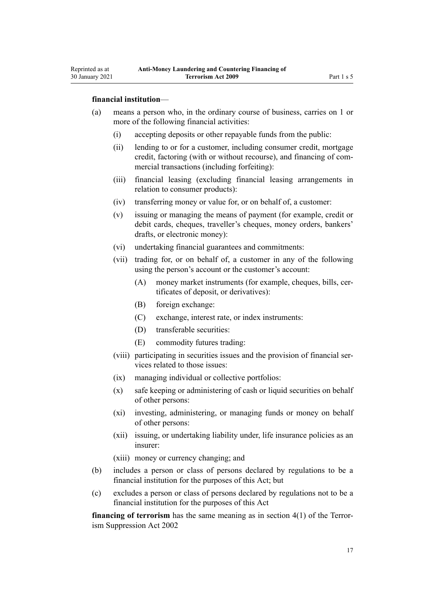Reprinted as at 30 January 2021

- (a) means a person who, in the ordinary course of business, carries on 1 or more of the following financial activities:
	- (i) accepting deposits or other repayable funds from the public:
	- (ii) lending to or for a customer, including consumer credit, mortgage credit, factoring (with or without recourse), and financing of commercial transactions (including forfeiting):
	- (iii) financial leasing (excluding financial leasing arrangements in relation to consumer products):
	- (iv) transferring money or value for, or on behalf of, a customer:
	- (v) issuing or managing the means of payment (for example, credit or debit cards, cheques, traveller's cheques, money orders, bankers' drafts, or electronic money):
	- (vi) undertaking financial guarantees and commitments:
	- (vii) trading for, or on behalf of, a customer in any of the following using the person's account or the customer's account:
		- (A) money market instruments (for example, cheques, bills, certificates of deposit, or derivatives):
		- (B) foreign exchange:
		- (C) exchange, interest rate, or index instruments:
		- (D) transferable securities:
		- (E) commodity futures trading:
	- (viii) participating in securities issues and the provision of financial services related to those issues:
	- (ix) managing individual or collective portfolios:
	- (x) safe keeping or administering of cash or liquid securities on behalf of other persons:
	- (xi) investing, administering, or managing funds or money on behalf of other persons:
	- (xii) issuing, or undertaking liability under, life insurance policies as an insurer:
	- (xiii) money or currency changing; and
- (b) includes a person or class of persons declared by regulations to be a financial institution for the purposes of this Act; but
- (c) excludes a person or class of persons declared by regulations not to be a financial institution for the purposes of this Act

**financing of terrorism** has the same meaning as in [section 4\(1\)](http://legislation.govt.nz/pdflink.aspx?id=DLM152400) of the Terrorism Suppression Act 2002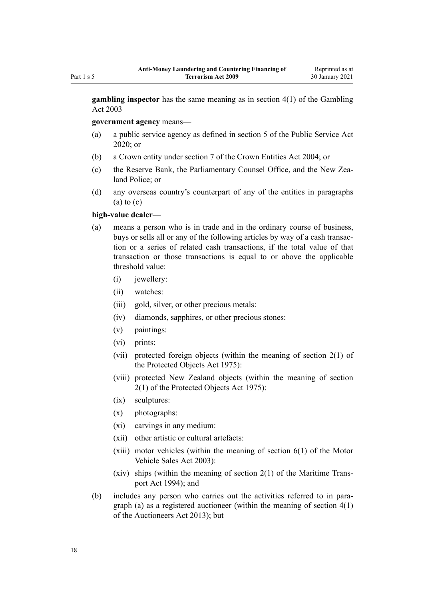**gambling inspector** has the same meaning as in [section 4\(1\)](http://legislation.govt.nz/pdflink.aspx?id=DLM207804) of the Gambling Act 2003

**government agency** means—

- (a) a public service agency as defined in [section 5](http://legislation.govt.nz/pdflink.aspx?id=LMS356868) of the Public Service Act 2020; or
- (b) a Crown entity under [section 7](http://legislation.govt.nz/pdflink.aspx?id=DLM329641) of the Crown Entities Act 2004; or
- (c) the Reserve Bank, the Parliamentary Counsel Office, and the New Zealand Police; or
- (d) any overseas country's counterpart of any of the entities in paragraphs  $(a)$  to  $(c)$

#### **high-value dealer**—

- (a) means a person who is in trade and in the ordinary course of business, buys or sells all or any of the following articles by way of a cash transaction or a series of related cash transactions, if the total value of that transaction or those transactions is equal to or above the applicable threshold value:
	- (i) iewellery:
	- (ii) watches:
	- (iii) gold, silver, or other precious metals:
	- (iv) diamonds, sapphires, or other precious stones:
	- (v) paintings:
	- (vi) prints:
	- (vii) protected foreign objects (within the meaning of [section 2\(1\)](http://legislation.govt.nz/pdflink.aspx?id=DLM432125) of the Protected Objects Act 1975):
	- (viii) protected New Zealand objects (within the meaning of [section](http://legislation.govt.nz/pdflink.aspx?id=DLM432125) [2\(1\)](http://legislation.govt.nz/pdflink.aspx?id=DLM432125) of the Protected Objects Act 1975):
	- (ix) sculptures:
	- (x) photographs:
	- (xi) carvings in any medium:
	- (xii) other artistic or cultural artefacts:
	- $(xiii)$  motor vehicles (within the meaning of section  $6(1)$  of the Motor Vehicle Sales Act 2003):
	- (xiv) ships (within the meaning of [section 2\(1\)](http://legislation.govt.nz/pdflink.aspx?id=DLM334667) of the Maritime Transport Act 1994); and
- (b) includes any person who carries out the activities referred to in paragraph (a) as a registered auctioneer (within the meaning of [section 4\(1\)](http://legislation.govt.nz/pdflink.aspx?id=DLM5788508) of the Auctioneers Act 2013); but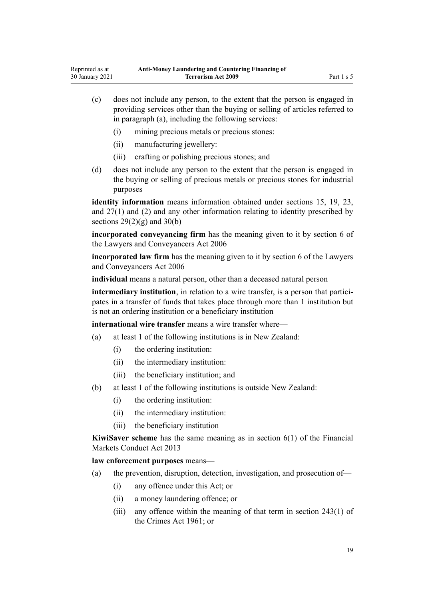- (c) does not include any person, to the extent that the person is engaged in providing services other than the buying or selling of articles referred to in paragraph (a), including the following services:
	- (i) mining precious metals or precious stones:
	- (ii) manufacturing jewellery:
	- (iii) crafting or polishing precious stones; and
- (d) does not include any person to the extent that the person is engaged in the buying or selling of precious metals or precious stones for industrial purposes

**identity information** means information obtained under [sections 15](#page-33-0), [19](#page-36-0), [23](#page-39-0), and [27\(1\) and \(2\)](#page-40-0) and any other information relating to identity prescribed by sections  $29(2)(g)$  and  $30(b)$ 

**incorporated conveyancing firm** has the meaning given to it by [section 6](http://legislation.govt.nz/pdflink.aspx?id=DLM364948) of the Lawyers and Conveyancers Act 2006

**incorporated law firm** has the meaning given to it by [section 6](http://legislation.govt.nz/pdflink.aspx?id=DLM364948) of the Lawyers and Conveyancers Act 2006

**individual** means a natural person, other than a deceased natural person

**intermediary institution**, in relation to a wire transfer, is a person that participates in a transfer of funds that takes place through more than 1 institution but is not an ordering institution or a beneficiary institution

**international wire transfer** means a wire transfer where—

- (a) at least 1 of the following institutions is in New Zealand:
	- (i) the ordering institution:
	- (ii) the intermediary institution:
	- (iii) the beneficiary institution; and
- (b) at least 1 of the following institutions is outside New Zealand:
	- (i) the ordering institution:
	- (ii) the intermediary institution:
	- (iii) the beneficiary institution

**KiwiSaver scheme** has the same meaning as in [section 6\(1\)](http://legislation.govt.nz/pdflink.aspx?id=DLM4090590) of the Financial Markets Conduct Act 2013

**law enforcement purposes** means—

- (a) the prevention, disruption, detection, investigation, and prosecution of—
	- (i) any offence under this Act; or
	- (ii) a money laundering offence; or
	- (iii) any offence within the meaning of that term in [section 243\(1\)](http://legislation.govt.nz/pdflink.aspx?id=DLM330289) of the Crimes Act 1961; or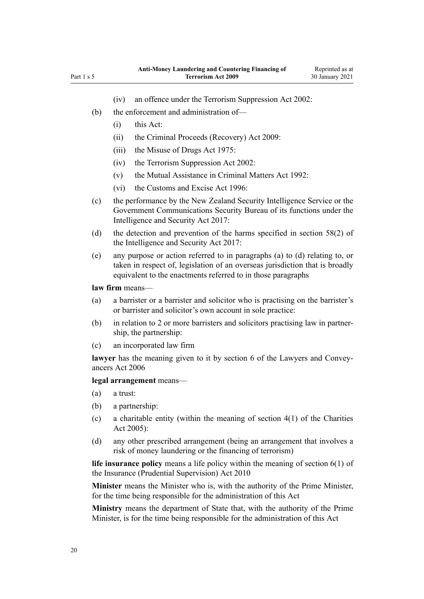- (iv) an offence under the [Terrorism Suppression Act 2002:](http://legislation.govt.nz/pdflink.aspx?id=DLM151490)
- (b) the enforcement and administration of—
	- (i) this Act:
	- (ii) the [Criminal Proceeds \(Recovery\) Act 2009](http://legislation.govt.nz/pdflink.aspx?id=BILL-SCDRAFT-7242):
	- (iii) the [Misuse of Drugs Act 1975](http://legislation.govt.nz/pdflink.aspx?id=DLM436100):
	- (iv) the [Terrorism Suppression Act 2002:](http://legislation.govt.nz/pdflink.aspx?id=DLM151490)
	- (v) the [Mutual Assistance in Criminal Matters Act 1992](http://legislation.govt.nz/pdflink.aspx?id=DLM273056):
	- (vi) the [Customs and Excise Act 1996:](http://legislation.govt.nz/pdflink.aspx?id=DLM377336)
- (c) the performance by the New Zealand Security Intelligence Service or the Government Communications Security Bureau of its functions under the [Intelligence and Security Act 2017:](http://legislation.govt.nz/pdflink.aspx?id=DLM6920802)
- (d) the detection and prevention of the harms specified in [section 58\(2\)](http://legislation.govt.nz/pdflink.aspx?id=DLM7118931) of the Intelligence and Security Act 2017:
- (e) any purpose or action referred to in paragraphs (a) to (d) relating to, or taken in respect of, legislation of an overseas jurisdiction that is broadly equivalent to the enactments referred to in those paragraphs

## **law firm** means—

- (a) a barrister or a barrister and solicitor who is practising on the barrister's or barrister and solicitor's own account in sole practice:
- (b) in relation to 2 or more barristers and solicitors practising law in partnership, the partnership:
- (c) an incorporated law firm

**lawyer** has the meaning given to it by [section 6](http://legislation.govt.nz/pdflink.aspx?id=DLM364948) of the Lawyers and Conveyancers Act 2006

## **legal arrangement** means—

- (a) a trust:
- (b) a partnership:
- (c) a charitable entity (within the meaning of section  $4(1)$  of the Charities Act 2005):
- (d) any other prescribed arrangement (being an arrangement that involves a risk of money laundering or the financing of terrorism)

**life insurance policy** means a life policy within the meaning of [section 6\(1\)](http://legislation.govt.nz/pdflink.aspx?id=DLM2478128) of the Insurance (Prudential Supervision) Act 2010

**Minister** means the Minister who is, with the authority of the Prime Minister, for the time being responsible for the administration of this Act

**Ministry** means the department of State that, with the authority of the Prime Minister, is for the time being responsible for the administration of this Act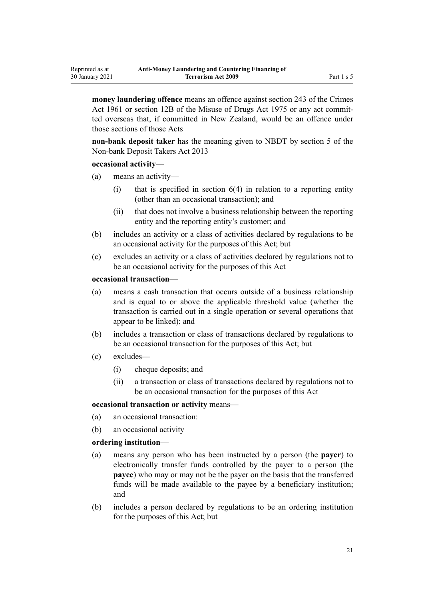**money laundering offence** means an offence against [section 243](http://legislation.govt.nz/pdflink.aspx?id=DLM330289) of the Crimes Act 1961 or [section 12B](http://legislation.govt.nz/pdflink.aspx?id=DLM436285) of the Misuse of Drugs Act 1975 or any act committed overseas that, if committed in New Zealand, would be an offence under those sections of those Acts

**non-bank deposit taker** has the meaning given to NBDT by [section 5](http://legislation.govt.nz/pdflink.aspx?id=DLM3918989) of the Non-bank Deposit Takers Act 2013

#### **occasional activity**—

- (a) means an activity—
	- $(i)$  that is specified in section  $6(4)$  in relation to a reporting entity (other than an occasional transaction); and
	- (ii) that does not involve a business relationship between the reporting entity and the reporting entity's customer; and
- (b) includes an activity or a class of activities declared by regulations to be an occasional activity for the purposes of this Act; but
- (c) excludes an activity or a class of activities declared by regulations not to be an occasional activity for the purposes of this Act

## **occasional transaction**—

- (a) means a cash transaction that occurs outside of a business relationship and is equal to or above the applicable threshold value (whether the transaction is carried out in a single operation or several operations that appear to be linked); and
- (b) includes a transaction or class of transactions declared by regulations to be an occasional transaction for the purposes of this Act; but
- (c) excludes—
	- (i) cheque deposits; and
	- (ii) a transaction or class of transactions declared by regulations not to be an occasional transaction for the purposes of this Act

#### **occasional transaction or activity** means—

- (a) an occasional transaction:
- (b) an occasional activity

#### **ordering institution**—

- (a) means any person who has been instructed by a person (the **payer**) to electronically transfer funds controlled by the payer to a person (the **payee**) who may or may not be the payer on the basis that the transferred funds will be made available to the payee by a beneficiary institution; and
- (b) includes a person declared by regulations to be an ordering institution for the purposes of this Act; but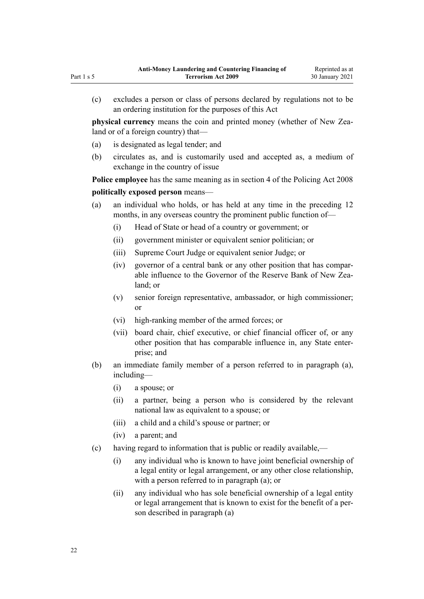(c) excludes a person or class of persons declared by regulations not to be an ordering institution for the purposes of this Act

**physical currency** means the coin and printed money (whether of New Zealand or of a foreign country) that—

- (a) is designated as legal tender; and
- (b) circulates as, and is customarily used and accepted as, a medium of exchange in the country of issue

**Police employee** has the same meaning as in [section 4](http://legislation.govt.nz/pdflink.aspx?id=DLM1102132) of the Policing Act 2008

## **politically exposed person** means—

- (a) an individual who holds, or has held at any time in the preceding 12 months, in any overseas country the prominent public function of—
	- (i) Head of State or head of a country or government; or
	- (ii) government minister or equivalent senior politician; or
	- (iii) Supreme Court Judge or equivalent senior Judge; or
	- (iv) governor of a central bank or any other position that has comparable influence to the Governor of the Reserve Bank of New Zealand; or
	- (v) senior foreign representative, ambassador, or high commissioner; or
	- (vi) high-ranking member of the armed forces; or
	- (vii) board chair, chief executive, or chief financial officer of, or any other position that has comparable influence in, any State enterprise; and
- (b) an immediate family member of a person referred to in paragraph (a), including—
	- (i) a spouse; or
	- (ii) a partner, being a person who is considered by the relevant national law as equivalent to a spouse; or
	- (iii) a child and a child's spouse or partner; or
	- (iv) a parent; and
- (c) having regard to information that is public or readily available,—
	- (i) any individual who is known to have joint beneficial ownership of a legal entity or legal arrangement, or any other close relationship, with a person referred to in paragraph (a); or
	- (ii) any individual who has sole beneficial ownership of a legal entity or legal arrangement that is known to exist for the benefit of a person described in paragraph (a)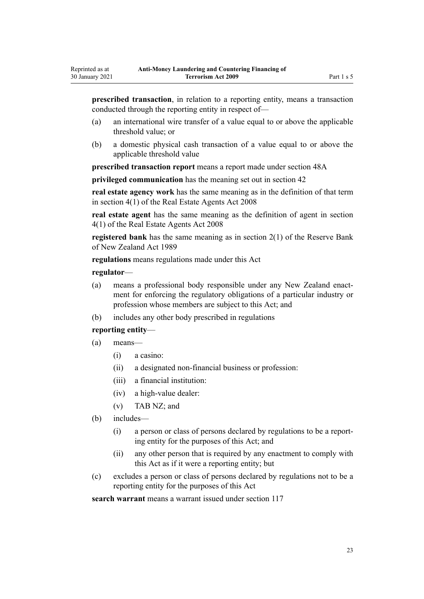**prescribed transaction**, in relation to a reporting entity, means a transaction conducted through the reporting entity in respect of—

- (a) an international wire transfer of a value equal to or above the applicable threshold value; or
- (b) a domestic physical cash transaction of a value equal to or above the applicable threshold value

**prescribed transaction report** means a report made under [section 48A](#page-56-0)

**privileged communication** has the meaning set out in [section 42](#page-51-0)

**real estate agency work** has the same meaning as in the definition of that term in [section 4\(1\)](http://legislation.govt.nz/pdflink.aspx?id=DLM1151928) of the Real Estate Agents Act 2008

**real estate agent** has the same meaning as the definition of agent in [section](http://legislation.govt.nz/pdflink.aspx?id=DLM1151928) [4\(1\)](http://legislation.govt.nz/pdflink.aspx?id=DLM1151928) of the Real Estate Agents Act 2008

**registered bank** has the same meaning as in [section 2\(1\)](http://legislation.govt.nz/pdflink.aspx?id=DLM199370) of the Reserve Bank of New Zealand Act 1989

**regulations** means regulations made under this Act

#### **regulator**—

Reprinted as at 30 January 2021

- (a) means a professional body responsible under any New Zealand enactment for enforcing the regulatory obligations of a particular industry or profession whose members are subject to this Act; and
- (b) includes any other body prescribed in regulations

## **reporting entity**—

- (a) means—
	- (i) a casino:
	- (ii) a designated non-financial business or profession:
	- (iii) a financial institution:
	- (iv) a high-value dealer:
	- (v) TAB NZ; and
- (b) includes—
	- (i) a person or class of persons declared by regulations to be a reporting entity for the purposes of this Act; and
	- (ii) any other person that is required by any enactment to comply with this Act as if it were a reporting entity; but
- (c) excludes a person or class of persons declared by regulations not to be a reporting entity for the purposes of this Act

**search warrant** means a warrant issued under [section 117](#page-87-0)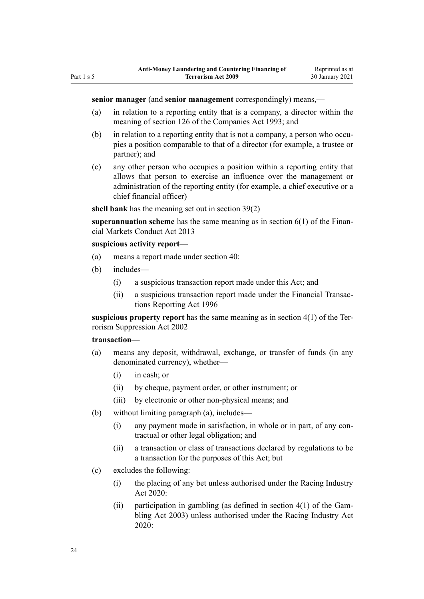#### **senior manager** (and **senior management** correspondingly) means,—

- (a) in relation to a reporting entity that is a company, a director within the meaning of [section 126](http://legislation.govt.nz/pdflink.aspx?id=DLM320630) of the Companies Act 1993; and
- (b) in relation to a reporting entity that is not a company, a person who occupies a position comparable to that of a director (for example, a trustee or partner); and
- (c) any other person who occupies a position within a reporting entity that allows that person to exercise an influence over the management or administration of the reporting entity (for example, a chief executive or a chief financial officer)

**shell bank** has the meaning set out in [section 39\(2\)](#page-49-0)

**superannuation scheme** has the same meaning as in [section 6\(1\)](http://legislation.govt.nz/pdflink.aspx?id=DLM4090590) of the Financial Markets Conduct Act 2013

#### **suspicious activity report**—

- (a) means a report made under [section 40:](#page-50-0)
- (b) includes—
	- (i) a suspicious transaction report made under this Act; and
	- (ii) a suspicious transaction report made under the [Financial Transac](http://legislation.govt.nz/pdflink.aspx?id=DLM373803)[tions Reporting Act 1996](http://legislation.govt.nz/pdflink.aspx?id=DLM373803)

**suspicious property report** has the same meaning as in [section 4\(1\)](http://legislation.govt.nz/pdflink.aspx?id=DLM152400) of the Terrorism Suppression Act 2002

#### **transaction**—

- (a) means any deposit, withdrawal, exchange, or transfer of funds (in any denominated currency), whether—
	- (i) in cash; or
	- (ii) by cheque, payment order, or other instrument; or
	- (iii) by electronic or other non-physical means; and
- (b) without limiting paragraph (a), includes—
	- (i) any payment made in satisfaction, in whole or in part, of any contractual or other legal obligation; and
	- (ii) a transaction or class of transactions declared by regulations to be a transaction for the purposes of this Act; but
- (c) excludes the following:
	- (i) the placing of any bet unless authorised under the [Racing Industry](http://legislation.govt.nz/pdflink.aspx?id=LMS291909) [Act 2020:](http://legislation.govt.nz/pdflink.aspx?id=LMS291909)
	- (ii) participation in gambling (as defined in section  $4(1)$  of the Gambling Act 2003) unless authorised under the [Racing Industry Act](http://legislation.govt.nz/pdflink.aspx?id=LMS291909) [2020](http://legislation.govt.nz/pdflink.aspx?id=LMS291909):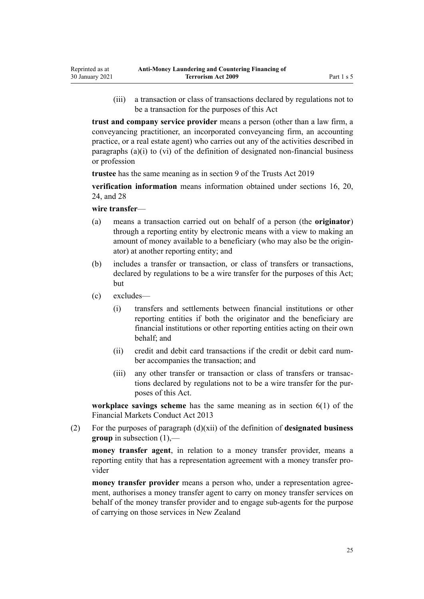(iii) a transaction or class of transactions declared by regulations not to be a transaction for the purposes of this Act

**trust and company service provider** means a person (other than a law firm, a conveyancing practitioner, an incorporated conveyancing firm, an accounting practice, or a real estate agent) who carries out any of the activities described in paragraphs (a)(i) to (vi) of the definition of designated non-financial business or profession

**trustee** has the same meaning as in [section 9](http://legislation.govt.nz/pdflink.aspx?id=DLM7382827) of the Trusts Act 2019

**verification information** means information obtained under [sections 16](#page-33-0), [20](#page-36-0), [24,](#page-39-0) and [28](#page-42-0)

#### **wire transfer**—

- (a) means a transaction carried out on behalf of a person (the **originator**) through a reporting entity by electronic means with a view to making an amount of money available to a beneficiary (who may also be the originator) at another reporting entity; and
- (b) includes a transfer or transaction, or class of transfers or transactions, declared by regulations to be a wire transfer for the purposes of this Act; but
- (c) excludes—
	- (i) transfers and settlements between financial institutions or other reporting entities if both the originator and the beneficiary are financial institutions or other reporting entities acting on their own behalf; and
	- (ii) credit and debit card transactions if the credit or debit card number accompanies the transaction; and
	- (iii) any other transfer or transaction or class of transfers or transactions declared by regulations not to be a wire transfer for the purposes of this Act.

**workplace savings scheme** has the same meaning as in [section 6\(1\)](http://legislation.govt.nz/pdflink.aspx?id=DLM4090590) of the Financial Markets Conduct Act 2013

(2) For the purposes of paragraph (d)(xii) of the definition of **designated business group** in subsection (1),—

**money transfer agent**, in relation to a money transfer provider, means a reporting entity that has a representation agreement with a money transfer provider

**money transfer provider** means a person who, under a representation agreement, authorises a money transfer agent to carry on money transfer services on behalf of the money transfer provider and to engage sub-agents for the purpose of carrying on those services in New Zealand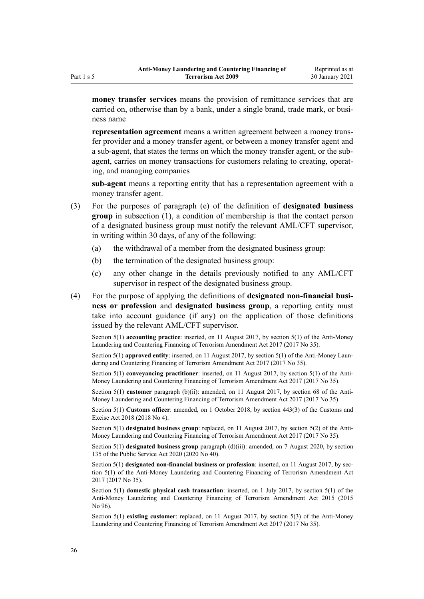**money transfer services** means the provision of remittance services that are carried on, otherwise than by a bank, under a single brand, trade mark, or business name

**representation agreement** means a written agreement between a money transfer provider and a money transfer agent, or between a money transfer agent and a sub-agent, that states the terms on which the money transfer agent, or the subagent, carries on money transactions for customers relating to creating, operating, and managing companies

**sub-agent** means a reporting entity that has a representation agreement with a money transfer agent.

- (3) For the purposes of paragraph (e) of the definition of **designated business group** in subsection (1), a condition of membership is that the contact person of a designated business group must notify the relevant AML/CFT supervisor, in writing within 30 days, of any of the following:
	- (a) the withdrawal of a member from the designated business group:
	- (b) the termination of the designated business group:
	- (c) any other change in the details previously notified to any AML/CFT supervisor in respect of the designated business group.
- (4) For the purpose of applying the definitions of **designated non-financial business or profession** and **designated business group**, a reporting entity must take into account guidance (if any) on the application of those definitions issued by the relevant AML/CFT supervisor.

Section 5(1) **accounting practice**: inserted, on 11 August 2017, by [section 5\(1\)](http://legislation.govt.nz/pdflink.aspx?id=DLM7161216) of the Anti-Money Laundering and Countering Financing of Terrorism Amendment Act 2017 (2017 No 35).

Section 5(1) **approved entity**: inserted, on 11 August 2017, by [section 5\(1\)](http://legislation.govt.nz/pdflink.aspx?id=DLM7161216) of the Anti-Money Laundering and Countering Financing of Terrorism Amendment Act 2017 (2017 No 35).

Section 5(1) **conveyancing practitioner**: inserted, on 11 August 2017, by [section 5\(1\)](http://legislation.govt.nz/pdflink.aspx?id=DLM7161216) of the Anti-Money Laundering and Countering Financing of Terrorism Amendment Act 2017 (2017 No 35).

Section 5(1) **customer** paragraph (b)(ii): amended, on 11 August 2017, by [section 68](http://legislation.govt.nz/pdflink.aspx?id=DLM7340644) of the Anti-Money Laundering and Countering Financing of Terrorism Amendment Act 2017 (2017 No 35).

Section 5(1) **Customs officer**: amended, on 1 October 2018, by [section 443\(3\)](http://legislation.govt.nz/pdflink.aspx?id=DLM7039957) of the Customs and Excise Act 2018 (2018 No 4).

Section 5(1) **designated business group**: replaced, on 11 August 2017, by [section 5\(2\)](http://legislation.govt.nz/pdflink.aspx?id=DLM7161216) of the Anti-Money Laundering and Countering Financing of Terrorism Amendment Act 2017 (2017 No 35).

Section 5(1) **designated business group** paragraph (d)(iii): amended, on 7 August 2020, by [section](http://legislation.govt.nz/pdflink.aspx?id=LMS176959) [135](http://legislation.govt.nz/pdflink.aspx?id=LMS176959) of the Public Service Act 2020 (2020 No 40).

Section 5(1) **designated non-financial business or profession**: inserted, on 11 August 2017, by [sec](http://legislation.govt.nz/pdflink.aspx?id=DLM7161216)[tion 5\(1\)](http://legislation.govt.nz/pdflink.aspx?id=DLM7161216) of the Anti-Money Laundering and Countering Financing of Terrorism Amendment Act 2017 (2017 No 35).

Section 5(1) **domestic physical cash transaction**: inserted, on 1 July 2017, by [section 5\(1\)](http://legislation.govt.nz/pdflink.aspx?id=DLM6602209) of the Anti-Money Laundering and Countering Financing of Terrorism Amendment Act 2015 (2015 No 96).

Section 5(1) **existing customer**: replaced, on 11 August 2017, by [section 5\(3\)](http://legislation.govt.nz/pdflink.aspx?id=DLM7161216) of the Anti-Money Laundering and Countering Financing of Terrorism Amendment Act 2017 (2017 No 35).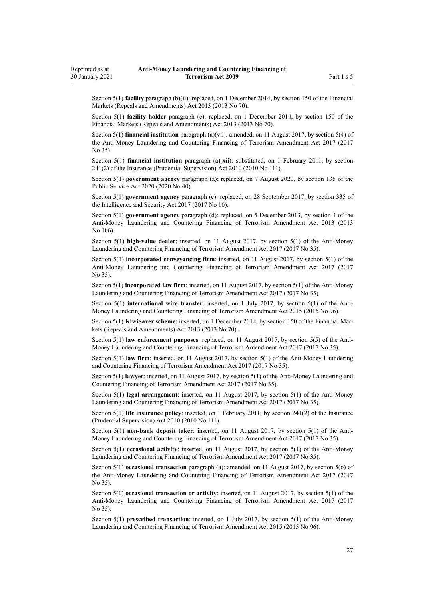Section 5(1) **facility** paragraph (b)(ii): replaced, on 1 December 2014, by [section 150](http://legislation.govt.nz/pdflink.aspx?id=DLM5561603) of the Financial Markets (Repeals and Amendments) Act 2013 (2013 No 70).

Section 5(1) **facility holder** paragraph (c): replaced, on 1 December 2014, by [section 150](http://legislation.govt.nz/pdflink.aspx?id=DLM5561603) of the Financial Markets (Repeals and Amendments) Act 2013 (2013 No 70).

Section 5(1) **financial institution** paragraph (a)(vii): amended, on 11 August 2017, by [section 5\(4\)](http://legislation.govt.nz/pdflink.aspx?id=DLM7161216) of the Anti-Money Laundering and Countering Financing of Terrorism Amendment Act 2017 (2017 No 35).

Section 5(1) **financial institution** paragraph (a)(xii): substituted, on 1 February 2011, by [section](http://legislation.govt.nz/pdflink.aspx?id=DLM2478612) [241\(2\)](http://legislation.govt.nz/pdflink.aspx?id=DLM2478612) of the Insurance (Prudential Supervision) Act 2010 (2010 No 111).

Section 5(1) **government agency** paragraph (a): replaced, on 7 August 2020, by [section 135](http://legislation.govt.nz/pdflink.aspx?id=LMS176959) of the Public Service Act 2020 (2020 No 40).

Section 5(1) **government agency** paragraph (c): replaced, on 28 September 2017, by [section 335](http://legislation.govt.nz/pdflink.aspx?id=DLM6921475) of the Intelligence and Security Act 2017 (2017 No 10).

Section 5(1) **government agency** paragraph (d): replaced, on 5 December 2013, by [section 4](http://legislation.govt.nz/pdflink.aspx?id=DLM5621507) of the Anti-Money Laundering and Countering Financing of Terrorism Amendment Act 2013 (2013 No 106).

Section 5(1) **high-value dealer**: inserted, on 11 August 2017, by [section 5\(1\)](http://legislation.govt.nz/pdflink.aspx?id=DLM7161216) of the Anti-Money Laundering and Countering Financing of Terrorism Amendment Act 2017 (2017 No 35).

Section 5(1) **incorporated conveyancing firm**: inserted, on 11 August 2017, by [section 5\(1\)](http://legislation.govt.nz/pdflink.aspx?id=DLM7161216) of the Anti-Money Laundering and Countering Financing of Terrorism Amendment Act 2017 (2017 No 35).

Section 5(1) **incorporated law firm**: inserted, on 11 August 2017, by [section 5\(1\)](http://legislation.govt.nz/pdflink.aspx?id=DLM7161216) of the Anti-Money Laundering and Countering Financing of Terrorism Amendment Act 2017 (2017 No 35).

Section 5(1) **international wire transfer**: inserted, on 1 July 2017, by [section 5\(1\)](http://legislation.govt.nz/pdflink.aspx?id=DLM6602209) of the Anti-Money Laundering and Countering Financing of Terrorism Amendment Act 2015 (2015 No 96).

Section 5(1) **KiwiSaver scheme**: inserted, on 1 December 2014, by [section 150](http://legislation.govt.nz/pdflink.aspx?id=DLM5561603) of the Financial Markets (Repeals and Amendments) Act 2013 (2013 No 70).

Section 5(1) **law enforcement purposes**: replaced, on 11 August 2017, by [section 5\(5\)](http://legislation.govt.nz/pdflink.aspx?id=DLM7161216) of the Anti-Money Laundering and Countering Financing of Terrorism Amendment Act 2017 (2017 No 35).

Section 5(1) **law firm**: inserted, on 11 August 2017, by [section 5\(1\)](http://legislation.govt.nz/pdflink.aspx?id=DLM7161216) of the Anti-Money Laundering and Countering Financing of Terrorism Amendment Act 2017 (2017 No 35).

Section 5(1) **lawyer**: inserted, on 11 August 2017, by [section 5\(1\)](http://legislation.govt.nz/pdflink.aspx?id=DLM7161216) of the Anti-Money Laundering and Countering Financing of Terrorism Amendment Act 2017 (2017 No 35).

Section 5(1) **legal arrangement**: inserted, on 11 August 2017, by [section 5\(1\)](http://legislation.govt.nz/pdflink.aspx?id=DLM7161216) of the Anti-Money Laundering and Countering Financing of Terrorism Amendment Act 2017 (2017 No 35).

Section 5(1) **life insurance policy**: inserted, on 1 February 2011, by [section 241\(2\)](http://legislation.govt.nz/pdflink.aspx?id=DLM2478612) of the Insurance (Prudential Supervision) Act 2010 (2010 No 111).

Section 5(1) **non-bank deposit taker**: inserted, on 11 August 2017, by [section 5\(1\)](http://legislation.govt.nz/pdflink.aspx?id=DLM7161216) of the Anti-Money Laundering and Countering Financing of Terrorism Amendment Act 2017 (2017 No 35).

Section 5(1) **occasional activity**: inserted, on 11 August 2017, by [section 5\(1\)](http://legislation.govt.nz/pdflink.aspx?id=DLM7161216) of the Anti-Money Laundering and Countering Financing of Terrorism Amendment Act 2017 (2017 No 35).

Section 5(1) **occasional transaction** paragraph (a): amended, on 11 August 2017, by [section 5\(6\)](http://legislation.govt.nz/pdflink.aspx?id=DLM7161216) of the Anti-Money Laundering and Countering Financing of Terrorism Amendment Act 2017 (2017 No 35).

Section 5(1) **occasional transaction or activity**: inserted, on 11 August 2017, by [section 5\(1\)](http://legislation.govt.nz/pdflink.aspx?id=DLM7161216) of the Anti-Money Laundering and Countering Financing of Terrorism Amendment Act 2017 (2017 No 35).

Section 5(1) **prescribed transaction**: inserted, on 1 July 2017, by [section 5\(1\)](http://legislation.govt.nz/pdflink.aspx?id=DLM6602209) of the Anti-Money Laundering and Countering Financing of Terrorism Amendment Act 2015 (2015 No 96).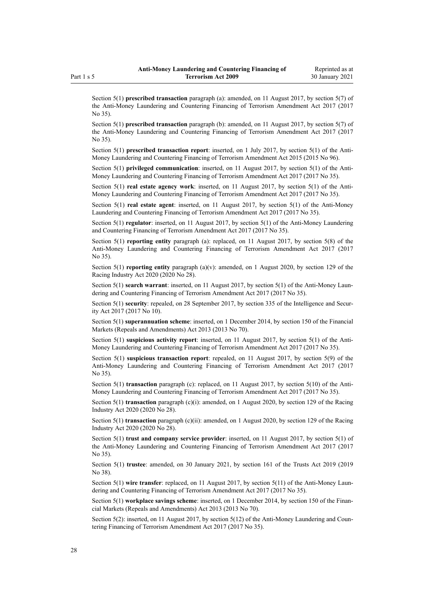Section 5(1) **prescribed transaction** paragraph (a): amended, on 11 August 2017, by [section 5\(7\)](http://legislation.govt.nz/pdflink.aspx?id=DLM7161216) of the Anti-Money Laundering and Countering Financing of Terrorism Amendment Act 2017 (2017 No 35).

Section 5(1) **prescribed transaction** paragraph (b): amended, on 11 August 2017, by [section 5\(7\)](http://legislation.govt.nz/pdflink.aspx?id=DLM7161216) of the Anti-Money Laundering and Countering Financing of Terrorism Amendment Act 2017 (2017 No 35).

Section 5(1) **prescribed transaction report**: inserted, on 1 July 2017, by [section 5\(1\)](http://legislation.govt.nz/pdflink.aspx?id=DLM6602209) of the Anti-Money Laundering and Countering Financing of Terrorism Amendment Act 2015 (2015 No 96).

Section 5(1) **privileged communication**: inserted, on 11 August 2017, by [section 5\(1\)](http://legislation.govt.nz/pdflink.aspx?id=DLM7161216) of the Anti-Money Laundering and Countering Financing of Terrorism Amendment Act 2017 (2017 No 35).

Section 5(1) **real estate agency work**: inserted, on 11 August 2017, by [section 5\(1\)](http://legislation.govt.nz/pdflink.aspx?id=DLM7161216) of the Anti-Money Laundering and Countering Financing of Terrorism Amendment Act 2017 (2017 No 35).

Section 5(1) **real estate agent**: inserted, on 11 August 2017, by [section 5\(1\)](http://legislation.govt.nz/pdflink.aspx?id=DLM7161216) of the Anti-Money Laundering and Countering Financing of Terrorism Amendment Act 2017 (2017 No 35).

Section 5(1) **regulator**: inserted, on 11 August 2017, by [section 5\(1\)](http://legislation.govt.nz/pdflink.aspx?id=DLM7161216) of the Anti-Money Laundering and Countering Financing of Terrorism Amendment Act 2017 (2017 No 35).

Section 5(1) **reporting entity** paragraph (a): replaced, on 11 August 2017, by [section 5\(8\)](http://legislation.govt.nz/pdflink.aspx?id=DLM7161216) of the Anti-Money Laundering and Countering Financing of Terrorism Amendment Act 2017 (2017 No 35).

Section 5(1) **reporting entity** paragraph (a)(v): amended, on 1 August 2020, by [section 129](http://legislation.govt.nz/pdflink.aspx?id=LMS292230) of the Racing Industry Act 2020 (2020 No 28).

Section 5(1) **search warrant**: inserted, on 11 August 2017, by [section 5\(1\)](http://legislation.govt.nz/pdflink.aspx?id=DLM7161216) of the Anti-Money Laundering and Countering Financing of Terrorism Amendment Act 2017 (2017 No 35).

Section 5(1) **security**: repealed, on 28 September 2017, by [section 335](http://legislation.govt.nz/pdflink.aspx?id=DLM6921475) of the Intelligence and Security Act 2017 (2017 No 10).

Section 5(1) **superannuation scheme**: inserted, on 1 December 2014, by [section 150](http://legislation.govt.nz/pdflink.aspx?id=DLM5561603) of the Financial Markets (Repeals and Amendments) Act 2013 (2013 No 70).

Section 5(1) **suspicious activity report**: inserted, on 11 August 2017, by [section 5\(1\)](http://legislation.govt.nz/pdflink.aspx?id=DLM7161216) of the Anti-Money Laundering and Countering Financing of Terrorism Amendment Act 2017 (2017 No 35).

Section 5(1) **suspicious transaction report**: repealed, on 11 August 2017, by [section 5\(9\)](http://legislation.govt.nz/pdflink.aspx?id=DLM7161216) of the Anti-Money Laundering and Countering Financing of Terrorism Amendment Act 2017 (2017 No 35).

Section 5(1) **transaction** paragraph (c): replaced, on 11 August 2017, by [section 5\(10\)](http://legislation.govt.nz/pdflink.aspx?id=DLM7161216) of the Anti-Money Laundering and Countering Financing of Terrorism Amendment Act 2017 (2017 No 35).

Section 5(1) **transaction** paragraph (c)(i): amended, on 1 August 2020, by [section 129](http://legislation.govt.nz/pdflink.aspx?id=LMS292230) of the Racing Industry Act 2020 (2020 No 28).

Section 5(1) **transaction** paragraph (c)(ii): amended, on 1 August 2020, by [section 129](http://legislation.govt.nz/pdflink.aspx?id=LMS292230) of the Racing Industry Act 2020 (2020 No 28).

Section 5(1) **trust and company service provider**: inserted, on 11 August 2017, by [section 5\(1\)](http://legislation.govt.nz/pdflink.aspx?id=DLM7161216) of the Anti-Money Laundering and Countering Financing of Terrorism Amendment Act 2017 (2017 No 35).

Section 5(1) **trustee**: amended, on 30 January 2021, by [section 161](http://legislation.govt.nz/pdflink.aspx?id=DLM7383110) of the Trusts Act 2019 (2019 No 38).

Section 5(1) **wire transfer**: replaced, on 11 August 2017, by [section 5\(11\)](http://legislation.govt.nz/pdflink.aspx?id=DLM7161216) of the Anti-Money Laundering and Countering Financing of Terrorism Amendment Act 2017 (2017 No 35).

Section 5(1) **workplace savings scheme**: inserted, on 1 December 2014, by [section 150](http://legislation.govt.nz/pdflink.aspx?id=DLM5561603) of the Financial Markets (Repeals and Amendments) Act 2013 (2013 No 70).

Section 5(2): inserted, on 11 August 2017, by [section 5\(12\)](http://legislation.govt.nz/pdflink.aspx?id=DLM7161216) of the Anti-Money Laundering and Countering Financing of Terrorism Amendment Act 2017 (2017 No 35).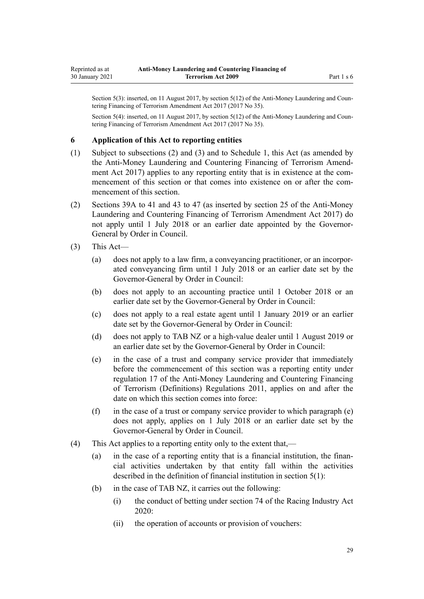<span id="page-28-0"></span>Section 5(3): inserted, on 11 August 2017, by [section 5\(12\)](http://legislation.govt.nz/pdflink.aspx?id=DLM7161216) of the Anti-Money Laundering and Countering Financing of Terrorism Amendment Act 2017 (2017 No 35).

Section 5(4): inserted, on 11 August 2017, by [section 5\(12\)](http://legislation.govt.nz/pdflink.aspx?id=DLM7161216) of the Anti-Money Laundering and Countering Financing of Terrorism Amendment Act 2017 (2017 No 35).

#### **6 Application of this Act to reporting entities**

- (1) Subject to subsections (2) and (3) and to [Schedule 1](#page-115-0), this Act (as amended by the [Anti-Money Laundering and Countering Financing of Terrorism Amend](http://legislation.govt.nz/pdflink.aspx?id=DLM7161200)[ment Act 2017](http://legislation.govt.nz/pdflink.aspx?id=DLM7161200)) applies to any reporting entity that is in existence at the commencement of this section or that comes into existence on or after the commencement of this section.
- (2) [Sections 39A to 41](#page-50-0) and [43 to 47](#page-52-0) (as inserted by [section 25](http://legislation.govt.nz/pdflink.aspx?id=DLM7161289) of the Anti-Money Laundering and Countering Financing of Terrorism Amendment Act 2017) do not apply until 1 July 2018 or an earlier date appointed by the Governor-General by Order in Council.
- (3) This Act—
	- (a) does not apply to a law firm, a conveyancing practitioner, or an incorporated conveyancing firm until 1 July 2018 or an earlier date set by the Governor-General by Order in Council:
	- (b) does not apply to an accounting practice until 1 October 2018 or an earlier date set by the Governor-General by Order in Council:
	- (c) does not apply to a real estate agent until 1 January 2019 or an earlier date set by the Governor-General by Order in Council:
	- (d) does not apply to TAB NZ or a high-value dealer until 1 August 2019 or an earlier date set by the Governor-General by Order in Council:
	- (e) in the case of a trust and company service provider that immediately before the commencement of this section was a reporting entity under [regulation 17](http://legislation.govt.nz/pdflink.aspx?id=DLM3845869) of the Anti-Money Laundering and Countering Financing of Terrorism (Definitions) Regulations 2011, applies on and after the date on which this section comes into force:
	- (f) in the case of a trust or company service provider to which paragraph  $(e)$ does not apply, applies on 1 July 2018 or an earlier date set by the Governor-General by Order in Council.
- (4) This Act applies to a reporting entity only to the extent that,—
	- (a) in the case of a reporting entity that is a financial institution, the financial activities undertaken by that entity fall within the activities described in the definition of financial institution in [section 5\(1\):](#page-9-0)
	- (b) in the case of TAB NZ, it carries out the following:
		- (i) the conduct of betting under [section 74](http://legislation.govt.nz/pdflink.aspx?id=LMS292132) of the Racing Industry Act 2020:
		- (ii) the operation of accounts or provision of vouchers: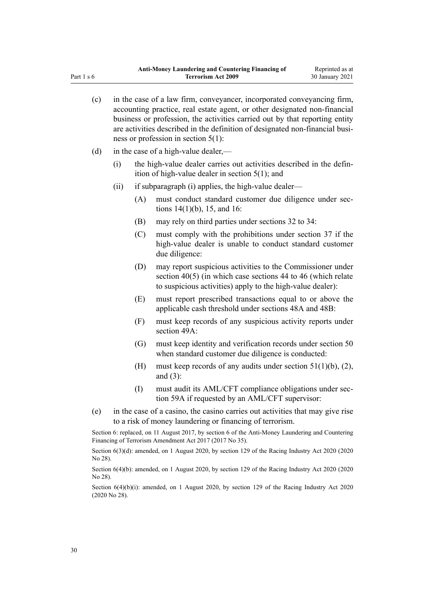| (c) |      |                   | in the case of a law firm, conveyancer, incorporated conveyancing firm,<br>accounting practice, real estate agent, or other designated non-financial<br>business or profession, the activities carried out by that reporting entity<br>are activities described in the definition of designated non-financial busi-<br>ness or profession in section $5(1)$ : |
|-----|------|-------------------|---------------------------------------------------------------------------------------------------------------------------------------------------------------------------------------------------------------------------------------------------------------------------------------------------------------------------------------------------------------|
| (d) |      |                   | in the case of a high-value dealer,—                                                                                                                                                                                                                                                                                                                          |
|     | (i)  |                   | the high-value dealer carries out activities described in the defin-<br>ition of high-value dealer in section $5(1)$ ; and                                                                                                                                                                                                                                    |
|     | (ii) |                   | if subparagraph (i) applies, the high-value dealer—                                                                                                                                                                                                                                                                                                           |
|     |      | (A)               | must conduct standard customer due diligence under sec-<br>tions $14(1)(b)$ , 15, and 16:                                                                                                                                                                                                                                                                     |
|     |      | (B)               | may rely on third parties under sections 32 to 34:                                                                                                                                                                                                                                                                                                            |
|     |      | (C)               | must comply with the prohibitions under section 37 if the<br>high-value dealer is unable to conduct standard customer<br>due diligence:                                                                                                                                                                                                                       |
|     |      | (D)               | may report suspicious activities to the Commissioner under<br>section $40(5)$ (in which case sections 44 to 46 (which relate<br>to suspicious activities) apply to the high-value dealer):                                                                                                                                                                    |
|     |      | (E)               | must report prescribed transactions equal to or above the<br>applicable cash threshold under sections 48A and 48B:                                                                                                                                                                                                                                            |
|     |      | (F)               | must keep records of any suspicious activity reports under<br>section 49A:                                                                                                                                                                                                                                                                                    |
|     |      | $\left( G\right)$ | must keep identity and verification records under section 50<br>when standard customer due diligence is conducted:                                                                                                                                                                                                                                            |
|     |      | (H)               | must keep records of any audits under section $51(1)(b)$ , (2),<br>and $(3)$ :                                                                                                                                                                                                                                                                                |
|     |      | (I)               | must audit its AML/CFT compliance obligations under sec-<br>tion 59A if requested by an AML/CFT supervisor:                                                                                                                                                                                                                                                   |
| (e) |      |                   | in the case of a casino, the casino carries out activities that may give rise<br>to a risk of money laundering or financing of terrorism.                                                                                                                                                                                                                     |

Section 6: replaced, on 11 August 2017, by [section 6](http://legislation.govt.nz/pdflink.aspx?id=DLM7161276) of the Anti-Money Laundering and Countering Financing of Terrorism Amendment Act 2017 (2017 No 35).

Section 6(3)(d): amended, on 1 August 2020, by [section 129](http://legislation.govt.nz/pdflink.aspx?id=LMS292230) of the Racing Industry Act 2020 (2020) No 28).

Section 6(4)(b): amended, on 1 August 2020, by [section 129](http://legislation.govt.nz/pdflink.aspx?id=LMS292230) of the Racing Industry Act 2020 (2020 No 28).

Section 6(4)(b)(i): amended, on 1 August 2020, by [section 129](http://legislation.govt.nz/pdflink.aspx?id=LMS292230) of the Racing Industry Act 2020 (2020 No 28).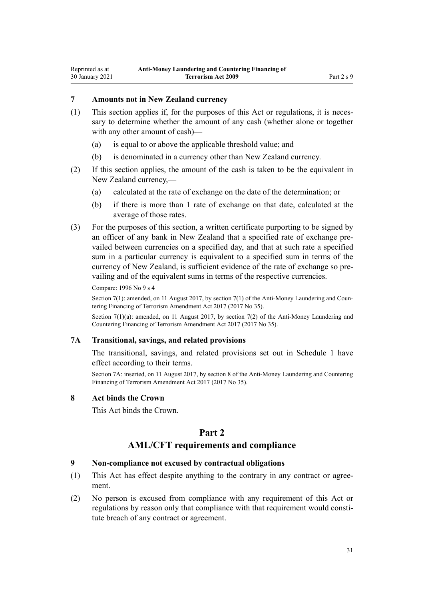## <span id="page-30-0"></span>**7 Amounts not in New Zealand currency**

- (1) This section applies if, for the purposes of this Act or regulations, it is necessary to determine whether the amount of any cash (whether alone or together with any other amount of cash)—
	- (a) is equal to or above the applicable threshold value; and
	- (b) is denominated in a currency other than New Zealand currency.
- (2) If this section applies, the amount of the cash is taken to be the equivalent in New Zealand currency,—
	- (a) calculated at the rate of exchange on the date of the determination; or
	- (b) if there is more than 1 rate of exchange on that date, calculated at the average of those rates.
- (3) For the purposes of this section, a written certificate purporting to be signed by an officer of any bank in New Zealand that a specified rate of exchange prevailed between currencies on a specified day, and that at such rate a specified sum in a particular currency is equivalent to a specified sum in terms of the currency of New Zealand, is sufficient evidence of the rate of exchange so prevailing and of the equivalent sums in terms of the respective currencies.

Compare: 1996 No 9 [s 4](http://legislation.govt.nz/pdflink.aspx?id=DLM373879)

Section 7(1): amended, on 11 August 2017, by [section 7\(1\)](http://legislation.govt.nz/pdflink.aspx?id=DLM7161278) of the Anti-Money Laundering and Countering Financing of Terrorism Amendment Act 2017 (2017 No 35).

Section 7(1)(a): amended, on 11 August 2017, by [section 7\(2\)](http://legislation.govt.nz/pdflink.aspx?id=DLM7161278) of the Anti-Money Laundering and Countering Financing of Terrorism Amendment Act 2017 (2017 No 35).

# **7A Transitional, savings, and related provisions**

The transitional, savings, and related provisions set out in [Schedule 1](#page-115-0) have effect according to their terms.

Section 7A: inserted, on 11 August 2017, by [section 8](http://legislation.govt.nz/pdflink.aspx?id=DLM7340617) of the Anti-Money Laundering and Countering Financing of Terrorism Amendment Act 2017 (2017 No 35).

#### **8 Act binds the Crown**

This Act binds the Crown.

## **Part 2**

## **AML/CFT requirements and compliance**

#### **9 Non-compliance not excused by contractual obligations**

- (1) This Act has effect despite anything to the contrary in any contract or agreement.
- (2) No person is excused from compliance with any requirement of this Act or regulations by reason only that compliance with that requirement would constitute breach of any contract or agreement.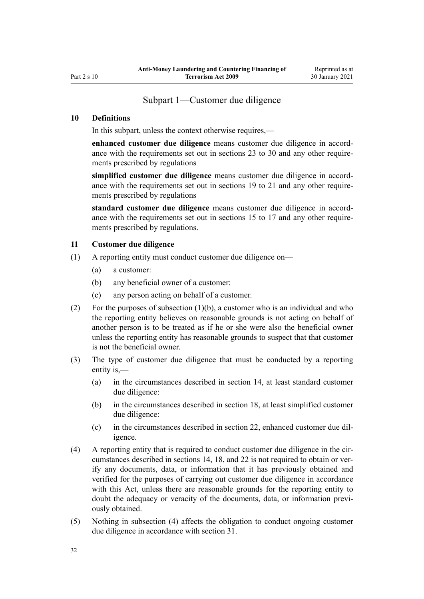# Subpart 1—Customer due diligence

#### <span id="page-31-0"></span>**10 Definitions**

In this subpart, unless the context otherwise requires,—

**enhanced customer due diligence** means customer due diligence in accordance with the requirements set out in [sections 23 to 30](#page-39-0) and any other requirements prescribed by regulations

**simplified customer due diligence** means customer due diligence in accordance with the requirements set out in [sections 19 to 21](#page-36-0) and any other requirements prescribed by regulations

**standard customer due diligence** means customer due diligence in accordance with the requirements set out in [sections 15 to 17](#page-33-0) and any other requirements prescribed by regulations.

#### **11 Customer due diligence**

- (1) A reporting entity must conduct customer due diligence on—
	- (a) a customer:
	- (b) any beneficial owner of a customer:
	- (c) any person acting on behalf of a customer.
- (2) For the purposes of subsection (1)(b), a customer who is an individual and who the reporting entity believes on reasonable grounds is not acting on behalf of another person is to be treated as if he or she were also the beneficial owner unless the reporting entity has reasonable grounds to suspect that that customer is not the beneficial owner.
- (3) The type of customer due diligence that must be conducted by a reporting entity is,—
	- (a) in the circumstances described in [section 14](#page-32-0), at least standard customer due diligence:
	- (b) in the circumstances described in [section 18,](#page-34-0) at least simplified customer due diligence:
	- (c) in the circumstances described in [section 22,](#page-37-0) enhanced customer due diligence.
- (4) A reporting entity that is required to conduct customer due diligence in the circumstances described in [sections 14](#page-32-0), [18,](#page-34-0) and [22](#page-37-0) is not required to obtain or verify any documents, data, or information that it has previously obtained and verified for the purposes of carrying out customer due diligence in accordance with this Act, unless there are reasonable grounds for the reporting entity to doubt the adequacy or veracity of the documents, data, or information previously obtained.
- (5) Nothing in subsection (4) affects the obligation to conduct ongoing customer due diligence in accordance with [section 31](#page-43-0).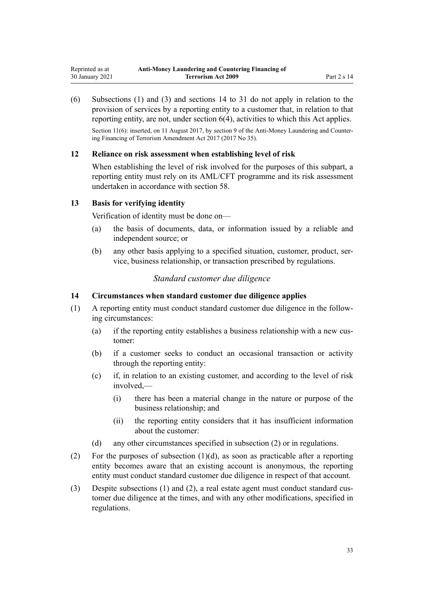<span id="page-32-0"></span>(6) Subsections (1) and (3) and sections 14 to 31 do not apply in relation to the provision of services by a reporting entity to a customer that, in relation to that reporting entity, are not, under [section 6\(4\)](#page-28-0), activities to which this Act applies.

Section 11(6): inserted, on 11 August 2017, by [section 9](http://legislation.govt.nz/pdflink.aspx?id=DLM7340619) of the Anti-Money Laundering and Countering Financing of Terrorism Amendment Act 2017 (2017 No 35).

## **12 Reliance on risk assessment when establishing level of risk**

When establishing the level of risk involved for the purposes of this subpart, a reporting entity must rely on its AML/CFT programme and its risk assessment undertaken in accordance with [section 58.](#page-63-0)

## **13 Basis for verifying identity**

Verification of identity must be done on—

- (a) the basis of documents, data, or information issued by a reliable and independent source; or
- (b) any other basis applying to a specified situation, customer, product, service, business relationship, or transaction prescribed by regulations.

# *Standard customer due diligence*

## **14 Circumstances when standard customer due diligence applies**

- (1) A reporting entity must conduct standard customer due diligence in the following circumstances:
	- (a) if the reporting entity establishes a business relationship with a new customer:
	- (b) if a customer seeks to conduct an occasional transaction or activity through the reporting entity:
	- (c) if, in relation to an existing customer, and according to the level of risk involved,—
		- (i) there has been a material change in the nature or purpose of the business relationship; and
		- (ii) the reporting entity considers that it has insufficient information about the customer:
	- (d) any other circumstances specified in subsection (2) or in regulations.
- (2) For the purposes of subsection  $(1)(d)$ , as soon as practicable after a reporting entity becomes aware that an existing account is anonymous, the reporting entity must conduct standard customer due diligence in respect of that account.
- (3) Despite subsections (1) and (2), a real estate agent must conduct standard customer due diligence at the times, and with any other modifications, specified in regulations.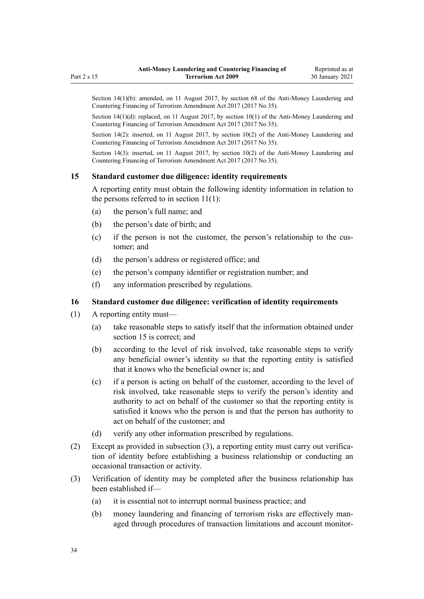<span id="page-33-0"></span>Section 14(1)(b): amended, on 11 August 2017, by [section 68](http://legislation.govt.nz/pdflink.aspx?id=DLM7340644) of the Anti-Money Laundering and Countering Financing of Terrorism Amendment Act 2017 (2017 No 35).

Section  $14(1)(d)$ : replaced, on 11 August 2017, by section  $10(1)$  of the Anti-Money Laundering and Countering Financing of Terrorism Amendment Act 2017 (2017 No 35).

Section 14(2): inserted, on 11 August 2017, by [section 10\(2\)](http://legislation.govt.nz/pdflink.aspx?id=DLM7161279) of the Anti-Money Laundering and Countering Financing of Terrorism Amendment Act 2017 (2017 No 35).

Section 14(3): inserted, on 11 August 2017, by [section 10\(2\)](http://legislation.govt.nz/pdflink.aspx?id=DLM7161279) of the Anti-Money Laundering and Countering Financing of Terrorism Amendment Act 2017 (2017 No 35).

## **15 Standard customer due diligence: identity requirements**

A reporting entity must obtain the following identity information in relation to the persons referred to in [section 11\(1\):](#page-31-0)

- (a) the person's full name; and
- (b) the person's date of birth; and
- (c) if the person is not the customer, the person's relationship to the customer; and
- (d) the person's address or registered office; and
- (e) the person's company identifier or registration number; and
- (f) any information prescribed by regulations.

#### **16 Standard customer due diligence: verification of identity requirements**

- (1) A reporting entity must—
	- (a) take reasonable steps to satisfy itself that the information obtained under section 15 is correct; and
	- (b) according to the level of risk involved, take reasonable steps to verify any beneficial owner's identity so that the reporting entity is satisfied that it knows who the beneficial owner is; and
	- (c) if a person is acting on behalf of the customer, according to the level of risk involved, take reasonable steps to verify the person's identity and authority to act on behalf of the customer so that the reporting entity is satisfied it knows who the person is and that the person has authority to act on behalf of the customer; and
	- (d) verify any other information prescribed by regulations.
- (2) Except as provided in subsection (3), a reporting entity must carry out verification of identity before establishing a business relationship or conducting an occasional transaction or activity.
- (3) Verification of identity may be completed after the business relationship has been established if—
	- (a) it is essential not to interrupt normal business practice; and
	- (b) money laundering and financing of terrorism risks are effectively managed through procedures of transaction limitations and account monitor-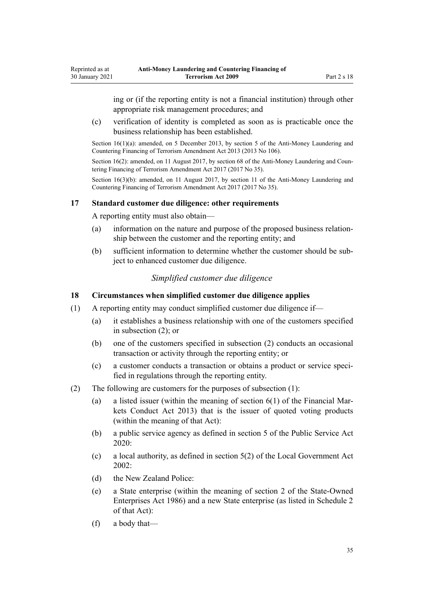ing or (if the reporting entity is not a financial institution) through other appropriate risk management procedures; and

(c) verification of identity is completed as soon as is practicable once the business relationship has been established.

Section 16(1)(a): amended, on 5 December 2013, by [section 5](http://legislation.govt.nz/pdflink.aspx?id=DLM5621509) of the Anti-Money Laundering and Countering Financing of Terrorism Amendment Act 2013 (2013 No 106).

Section 16(2): amended, on 11 August 2017, by [section 68](http://legislation.govt.nz/pdflink.aspx?id=DLM7340644) of the Anti-Money Laundering and Countering Financing of Terrorism Amendment Act 2017 (2017 No 35).

Section 16(3)(b): amended, on 11 August 2017, by [section 11](http://legislation.govt.nz/pdflink.aspx?id=DLM7340620) of the Anti-Money Laundering and Countering Financing of Terrorism Amendment Act 2017 (2017 No 35).

#### **17 Standard customer due diligence: other requirements**

A reporting entity must also obtain—

<span id="page-34-0"></span>Reprinted as at 30 January 2021

- (a) information on the nature and purpose of the proposed business relationship between the customer and the reporting entity; and
- (b) sufficient information to determine whether the customer should be subject to enhanced customer due diligence.

# *Simplified customer due diligence*

#### **18 Circumstances when simplified customer due diligence applies**

- (1) A reporting entity may conduct simplified customer due diligence if—
	- (a) it establishes a business relationship with one of the customers specified in subsection (2); or
	- (b) one of the customers specified in subsection (2) conducts an occasional transaction or activity through the reporting entity; or
	- (c) a customer conducts a transaction or obtains a product or service specified in regulations through the reporting entity.
- (2) The following are customers for the purposes of subsection (1):
	- (a) a listed issuer (within the meaning of [section 6\(1\)](http://legislation.govt.nz/pdflink.aspx?id=DLM4090590) of the Financial Markets Conduct Act 2013) that is the issuer of quoted voting products (within the meaning of that Act):
	- (b) a public service agency as defined in [section 5](http://legislation.govt.nz/pdflink.aspx?id=LMS356868) of the Public Service Act 2020:
	- (c) a local authority, as defined in [section 5\(2\)](http://legislation.govt.nz/pdflink.aspx?id=DLM170881) of the Local Government Act 2002:
	- (d) the New Zealand Police:
	- (e) a State enterprise (within the meaning of [section 2](http://legislation.govt.nz/pdflink.aspx?id=DLM97382) of the State-Owned Enterprises Act 1986) and a new State enterprise (as listed in [Schedule 2](http://legislation.govt.nz/pdflink.aspx?id=DLM98602) of that Act):
	- (f) a body that—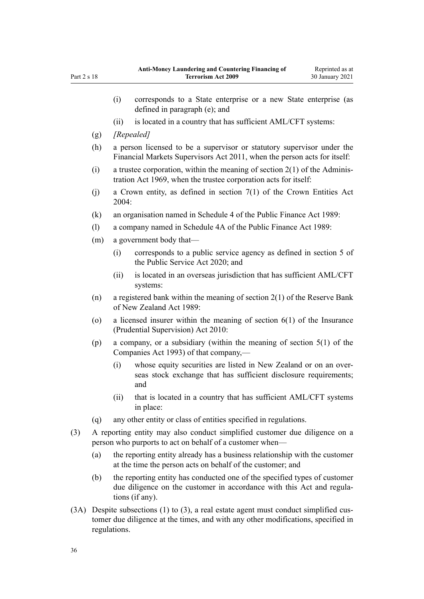|     |                                                                                                                                        | (i)                                                                                                                                                                   | corresponds to a State enterprise or a new State enterprise (as<br>defined in paragraph (e); and                                            |  |
|-----|----------------------------------------------------------------------------------------------------------------------------------------|-----------------------------------------------------------------------------------------------------------------------------------------------------------------------|---------------------------------------------------------------------------------------------------------------------------------------------|--|
|     |                                                                                                                                        | (ii)                                                                                                                                                                  | is located in a country that has sufficient AML/CFT systems:                                                                                |  |
|     | (g)                                                                                                                                    |                                                                                                                                                                       | [Repealed]                                                                                                                                  |  |
|     | (h)                                                                                                                                    | a person licensed to be a supervisor or statutory supervisor under the<br>Financial Markets Supervisors Act 2011, when the person acts for itself:                    |                                                                                                                                             |  |
|     | (i)                                                                                                                                    | a trustee corporation, within the meaning of section $2(1)$ of the Adminis-<br>tration Act 1969, when the trustee corporation acts for itself:                        |                                                                                                                                             |  |
|     | (j)                                                                                                                                    | a Crown entity, as defined in section $7(1)$ of the Crown Entities Act<br>2004:                                                                                       |                                                                                                                                             |  |
|     | (k)                                                                                                                                    | an organisation named in Schedule 4 of the Public Finance Act 1989:                                                                                                   |                                                                                                                                             |  |
|     | (1)                                                                                                                                    | a company named in Schedule 4A of the Public Finance Act 1989:                                                                                                        |                                                                                                                                             |  |
|     | (m)                                                                                                                                    | a government body that—                                                                                                                                               |                                                                                                                                             |  |
|     |                                                                                                                                        | (i)                                                                                                                                                                   | corresponds to a public service agency as defined in section 5 of<br>the Public Service Act 2020; and                                       |  |
|     |                                                                                                                                        | (ii)                                                                                                                                                                  | is located in an overseas jurisdiction that has sufficient AML/CFT<br>systems:                                                              |  |
|     | (n)                                                                                                                                    | a registered bank within the meaning of section $2(1)$ of the Reserve Bank<br>of New Zealand Act 1989:                                                                |                                                                                                                                             |  |
|     | (0)                                                                                                                                    | a licensed insurer within the meaning of section $6(1)$ of the Insurance<br>(Prudential Supervision) Act 2010:                                                        |                                                                                                                                             |  |
|     | (p)<br>Companies Act 1993) of that company,—                                                                                           |                                                                                                                                                                       | a company, or a subsidiary (within the meaning of section $5(1)$ of the                                                                     |  |
|     |                                                                                                                                        | (i)                                                                                                                                                                   | whose equity securities are listed in New Zealand or on an over-<br>seas stock exchange that has sufficient disclosure requirements;<br>and |  |
|     |                                                                                                                                        | (ii)                                                                                                                                                                  | that is located in a country that has sufficient AML/CFT systems<br>in place:                                                               |  |
|     | (q)                                                                                                                                    |                                                                                                                                                                       | any other entity or class of entities specified in regulations.                                                                             |  |
| (3) | A reporting entity may also conduct simplified customer due diligence on a<br>person who purports to act on behalf of a customer when— |                                                                                                                                                                       |                                                                                                                                             |  |
|     | (a)                                                                                                                                    | the reporting entity already has a business relationship with the customer<br>at the time the person acts on behalf of the customer; and                              |                                                                                                                                             |  |
|     | (b)                                                                                                                                    | the reporting entity has conducted one of the specified types of customer<br>due diligence on the customer in accordance with this Act and regula-<br>tions (if any). |                                                                                                                                             |  |
|     | $(3A)$ Despite subsections $(1)$ to $(3)$ a real estate agent must conduct simplified cus-                                             |                                                                                                                                                                       |                                                                                                                                             |  |

(3A) Despite subsections (1) to (3), a real estate agent must conduct simplified customer due diligence at the times, and with any other modifications, specified in regulations.

Part 2 s 18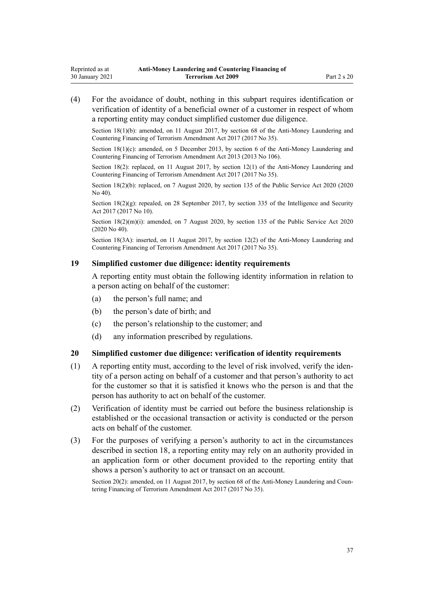<span id="page-36-0"></span>(4) For the avoidance of doubt, nothing in this subpart requires identification or verification of identity of a beneficial owner of a customer in respect of whom a reporting entity may conduct simplified customer due diligence.

Section 18(1)(b): amended, on 11 August 2017, by [section 68](http://legislation.govt.nz/pdflink.aspx?id=DLM7340644) of the Anti-Money Laundering and Countering Financing of Terrorism Amendment Act 2017 (2017 No 35).

Section 18(1)(c): amended, on 5 December 2013, by [section 6](http://legislation.govt.nz/pdflink.aspx?id=DLM5621510) of the Anti-Money Laundering and Countering Financing of Terrorism Amendment Act 2013 (2013 No 106).

Section 18(2): replaced, on 11 August 2017, by [section 12\(1\)](http://legislation.govt.nz/pdflink.aspx?id=DLM7161280) of the Anti-Money Laundering and Countering Financing of Terrorism Amendment Act 2017 (2017 No 35).

Section 18(2)(b): replaced, on 7 August 2020, by [section 135](http://legislation.govt.nz/pdflink.aspx?id=LMS176959) of the Public Service Act 2020 (2020) No 40).

Section  $18(2)(g)$ : repealed, on 28 September 2017, by [section 335](http://legislation.govt.nz/pdflink.aspx?id=DLM6921475) of the Intelligence and Security Act 2017 (2017 No 10).

Section 18(2)(m)(i): amended, on 7 August 2020, by [section 135](http://legislation.govt.nz/pdflink.aspx?id=LMS176959) of the Public Service Act 2020 (2020 No 40).

Section 18(3A): inserted, on 11 August 2017, by [section 12\(2\)](http://legislation.govt.nz/pdflink.aspx?id=DLM7161280) of the Anti-Money Laundering and Countering Financing of Terrorism Amendment Act 2017 (2017 No 35).

#### **19 Simplified customer due diligence: identity requirements**

A reporting entity must obtain the following identity information in relation to a person acting on behalf of the customer:

- (a) the person's full name; and
- (b) the person's date of birth; and
- (c) the person's relationship to the customer; and
- (d) any information prescribed by regulations.

#### **20 Simplified customer due diligence: verification of identity requirements**

- (1) A reporting entity must, according to the level of risk involved, verify the identity of a person acting on behalf of a customer and that person's authority to act for the customer so that it is satisfied it knows who the person is and that the person has authority to act on behalf of the customer.
- (2) Verification of identity must be carried out before the business relationship is established or the occasional transaction or activity is conducted or the person acts on behalf of the customer.
- (3) For the purposes of verifying a person's authority to act in the circumstances described in [section 18](#page-34-0), a reporting entity may rely on an authority provided in an application form or other document provided to the reporting entity that shows a person's authority to act or transact on an account.

Section 20(2): amended, on 11 August 2017, by [section 68](http://legislation.govt.nz/pdflink.aspx?id=DLM7340644) of the Anti-Money Laundering and Countering Financing of Terrorism Amendment Act 2017 (2017 No 35).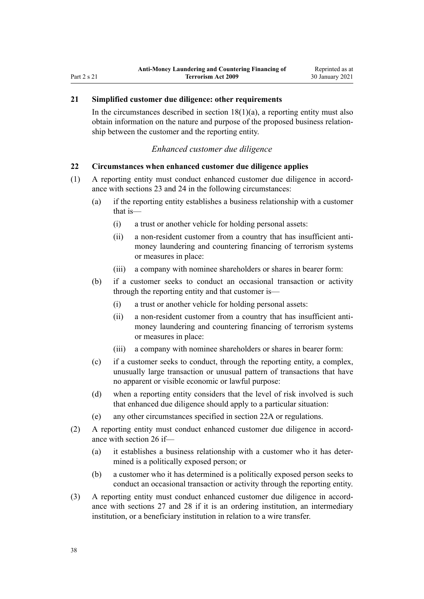# <span id="page-37-0"></span>**21 Simplified customer due diligence: other requirements**

In the circumstances described in section  $18(1)(a)$ , a reporting entity must also obtain information on the nature and purpose of the proposed business relationship between the customer and the reporting entity.

#### *Enhanced customer due diligence*

#### **22 Circumstances when enhanced customer due diligence applies**

- (1) A reporting entity must conduct enhanced customer due diligence in accordance with [sections 23](#page-39-0) and [24](#page-39-0) in the following circumstances:
	- (a) if the reporting entity establishes a business relationship with a customer that is—
		- (i) a trust or another vehicle for holding personal assets:
		- (ii) a non-resident customer from a country that has insufficient antimoney laundering and countering financing of terrorism systems or measures in place:
		- (iii) a company with nominee shareholders or shares in bearer form:
	- (b) if a customer seeks to conduct an occasional transaction or activity through the reporting entity and that customer is—
		- (i) a trust or another vehicle for holding personal assets:
		- (ii) a non-resident customer from a country that has insufficient antimoney laundering and countering financing of terrorism systems or measures in place:
		- (iii) a company with nominee shareholders or shares in bearer form:
	- (c) if a customer seeks to conduct, through the reporting entity, a complex, unusually large transaction or unusual pattern of transactions that have no apparent or visible economic or lawful purpose:
	- (d) when a reporting entity considers that the level of risk involved is such that enhanced due diligence should apply to a particular situation:
	- (e) any other circumstances specified in [section 22A](#page-38-0) or regulations.
- (2) A reporting entity must conduct enhanced customer due diligence in accordance with [section 26](#page-40-0) if—
	- (a) it establishes a business relationship with a customer who it has determined is a politically exposed person; or
	- (b) a customer who it has determined is a politically exposed person seeks to conduct an occasional transaction or activity through the reporting entity.
- (3) A reporting entity must conduct enhanced customer due diligence in accordance with [sections 27](#page-40-0) and [28](#page-42-0) if it is an ordering institution, an intermediary institution, or a beneficiary institution in relation to a wire transfer.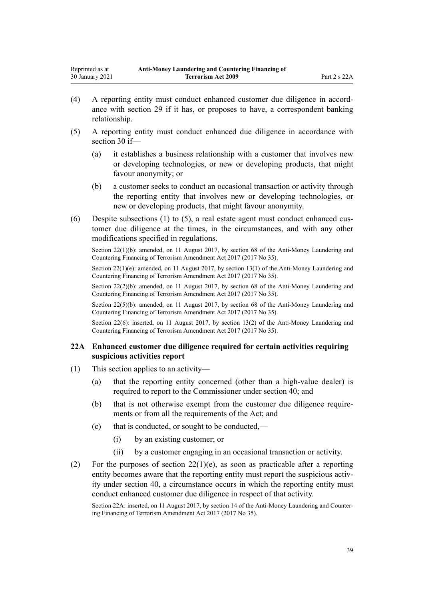- <span id="page-38-0"></span>(4) A reporting entity must conduct enhanced customer due diligence in accordance with [section 29](#page-42-0) if it has, or proposes to have, a correspondent banking relationship.
- (5) A reporting entity must conduct enhanced due diligence in accordance with [section 30](#page-43-0) if—
	- (a) it establishes a business relationship with a customer that involves new or developing technologies, or new or developing products, that might favour anonymity; or
	- (b) a customer seeks to conduct an occasional transaction or activity through the reporting entity that involves new or developing technologies, or new or developing products, that might favour anonymity.
- (6) Despite subsections (1) to (5), a real estate agent must conduct enhanced customer due diligence at the times, in the circumstances, and with any other modifications specified in regulations.

Section 22(1)(b): amended, on 11 August 2017, by [section 68](http://legislation.govt.nz/pdflink.aspx?id=DLM7340644) of the Anti-Money Laundering and Countering Financing of Terrorism Amendment Act 2017 (2017 No 35).

Section 22(1)(e): amended, on 11 August 2017, by [section 13\(1\)](http://legislation.govt.nz/pdflink.aspx?id=DLM7161281) of the Anti-Money Laundering and Countering Financing of Terrorism Amendment Act 2017 (2017 No 35).

Section 22(2)(b): amended, on 11 August 2017, by [section 68](http://legislation.govt.nz/pdflink.aspx?id=DLM7340644) of the Anti-Money Laundering and Countering Financing of Terrorism Amendment Act 2017 (2017 No 35).

Section 22(5)(b): amended, on 11 August 2017, by [section 68](http://legislation.govt.nz/pdflink.aspx?id=DLM7340644) of the Anti-Money Laundering and Countering Financing of Terrorism Amendment Act 2017 (2017 No 35).

Section 22(6): inserted, on 11 August 2017, by [section 13\(2\)](http://legislation.govt.nz/pdflink.aspx?id=DLM7161281) of the Anti-Money Laundering and Countering Financing of Terrorism Amendment Act 2017 (2017 No 35).

### **22A Enhanced customer due diligence required for certain activities requiring suspicious activities report**

- (1) This section applies to an activity—
	- (a) that the reporting entity concerned (other than a high-value dealer) is required to report to the Commissioner under [section 40](#page-50-0); and
	- (b) that is not otherwise exempt from the customer due diligence requirements or from all the requirements of the Act; and
	- (c) that is conducted, or sought to be conducted,—
		- (i) by an existing customer; or
		- (ii) by a customer engaging in an occasional transaction or activity.
- (2) For the purposes of section  $22(1)(e)$ , as soon as practicable after a reporting entity becomes aware that the reporting entity must report the suspicious activity under [section 40,](#page-50-0) a circumstance occurs in which the reporting entity must conduct enhanced customer due diligence in respect of that activity.

Section 22A: inserted, on 11 August 2017, by [section 14](http://legislation.govt.nz/pdflink.aspx?id=DLM7340621) of the Anti-Money Laundering and Countering Financing of Terrorism Amendment Act 2017 (2017 No 35).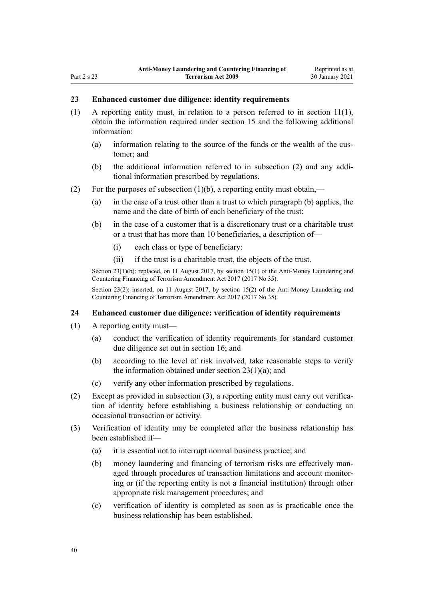#### <span id="page-39-0"></span>**23 Enhanced customer due diligence: identity requirements**

- (1) A reporting entity must, in relation to a person referred to in [section 11\(1\)](#page-31-0), obtain the information required under [section 15](#page-33-0) and the following additional information:
	- (a) information relating to the source of the funds or the wealth of the customer; and
	- (b) the additional information referred to in subsection (2) and any additional information prescribed by regulations.
- (2) For the purposes of subsection  $(1)(b)$ , a reporting entity must obtain,—
	- (a) in the case of a trust other than a trust to which paragraph (b) applies, the name and the date of birth of each beneficiary of the trust:
	- (b) in the case of a customer that is a discretionary trust or a charitable trust or a trust that has more than 10 beneficiaries, a description of—
		- (i) each class or type of beneficiary:
		- (ii) if the trust is a charitable trust, the objects of the trust.

Section 23(1)(b): replaced, on 11 August 2017, by [section 15\(1\)](http://legislation.govt.nz/pdflink.aspx?id=DLM7161282) of the Anti-Money Laundering and Countering Financing of Terrorism Amendment Act 2017 (2017 No 35).

Section 23(2): inserted, on 11 August 2017, by [section 15\(2\)](http://legislation.govt.nz/pdflink.aspx?id=DLM7161282) of the Anti-Money Laundering and Countering Financing of Terrorism Amendment Act 2017 (2017 No 35).

#### **24 Enhanced customer due diligence: verification of identity requirements**

- (1) A reporting entity must—
	- (a) conduct the verification of identity requirements for standard customer due diligence set out in [section 16;](#page-33-0) and
	- (b) according to the level of risk involved, take reasonable steps to verify the information obtained under section  $23(1)(a)$ ; and
	- (c) verify any other information prescribed by regulations.
- (2) Except as provided in subsection (3), a reporting entity must carry out verification of identity before establishing a business relationship or conducting an occasional transaction or activity.
- (3) Verification of identity may be completed after the business relationship has been established if—
	- (a) it is essential not to interrupt normal business practice; and
	- (b) money laundering and financing of terrorism risks are effectively managed through procedures of transaction limitations and account monitoring or (if the reporting entity is not a financial institution) through other appropriate risk management procedures; and
	- (c) verification of identity is completed as soon as is practicable once the business relationship has been established.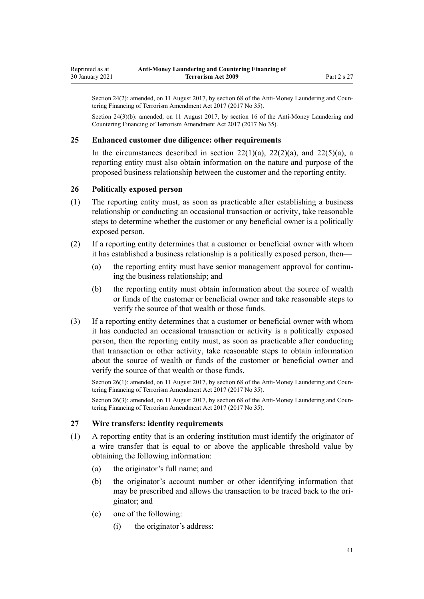<span id="page-40-0"></span>Section 24(2): amended, on 11 August 2017, by [section 68](http://legislation.govt.nz/pdflink.aspx?id=DLM7340644) of the Anti-Money Laundering and Countering Financing of Terrorism Amendment Act 2017 (2017 No 35).

Section 24(3)(b): amended, on 11 August 2017, by [section 16](http://legislation.govt.nz/pdflink.aspx?id=DLM7340623) of the Anti-Money Laundering and Countering Financing of Terrorism Amendment Act 2017 (2017 No 35).

#### **25 Enhanced customer due diligence: other requirements**

In the circumstances described in section  $22(1)(a)$ ,  $22(2)(a)$ , and  $22(5)(a)$ , a reporting entity must also obtain information on the nature and purpose of the proposed business relationship between the customer and the reporting entity.

#### **26 Politically exposed person**

- (1) The reporting entity must, as soon as practicable after establishing a business relationship or conducting an occasional transaction or activity, take reasonable steps to determine whether the customer or any beneficial owner is a politically exposed person.
- (2) If a reporting entity determines that a customer or beneficial owner with whom it has established a business relationship is a politically exposed person, then—
	- (a) the reporting entity must have senior management approval for continuing the business relationship; and
	- (b) the reporting entity must obtain information about the source of wealth or funds of the customer or beneficial owner and take reasonable steps to verify the source of that wealth or those funds.
- (3) If a reporting entity determines that a customer or beneficial owner with whom it has conducted an occasional transaction or activity is a politically exposed person, then the reporting entity must, as soon as practicable after conducting that transaction or other activity, take reasonable steps to obtain information about the source of wealth or funds of the customer or beneficial owner and verify the source of that wealth or those funds.

Section 26(1): amended, on 11 August 2017, by [section 68](http://legislation.govt.nz/pdflink.aspx?id=DLM7340644) of the Anti-Money Laundering and Countering Financing of Terrorism Amendment Act 2017 (2017 No 35).

Section 26(3): amended, on 11 August 2017, by [section 68](http://legislation.govt.nz/pdflink.aspx?id=DLM7340644) of the Anti-Money Laundering and Countering Financing of Terrorism Amendment Act 2017 (2017 No 35).

#### **27 Wire transfers: identity requirements**

- (1) A reporting entity that is an ordering institution must identify the originator of a wire transfer that is equal to or above the applicable threshold value by obtaining the following information:
	- (a) the originator's full name; and
	- (b) the originator's account number or other identifying information that may be prescribed and allows the transaction to be traced back to the originator; and
	- (c) one of the following:
		- (i) the originator's address: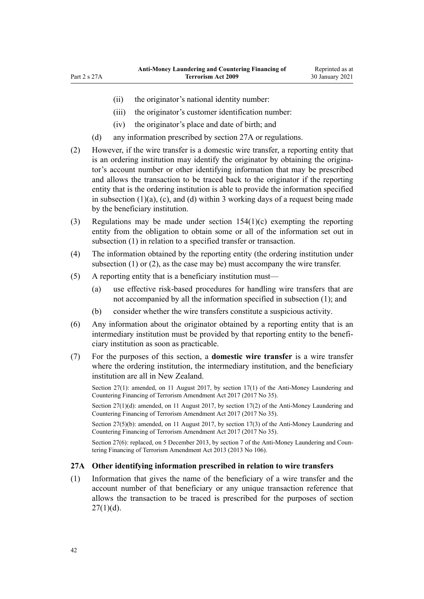- (ii) the originator's national identity number:
- (iii) the originator's customer identification number:
- (iv) the originator's place and date of birth; and
- (d) any information prescribed by section 27A or regulations.
- (2) However, if the wire transfer is a domestic wire transfer, a reporting entity that is an ordering institution may identify the originator by obtaining the originator's account number or other identifying information that may be prescribed and allows the transaction to be traced back to the originator if the reporting entity that is the ordering institution is able to provide the information specified in subsection  $(1)(a)$ ,  $(c)$ , and  $(d)$  within 3 working days of a request being made by the beneficiary institution.
- (3) Regulations may be made under [section 154\(1\)\(c\)](#page-107-0) exempting the reporting entity from the obligation to obtain some or all of the information set out in subsection (1) in relation to a specified transfer or transaction.
- (4) The information obtained by the reporting entity (the ordering institution under subsection (1) or (2), as the case may be) must accompany the wire transfer.
- (5) A reporting entity that is a beneficiary institution must—
	- (a) use effective risk-based procedures for handling wire transfers that are not accompanied by all the information specified in subsection (1); and
	- (b) consider whether the wire transfers constitute a suspicious activity.
- (6) Any information about the originator obtained by a reporting entity that is an intermediary institution must be provided by that reporting entity to the beneficiary institution as soon as practicable.
- (7) For the purposes of this section, a **domestic wire transfer** is a wire transfer where the ordering institution, the intermediary institution, and the beneficiary institution are all in New Zealand.

Section 27(1): amended, on 11 August 2017, by [section 17\(1\)](http://legislation.govt.nz/pdflink.aspx?id=DLM7161283) of the Anti-Money Laundering and Countering Financing of Terrorism Amendment Act 2017 (2017 No 35).

Section 27(1)(d): amended, on 11 August 2017, by [section 17\(2\)](http://legislation.govt.nz/pdflink.aspx?id=DLM7161283) of the Anti-Money Laundering and Countering Financing of Terrorism Amendment Act 2017 (2017 No 35).

Section 27(5)(b): amended, on 11 August 2017, by [section 17\(3\)](http://legislation.govt.nz/pdflink.aspx?id=DLM7161283) of the Anti-Money Laundering and Countering Financing of Terrorism Amendment Act 2017 (2017 No 35).

Section 27(6): replaced, on 5 December 2013, by [section 7](http://legislation.govt.nz/pdflink.aspx?id=DLM5621511) of the Anti-Money Laundering and Countering Financing of Terrorism Amendment Act 2013 (2013 No 106).

### **27A Other identifying information prescribed in relation to wire transfers**

(1) Information that gives the name of the beneficiary of a wire transfer and the account number of that beneficiary or any unique transaction reference that allows the transaction to be traced is prescribed for the purposes of [section](#page-40-0)  $27(1)(d)$ .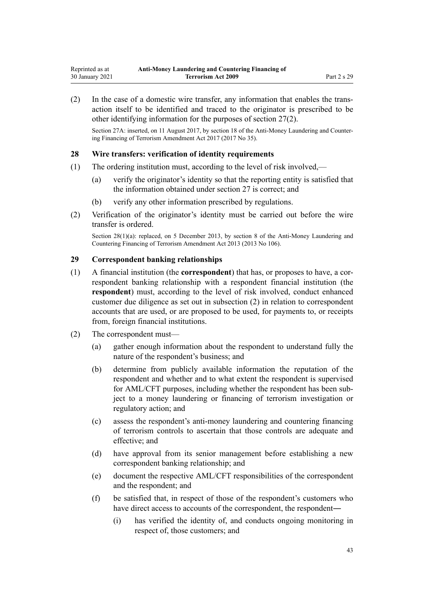<span id="page-42-0"></span>(2) In the case of a domestic wire transfer, any information that enables the transaction itself to be identified and traced to the originator is prescribed to be other identifying information for the purposes of [section 27\(2\)](#page-40-0).

Section 27A: inserted, on 11 August 2017, by [section 18](http://legislation.govt.nz/pdflink.aspx?id=DLM7340624) of the Anti-Money Laundering and Countering Financing of Terrorism Amendment Act 2017 (2017 No 35).

#### **28 Wire transfers: verification of identity requirements**

- (1) The ordering institution must, according to the level of risk involved,—
	- (a) verify the originator's identity so that the reporting entity is satisfied that the information obtained under [section 27](#page-40-0) is correct; and
	- (b) verify any other information prescribed by regulations.
- (2) Verification of the originator's identity must be carried out before the wire transfer is ordered.

Section 28(1)(a): replaced, on 5 December 2013, by [section 8](http://legislation.govt.nz/pdflink.aspx?id=DLM5621512) of the Anti-Money Laundering and Countering Financing of Terrorism Amendment Act 2013 (2013 No 106).

#### **29 Correspondent banking relationships**

- (1) A financial institution (the **correspondent**) that has, or proposes to have, a correspondent banking relationship with a respondent financial institution (the **respondent**) must, according to the level of risk involved, conduct enhanced customer due diligence as set out in subsection (2) in relation to correspondent accounts that are used, or are proposed to be used, for payments to, or receipts from, foreign financial institutions.
- (2) The correspondent must—
	- (a) gather enough information about the respondent to understand fully the nature of the respondent's business; and
	- (b) determine from publicly available information the reputation of the respondent and whether and to what extent the respondent is supervised for AML/CFT purposes, including whether the respondent has been subject to a money laundering or financing of terrorism investigation or regulatory action; and
	- (c) assess the respondent's anti-money laundering and countering financing of terrorism controls to ascertain that those controls are adequate and effective; and
	- (d) have approval from its senior management before establishing a new correspondent banking relationship; and
	- (e) document the respective AML/CFT responsibilities of the correspondent and the respondent; and
	- (f) be satisfied that, in respect of those of the respondent's customers who have direct access to accounts of the correspondent, the respondent—
		- (i) has verified the identity of, and conducts ongoing monitoring in respect of, those customers; and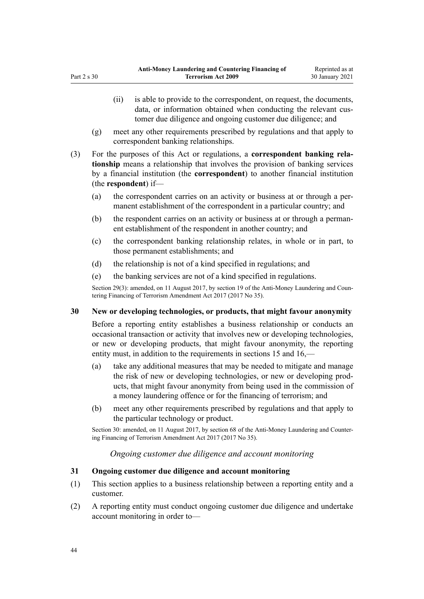- <span id="page-43-0"></span>(ii) is able to provide to the correspondent, on request, the documents, data, or information obtained when conducting the relevant customer due diligence and ongoing customer due diligence; and
- (g) meet any other requirements prescribed by regulations and that apply to correspondent banking relationships.
- (3) For the purposes of this Act or regulations, a **correspondent banking relationship** means a relationship that involves the provision of banking services by a financial institution (the **correspondent**) to another financial institution (the **respondent**) if—
	- (a) the correspondent carries on an activity or business at or through a permanent establishment of the correspondent in a particular country; and
	- (b) the respondent carries on an activity or business at or through a permanent establishment of the respondent in another country; and
	- (c) the correspondent banking relationship relates, in whole or in part, to those permanent establishments; and
	- (d) the relationship is not of a kind specified in regulations; and
	- (e) the banking services are not of a kind specified in regulations.

Section 29(3): amended, on 11 August 2017, by [section 19](http://legislation.govt.nz/pdflink.aspx?id=DLM7340626) of the Anti-Money Laundering and Countering Financing of Terrorism Amendment Act 2017 (2017 No 35).

# **30 New or developing technologies, or products, that might favour anonymity**

Before a reporting entity establishes a business relationship or conducts an occasional transaction or activity that involves new or developing technologies, or new or developing products, that might favour anonymity, the reporting entity must, in addition to the requirements in [sections 15](#page-33-0) and [16,](#page-33-0)—

- (a) take any additional measures that may be needed to mitigate and manage the risk of new or developing technologies, or new or developing products, that might favour anonymity from being used in the commission of a money laundering offence or for the financing of terrorism; and
- (b) meet any other requirements prescribed by regulations and that apply to the particular technology or product.

Section 30: amended, on 11 August 2017, by [section 68](http://legislation.govt.nz/pdflink.aspx?id=DLM7340644) of the Anti-Money Laundering and Countering Financing of Terrorism Amendment Act 2017 (2017 No 35).

# *Ongoing customer due diligence and account monitoring*

# **31 Ongoing customer due diligence and account monitoring**

- (1) This section applies to a business relationship between a reporting entity and a customer.
- (2) A reporting entity must conduct ongoing customer due diligence and undertake account monitoring in order to—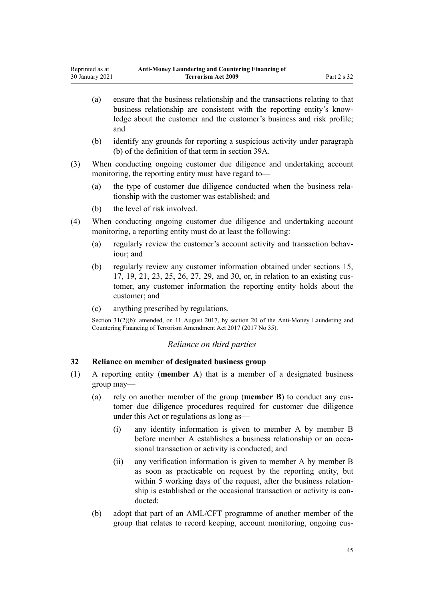- <span id="page-44-0"></span>(a) ensure that the business relationship and the transactions relating to that business relationship are consistent with the reporting entity's knowledge about the customer and the customer's business and risk profile; and
- (b) identify any grounds for reporting a suspicious activity under paragraph (b) of the definition of that term in [section 39A](#page-50-0).
- (3) When conducting ongoing customer due diligence and undertaking account monitoring, the reporting entity must have regard to—
	- (a) the type of customer due diligence conducted when the business relationship with the customer was established; and
	- (b) the level of risk involved.
- (4) When conducting ongoing customer due diligence and undertaking account monitoring, a reporting entity must do at least the following:
	- (a) regularly review the customer's account activity and transaction behaviour; and
	- (b) regularly review any customer information obtained under [sections 15](#page-33-0), [17,](#page-34-0) [19,](#page-36-0) [21,](#page-37-0) [23,](#page-39-0) [25](#page-40-0), [26](#page-40-0), [27](#page-40-0), [29](#page-42-0), and [30,](#page-43-0) or, in relation to an existing customer, any customer information the reporting entity holds about the customer; and
	- (c) anything prescribed by regulations.

Section 31(2)(b): amended, on 11 August 2017, by [section 20](http://legislation.govt.nz/pdflink.aspx?id=DLM7386133) of the Anti-Money Laundering and Countering Financing of Terrorism Amendment Act 2017 (2017 No 35).

# *Reliance on third parties*

#### **32 Reliance on member of designated business group**

- (1) A reporting entity (**member A**) that is a member of a designated business group may—
	- (a) rely on another member of the group (**member B**) to conduct any customer due diligence procedures required for customer due diligence under this Act or regulations as long as—
		- (i) any identity information is given to member A by member B before member A establishes a business relationship or an occasional transaction or activity is conducted; and
		- (ii) any verification information is given to member A by member B as soon as practicable on request by the reporting entity, but within 5 working days of the request, after the business relationship is established or the occasional transaction or activity is conducted:
	- (b) adopt that part of an AML/CFT programme of another member of the group that relates to record keeping, account monitoring, ongoing cus-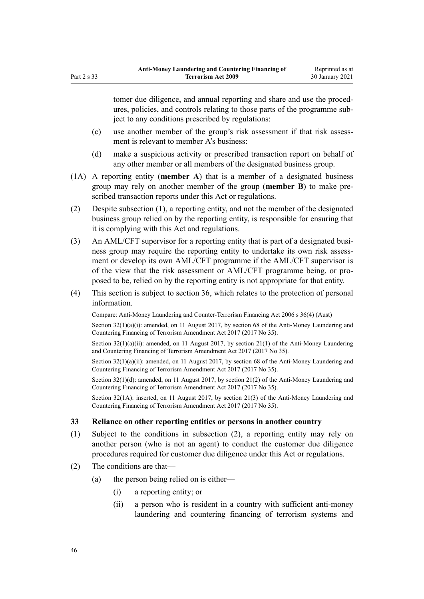tomer due diligence, and annual reporting and share and use the procedures, policies, and controls relating to those parts of the programme subject to any conditions prescribed by regulations:

- (c) use another member of the group's risk assessment if that risk assessment is relevant to member A's business:
- (d) make a suspicious activity or prescribed transaction report on behalf of any other member or all members of the designated business group.
- (1A) A reporting entity (**member A**) that is a member of a designated business group may rely on another member of the group (**member B**) to make prescribed transaction reports under this Act or regulations.
- (2) Despite subsection (1), a reporting entity, and not the member of the designated business group relied on by the reporting entity, is responsible for ensuring that it is complying with this Act and regulations.
- (3) An AML/CFT supervisor for a reporting entity that is part of a designated business group may require the reporting entity to undertake its own risk assessment or develop its own AML/CFT programme if the AML/CFT supervisor is of the view that the risk assessment or AML/CFT programme being, or proposed to be, relied on by the reporting entity is not appropriate for that entity.
- (4) This section is subject to [section 36,](#page-47-0) which relates to the protection of personal information.

Compare: Anti-Money Laundering and Counter-Terrorism Financing Act 2006 s 36(4) (Aust)

Section  $32(1)(a)(i)$ : amended, on 11 August 2017, by [section 68](http://legislation.govt.nz/pdflink.aspx?id=DLM7340644) of the Anti-Money Laundering and Countering Financing of Terrorism Amendment Act 2017 (2017 No 35).

Section  $32(1)(a)(ii)$ : amended, on 11 August 2017, by section  $21(1)$  of the Anti-Money Laundering and Countering Financing of Terrorism Amendment Act 2017 (2017 No 35).

Section 32(1)(a)(ii): amended, on 11 August 2017, by [section 68](http://legislation.govt.nz/pdflink.aspx?id=DLM7340644) of the Anti-Money Laundering and Countering Financing of Terrorism Amendment Act 2017 (2017 No 35).

Section 32(1)(d): amended, on 11 August 2017, by [section 21\(2\)](http://legislation.govt.nz/pdflink.aspx?id=DLM7161285) of the Anti-Money Laundering and Countering Financing of Terrorism Amendment Act 2017 (2017 No 35).

Section 32(1A): inserted, on 11 August 2017, by [section 21\(3\)](http://legislation.govt.nz/pdflink.aspx?id=DLM7161285) of the Anti-Money Laundering and Countering Financing of Terrorism Amendment Act 2017 (2017 No 35).

#### **33 Reliance on other reporting entities or persons in another country**

- (1) Subject to the conditions in subsection (2), a reporting entity may rely on another person (who is not an agent) to conduct the customer due diligence procedures required for customer due diligence under this Act or regulations.
- (2) The conditions are that—
	- (a) the person being relied on is either—
		- (i) a reporting entity; or
		- (ii) a person who is resident in a country with sufficient anti-money laundering and countering financing of terrorism systems and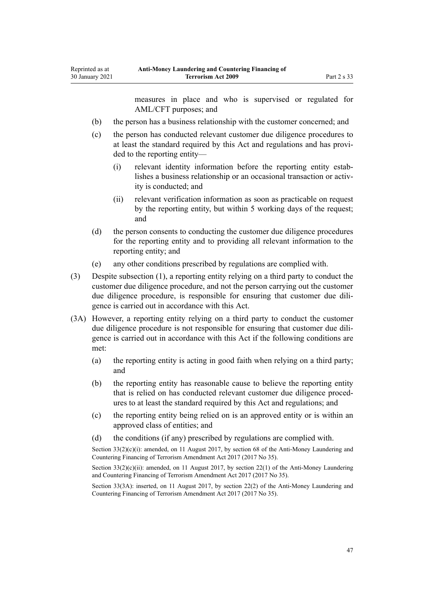measures in place and who is supervised or regulated for AML/CFT purposes; and

- (b) the person has a business relationship with the customer concerned; and
- (c) the person has conducted relevant customer due diligence procedures to at least the standard required by this Act and regulations and has provided to the reporting entity—
	- (i) relevant identity information before the reporting entity establishes a business relationship or an occasional transaction or activity is conducted; and
	- (ii) relevant verification information as soon as practicable on request by the reporting entity, but within 5 working days of the request; and
- (d) the person consents to conducting the customer due diligence procedures for the reporting entity and to providing all relevant information to the reporting entity; and
- (e) any other conditions prescribed by regulations are complied with.
- (3) Despite subsection (1), a reporting entity relying on a third party to conduct the customer due diligence procedure, and not the person carrying out the customer due diligence procedure, is responsible for ensuring that customer due diligence is carried out in accordance with this Act.
- (3A) However, a reporting entity relying on a third party to conduct the customer due diligence procedure is not responsible for ensuring that customer due diligence is carried out in accordance with this Act if the following conditions are met:
	- (a) the reporting entity is acting in good faith when relying on a third party; and
	- (b) the reporting entity has reasonable cause to believe the reporting entity that is relied on has conducted relevant customer due diligence procedures to at least the standard required by this Act and regulations; and
	- (c) the reporting entity being relied on is an approved entity or is within an approved class of entities; and
	- (d) the conditions (if any) prescribed by regulations are complied with.

Section  $33(2)(c)(i)$ : amended, on 11 August 2017, by [section 68](http://legislation.govt.nz/pdflink.aspx?id=DLM7340644) of the Anti-Money Laundering and Countering Financing of Terrorism Amendment Act 2017 (2017 No 35).

Section  $33(2)(c)(ii)$ : amended, on 11 August 2017, by [section 22\(1\)](http://legislation.govt.nz/pdflink.aspx?id=DLM7161286) of the Anti-Money Laundering and Countering Financing of Terrorism Amendment Act 2017 (2017 No 35).

Section 33(3A): inserted, on 11 August 2017, by [section 22\(2\)](http://legislation.govt.nz/pdflink.aspx?id=DLM7161286) of the Anti-Money Laundering and Countering Financing of Terrorism Amendment Act 2017 (2017 No 35).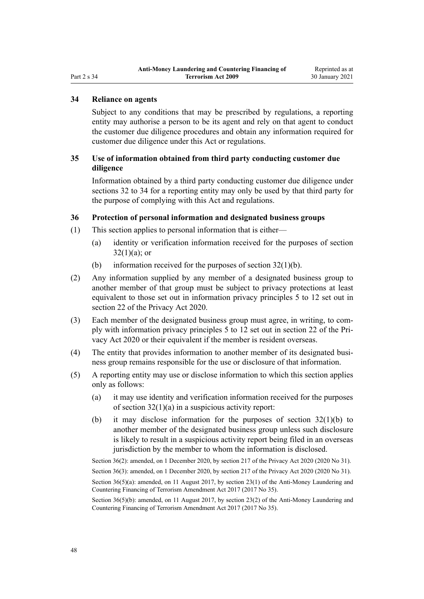# <span id="page-47-0"></span>Part 2 s 34

#### **34 Reliance on agents**

Subject to any conditions that may be prescribed by regulations, a reporting entity may authorise a person to be its agent and rely on that agent to conduct the customer due diligence procedures and obtain any information required for customer due diligence under this Act or regulations.

### **35 Use of information obtained from third party conducting customer due diligence**

Information obtained by a third party conducting customer due diligence under [sections 32 to 34](#page-44-0) for a reporting entity may only be used by that third party for the purpose of complying with this Act and regulations.

#### **36 Protection of personal information and designated business groups**

- (1) This section applies to personal information that is either—
	- (a) identity or verification information received for the purposes of [section](#page-44-0)  $32(1)(a)$ ; or
	- (b) information received for the purposes of section  $32(1)(b)$ .
- (2) Any information supplied by any member of a designated business group to another member of that group must be subject to privacy protections at least equivalent to those set out in information privacy principles 5 to 12 set out in [section 22](http://legislation.govt.nz/pdflink.aspx?id=LMS23342) of the Privacy Act 2020.
- (3) Each member of the designated business group must agree, in writing, to comply with information privacy principles 5 to 12 set out in [section 22](http://legislation.govt.nz/pdflink.aspx?id=LMS23342) of the Privacy Act 2020 or their equivalent if the member is resident overseas.
- (4) The entity that provides information to another member of its designated business group remains responsible for the use or disclosure of that information.
- (5) A reporting entity may use or disclose information to which this section applies only as follows:
	- (a) it may use identity and verification information received for the purposes of [section 32\(1\)\(a\)](#page-44-0) in a suspicious activity report:
	- (b) it may disclose information for the purposes of [section 32\(1\)\(b\)](#page-44-0) to another member of the designated business group unless such disclosure is likely to result in a suspicious activity report being filed in an overseas jurisdiction by the member to whom the information is disclosed.

Section 36(2): amended, on 1 December 2020, by [section 217](http://legislation.govt.nz/pdflink.aspx?id=LMS23706) of the Privacy Act 2020 (2020 No 31).

Section 36(3): amended, on 1 December 2020, by [section 217](http://legislation.govt.nz/pdflink.aspx?id=LMS23706) of the Privacy Act 2020 (2020 No 31).

Section 36(5)(a): amended, on 11 August 2017, by [section 23\(1\)](http://legislation.govt.nz/pdflink.aspx?id=DLM7161287) of the Anti-Money Laundering and Countering Financing of Terrorism Amendment Act 2017 (2017 No 35).

Section 36(5)(b): amended, on 11 August 2017, by [section 23\(2\)](http://legislation.govt.nz/pdflink.aspx?id=DLM7161287) of the Anti-Money Laundering and Countering Financing of Terrorism Amendment Act 2017 (2017 No 35).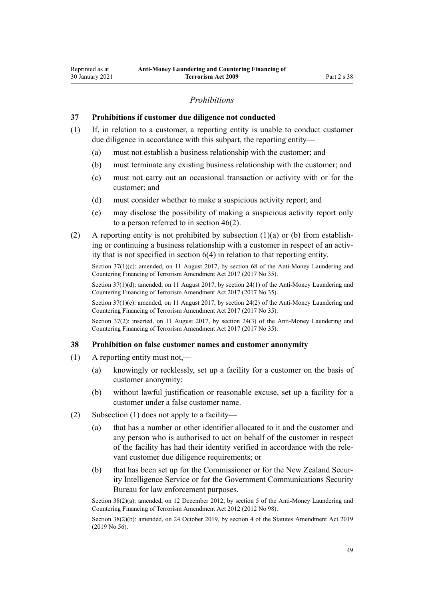### *Prohibitions*

#### **37 Prohibitions if customer due diligence not conducted**

- (1) If, in relation to a customer, a reporting entity is unable to conduct customer due diligence in accordance with this subpart, the reporting entity—
	- (a) must not establish a business relationship with the customer; and
	- (b) must terminate any existing business relationship with the customer; and
	- (c) must not carry out an occasional transaction or activity with or for the customer; and
	- (d) must consider whether to make a suspicious activity report; and
	- (e) may disclose the possibility of making a suspicious activity report only to a person referred to in [section 46\(2\).](#page-54-0)
- (2) A reporting entity is not prohibited by subsection  $(1)(a)$  or (b) from establishing or continuing a business relationship with a customer in respect of an activity that is not specified in [section 6\(4\)](#page-28-0) in relation to that reporting entity.

Section 37(1)(c): amended, on 11 August 2017, by [section 68](http://legislation.govt.nz/pdflink.aspx?id=DLM7340644) of the Anti-Money Laundering and Countering Financing of Terrorism Amendment Act 2017 (2017 No 35).

Section 37(1)(d): amended, on 11 August 2017, by [section 24\(1\)](http://legislation.govt.nz/pdflink.aspx?id=DLM7161288) of the Anti-Money Laundering and Countering Financing of Terrorism Amendment Act 2017 (2017 No 35).

Section 37(1)(e): amended, on 11 August 2017, by [section 24\(2\)](http://legislation.govt.nz/pdflink.aspx?id=DLM7161288) of the Anti-Money Laundering and Countering Financing of Terrorism Amendment Act 2017 (2017 No 35).

Section 37(2): inserted, on 11 August 2017, by [section 24\(3\)](http://legislation.govt.nz/pdflink.aspx?id=DLM7161288) of the Anti-Money Laundering and Countering Financing of Terrorism Amendment Act 2017 (2017 No 35).

#### **38 Prohibition on false customer names and customer anonymity**

- (1) A reporting entity must not,—
	- (a) knowingly or recklessly, set up a facility for a customer on the basis of customer anonymity:
	- (b) without lawful justification or reasonable excuse, set up a facility for a customer under a false customer name.
- (2) Subsection (1) does not apply to a facility—
	- (a) that has a number or other identifier allocated to it and the customer and any person who is authorised to act on behalf of the customer in respect of the facility has had their identity verified in accordance with the relevant customer due diligence requirements; or
	- (b) that has been set up for the Commissioner or for the New Zealand Security Intelligence Service or for the Government Communications Security Bureau for law enforcement purposes.

Section 38(2)(a): amended, on 12 December 2012, by [section 5](http://legislation.govt.nz/pdflink.aspx?id=DLM4989303) of the Anti-Money Laundering and Countering Financing of Terrorism Amendment Act 2012 (2012 No 98).

Section 38(2)(b): amended, on 24 October 2019, by [section 4](http://legislation.govt.nz/pdflink.aspx?id=LMS58872) of the Statutes Amendment Act 2019 (2019 No 56).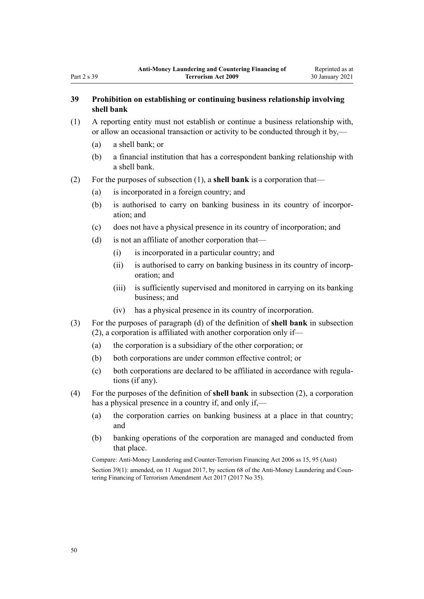# **39 Prohibition on establishing or continuing business relationship involving shell bank**

- (1) A reporting entity must not establish or continue a business relationship with, or allow an occasional transaction or activity to be conducted through it by,—
	- (a) a shell bank; or
	- (b) a financial institution that has a correspondent banking relationship with a shell bank.
- (2) For the purposes of subsection (1), a **shell bank** is a corporation that—
	- (a) is incorporated in a foreign country; and
	- (b) is authorised to carry on banking business in its country of incorporation; and
	- (c) does not have a physical presence in its country of incorporation; and
	- (d) is not an affiliate of another corporation that—
		- (i) is incorporated in a particular country; and
		- (ii) is authorised to carry on banking business in its country of incorporation; and
		- (iii) is sufficiently supervised and monitored in carrying on its banking business; and
		- (iv) has a physical presence in its country of incorporation.
- (3) For the purposes of paragraph (d) of the definition of **shell bank** in subsection (2), a corporation is affiliated with another corporation only if—
	- (a) the corporation is a subsidiary of the other corporation; or
	- (b) both corporations are under common effective control; or
	- (c) both corporations are declared to be affiliated in accordance with regulations (if any).
- (4) For the purposes of the definition of **shell bank** in subsection (2), a corporation has a physical presence in a country if, and only if,—
	- (a) the corporation carries on banking business at a place in that country; and
	- (b) banking operations of the corporation are managed and conducted from that place.

Compare: Anti-Money Laundering and Counter-Terrorism Financing Act 2006 ss 15, 95 (Aust) Section 39(1): amended, on 11 August 2017, by [section 68](http://legislation.govt.nz/pdflink.aspx?id=DLM7340644) of the Anti-Money Laundering and Countering Financing of Terrorism Amendment Act 2017 (2017 No 35).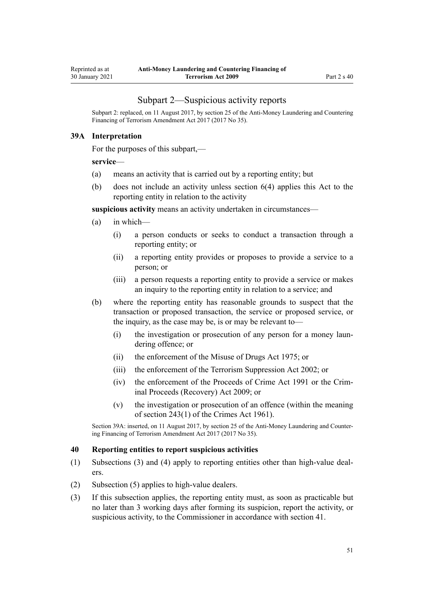### Subpart 2—Suspicious activity reports

<span id="page-50-0"></span>Subpart 2: replaced, on 11 August 2017, by [section 25](http://legislation.govt.nz/pdflink.aspx?id=DLM7161289) of the Anti-Money Laundering and Countering Financing of Terrorism Amendment Act 2017 (2017 No 35).

#### **39A Interpretation**

For the purposes of this subpart,—

#### **service**—

- (a) means an activity that is carried out by a reporting entity; but
- (b) does not include an activity unless [section 6\(4\)](#page-28-0) applies this Act to the reporting entity in relation to the activity

**suspicious activity** means an activity undertaken in circumstances—

- (a) in which—
	- (i) a person conducts or seeks to conduct a transaction through a reporting entity; or
	- (ii) a reporting entity provides or proposes to provide a service to a person; or
	- (iii) a person requests a reporting entity to provide a service or makes an inquiry to the reporting entity in relation to a service; and
- (b) where the reporting entity has reasonable grounds to suspect that the transaction or proposed transaction, the service or proposed service, or the inquiry, as the case may be, is or may be relevant to—
	- (i) the investigation or prosecution of any person for a money laundering offence; or
	- (ii) the enforcement of the [Misuse of Drugs Act 1975;](http://legislation.govt.nz/pdflink.aspx?id=DLM436100) or
	- (iii) the enforcement of the [Terrorism Suppression Act 2002](http://legislation.govt.nz/pdflink.aspx?id=DLM151490); or
	- (iv) the enforcement of the [Proceeds of Crime Act 1991](http://legislation.govt.nz/pdflink.aspx?id=DLM250668) or the [Crim](http://legislation.govt.nz/pdflink.aspx?id=BILL-SCDRAFT-7242)[inal Proceeds \(Recovery\) Act 2009;](http://legislation.govt.nz/pdflink.aspx?id=BILL-SCDRAFT-7242) or
	- (v) the investigation or prosecution of an offence (within the meaning of [section 243\(1\)](http://legislation.govt.nz/pdflink.aspx?id=DLM330289) of the Crimes Act 1961).

Section 39A: inserted, on 11 August 2017, by [section 25](http://legislation.govt.nz/pdflink.aspx?id=DLM7161289) of the Anti-Money Laundering and Countering Financing of Terrorism Amendment Act 2017 (2017 No 35).

#### **40 Reporting entities to report suspicious activities**

- (1) Subsections (3) and (4) apply to reporting entities other than high-value dealers.
- (2) Subsection (5) applies to high-value dealers.
- (3) If this subsection applies, the reporting entity must, as soon as practicable but no later than 3 working days after forming its suspicion, report the activity, or suspicious activity, to the Commissioner in accordance with [section 41.](#page-51-0)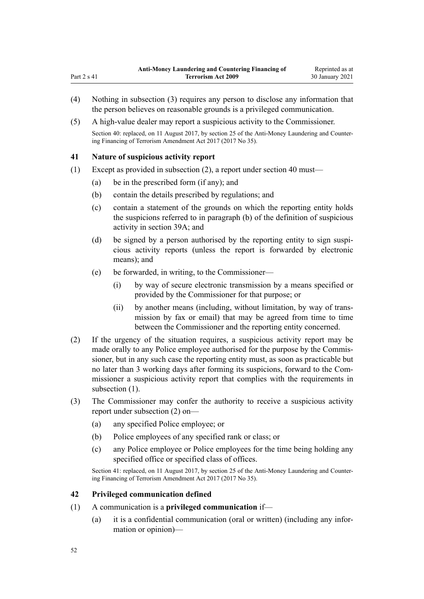- (4) Nothing in subsection (3) requires any person to disclose any information that the person believes on reasonable grounds is a privileged communication.
- (5) A high-value dealer may report a suspicious activity to the Commissioner.

Section 40: replaced, on 11 August 2017, by [section 25](http://legislation.govt.nz/pdflink.aspx?id=DLM7161289) of the Anti-Money Laundering and Countering Financing of Terrorism Amendment Act 2017 (2017 No 35).

### **41 Nature of suspicious activity report**

<span id="page-51-0"></span>Part 2 s 41

- (1) Except as provided in subsection (2), a report under [section 40](#page-50-0) must—
	- (a) be in the prescribed form (if any); and
	- (b) contain the details prescribed by regulations; and
	- (c) contain a statement of the grounds on which the reporting entity holds the suspicions referred to in paragraph (b) of the definition of suspicious activity in [section 39A;](#page-50-0) and
	- (d) be signed by a person authorised by the reporting entity to sign suspicious activity reports (unless the report is forwarded by electronic means); and
	- (e) be forwarded, in writing, to the Commissioner—
		- (i) by way of secure electronic transmission by a means specified or provided by the Commissioner for that purpose; or
		- (ii) by another means (including, without limitation, by way of transmission by fax or email) that may be agreed from time to time between the Commissioner and the reporting entity concerned.
- (2) If the urgency of the situation requires, a suspicious activity report may be made orally to any Police employee authorised for the purpose by the Commissioner, but in any such case the reporting entity must, as soon as practicable but no later than 3 working days after forming its suspicions, forward to the Commissioner a suspicious activity report that complies with the requirements in subsection  $(1)$ .
- (3) The Commissioner may confer the authority to receive a suspicious activity report under subsection (2) on—
	- (a) any specified Police employee; or
	- (b) Police employees of any specified rank or class; or
	- (c) any Police employee or Police employees for the time being holding any specified office or specified class of offices.

Section 41: replaced, on 11 August 2017, by [section 25](http://legislation.govt.nz/pdflink.aspx?id=DLM7161289) of the Anti-Money Laundering and Countering Financing of Terrorism Amendment Act 2017 (2017 No 35).

#### **42 Privileged communication defined**

- (1) A communication is a **privileged communication** if—
	- (a) it is a confidential communication (oral or written) (including any information or opinion)—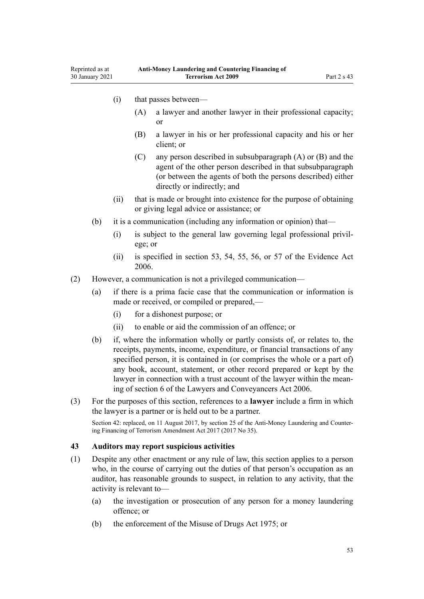- <span id="page-52-0"></span>(i) that passes between—
	- (A) a lawyer and another lawyer in their professional capacity; or
	- (B) a lawyer in his or her professional capacity and his or her client; or
	- (C) any person described in subsubparagraph (A) or (B) and the agent of the other person described in that subsubparagraph (or between the agents of both the persons described) either directly or indirectly; and
- (ii) that is made or brought into existence for the purpose of obtaining or giving legal advice or assistance; or
- (b) it is a communication (including any information or opinion) that—
	- (i) is subject to the general law governing legal professional privilege; or
	- (ii) is specified in [section 53](http://legislation.govt.nz/pdflink.aspx?id=DLM393658), [54,](http://legislation.govt.nz/pdflink.aspx?id=DLM393659) [55](http://legislation.govt.nz/pdflink.aspx?id=DLM393662), [56,](http://legislation.govt.nz/pdflink.aspx?id=DLM393663) or [57](http://legislation.govt.nz/pdflink.aspx?id=DLM393664) of the Evidence Act 2006.
- (2) However, a communication is not a privileged communication—
	- (a) if there is a prima facie case that the communication or information is made or received, or compiled or prepared,—
		- (i) for a dishonest purpose; or
		- (ii) to enable or aid the commission of an offence; or
	- (b) if, where the information wholly or partly consists of, or relates to, the receipts, payments, income, expenditure, or financial transactions of any specified person, it is contained in (or comprises the whole or a part of) any book, account, statement, or other record prepared or kept by the lawyer in connection with a trust account of the lawyer within the meaning of [section 6](http://legislation.govt.nz/pdflink.aspx?id=DLM364948) of the Lawyers and Conveyancers Act 2006.
- (3) For the purposes of this section, references to a **lawyer** include a firm in which the lawyer is a partner or is held out to be a partner.

Section 42: replaced, on 11 August 2017, by [section 25](http://legislation.govt.nz/pdflink.aspx?id=DLM7161289) of the Anti-Money Laundering and Countering Financing of Terrorism Amendment Act 2017 (2017 No 35).

#### **43 Auditors may report suspicious activities**

- (1) Despite any other enactment or any rule of law, this section applies to a person who, in the course of carrying out the duties of that person's occupation as an auditor, has reasonable grounds to suspect, in relation to any activity, that the activity is relevant to—
	- (a) the investigation or prosecution of any person for a money laundering offence; or
	- (b) the enforcement of the [Misuse of Drugs Act 1975;](http://legislation.govt.nz/pdflink.aspx?id=DLM436100) or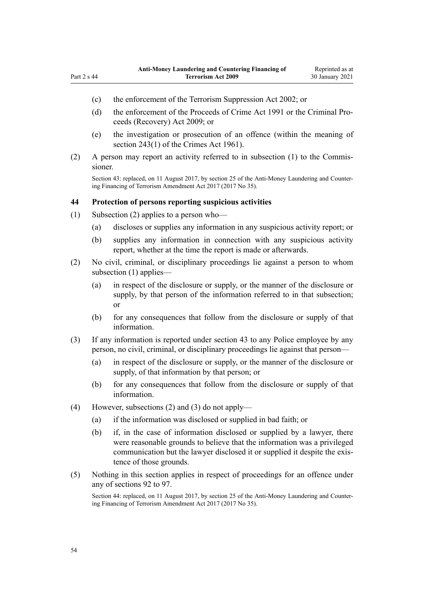<span id="page-53-0"></span>Part 2 s 44

- (c) the enforcement of the [Terrorism Suppression Act 2002](http://legislation.govt.nz/pdflink.aspx?id=DLM151490); or
- (d) the enforcement of the [Proceeds of Crime Act 1991](http://legislation.govt.nz/pdflink.aspx?id=DLM250668) or the [Criminal Pro](http://legislation.govt.nz/pdflink.aspx?id=BILL-SCDRAFT-7242)[ceeds \(Recovery\) Act 2009;](http://legislation.govt.nz/pdflink.aspx?id=BILL-SCDRAFT-7242) or
- (e) the investigation or prosecution of an offence (within the meaning of [section 243\(1\)](http://legislation.govt.nz/pdflink.aspx?id=DLM330289) of the Crimes Act 1961).
- (2) A person may report an activity referred to in subsection (1) to the Commissioner.

Section 43: replaced, on 11 August 2017, by [section 25](http://legislation.govt.nz/pdflink.aspx?id=DLM7161289) of the Anti-Money Laundering and Countering Financing of Terrorism Amendment Act 2017 (2017 No 35).

#### **44 Protection of persons reporting suspicious activities**

- (1) Subsection (2) applies to a person who—
	- (a) discloses or supplies any information in any suspicious activity report; or
	- (b) supplies any information in connection with any suspicious activity report, whether at the time the report is made or afterwards.
- (2) No civil, criminal, or disciplinary proceedings lie against a person to whom subsection (1) applies—
	- (a) in respect of the disclosure or supply, or the manner of the disclosure or supply, by that person of the information referred to in that subsection; or
	- (b) for any consequences that follow from the disclosure or supply of that information.
- (3) If any information is reported under [section 43](#page-52-0) to any Police employee by any person, no civil, criminal, or disciplinary proceedings lie against that person—
	- (a) in respect of the disclosure or supply, or the manner of the disclosure or supply, of that information by that person; or
	- (b) for any consequences that follow from the disclosure or supply of that information.
- (4) However, subsections (2) and (3) do not apply—
	- (a) if the information was disclosed or supplied in bad faith; or
	- (b) if, in the case of information disclosed or supplied by a lawyer, there were reasonable grounds to believe that the information was a privileged communication but the lawyer disclosed it or supplied it despite the existence of those grounds.
- (5) Nothing in this section applies in respect of proceedings for an offence under any of [sections 92 to 97.](#page-76-0)

Section 44: replaced, on 11 August 2017, by [section 25](http://legislation.govt.nz/pdflink.aspx?id=DLM7161289) of the Anti-Money Laundering and Countering Financing of Terrorism Amendment Act 2017 (2017 No 35).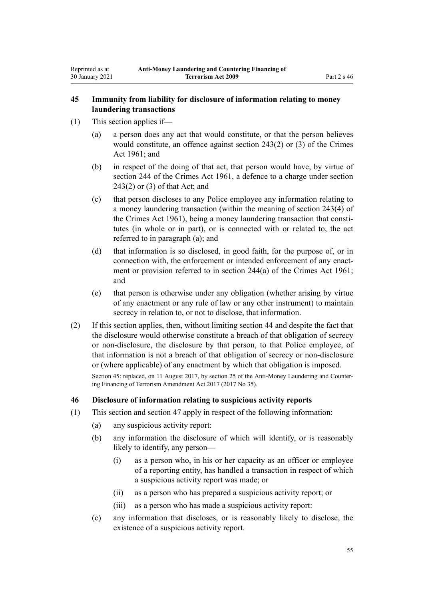### <span id="page-54-0"></span>**45 Immunity from liability for disclosure of information relating to money laundering transactions**

- (1) This section applies if—
	- (a) a person does any act that would constitute, or that the person believes would constitute, an offence against [section 243\(2\) or \(3\)](http://legislation.govt.nz/pdflink.aspx?id=DLM330289) of the Crimes Act 1961; and
	- (b) in respect of the doing of that act, that person would have, by virtue of [section 244](http://legislation.govt.nz/pdflink.aspx?id=DLM330403) of the Crimes Act 1961, a defence to a charge under [section](http://legislation.govt.nz/pdflink.aspx?id=DLM330289) [243\(2\) or \(3\)](http://legislation.govt.nz/pdflink.aspx?id=DLM330289) of that Act; and
	- (c) that person discloses to any Police employee any information relating to a money laundering transaction (within the meaning of [section 243\(4\)](http://legislation.govt.nz/pdflink.aspx?id=DLM330289) of the Crimes Act 1961), being a money laundering transaction that constitutes (in whole or in part), or is connected with or related to, the act referred to in paragraph (a); and
	- (d) that information is so disclosed, in good faith, for the purpose of, or in connection with, the enforcement or intended enforcement of any enactment or provision referred to in [section 244\(a\)](http://legislation.govt.nz/pdflink.aspx?id=DLM330403) of the Crimes Act 1961; and
	- (e) that person is otherwise under any obligation (whether arising by virtue of any enactment or any rule of law or any other instrument) to maintain secrecy in relation to, or not to disclose, that information.
- (2) If this section applies, then, without limiting [section 44](#page-53-0) and despite the fact that the disclosure would otherwise constitute a breach of that obligation of secrecy or non-disclosure, the disclosure by that person, to that Police employee, of that information is not a breach of that obligation of secrecy or non-disclosure or (where applicable) of any enactment by which that obligation is imposed.

Section 45: replaced, on 11 August 2017, by [section 25](http://legislation.govt.nz/pdflink.aspx?id=DLM7161289) of the Anti-Money Laundering and Countering Financing of Terrorism Amendment Act 2017 (2017 No 35).

#### **46 Disclosure of information relating to suspicious activity reports**

- (1) This section and [section 47](#page-55-0) apply in respect of the following information:
	- (a) any suspicious activity report:
	- (b) any information the disclosure of which will identify, or is reasonably likely to identify, any person—
		- (i) as a person who, in his or her capacity as an officer or employee of a reporting entity, has handled a transaction in respect of which a suspicious activity report was made; or
		- (ii) as a person who has prepared a suspicious activity report; or
		- (iii) as a person who has made a suspicious activity report:
	- (c) any information that discloses, or is reasonably likely to disclose, the existence of a suspicious activity report.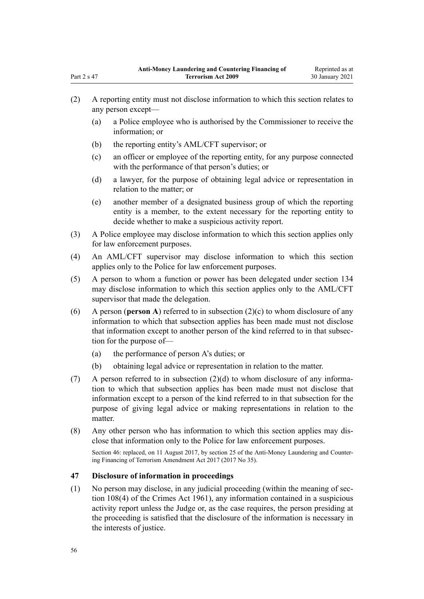- (2) A reporting entity must not disclose information to which this section relates to any person except—
	- (a) a Police employee who is authorised by the Commissioner to receive the information; or
	- (b) the reporting entity's AML/CFT supervisor; or
	- (c) an officer or employee of the reporting entity, for any purpose connected with the performance of that person's duties; or
	- (d) a lawyer, for the purpose of obtaining legal advice or representation in relation to the matter; or
	- (e) another member of a designated business group of which the reporting entity is a member, to the extent necessary for the reporting entity to decide whether to make a suspicious activity report.
- (3) A Police employee may disclose information to which this section applies only for law enforcement purposes.
- (4) An AML/CFT supervisor may disclose information to which this section applies only to the Police for law enforcement purposes.
- (5) A person to whom a function or power has been delegated under [section 134](#page-93-0) may disclose information to which this section applies only to the AML/CFT supervisor that made the delegation.
- (6) A person (**person A**) referred to in subsection (2)(c) to whom disclosure of any information to which that subsection applies has been made must not disclose that information except to another person of the kind referred to in that subsection for the purpose of—
	- (a) the performance of person A's duties; or
	- (b) obtaining legal advice or representation in relation to the matter.
- (7) A person referred to in subsection (2)(d) to whom disclosure of any information to which that subsection applies has been made must not disclose that information except to a person of the kind referred to in that subsection for the purpose of giving legal advice or making representations in relation to the matter.
- (8) Any other person who has information to which this section applies may disclose that information only to the Police for law enforcement purposes.

Section 46: replaced, on 11 August 2017, by [section 25](http://legislation.govt.nz/pdflink.aspx?id=DLM7161289) of the Anti-Money Laundering and Countering Financing of Terrorism Amendment Act 2017 (2017 No 35).

# **47 Disclosure of information in proceedings**

(1) No person may disclose, in any judicial proceeding (within the meaning of [sec](http://legislation.govt.nz/pdflink.aspx?id=DLM328793)[tion 108\(4\)](http://legislation.govt.nz/pdflink.aspx?id=DLM328793) of the Crimes Act 1961), any information contained in a suspicious activity report unless the Judge or, as the case requires, the person presiding at the proceeding is satisfied that the disclosure of the information is necessary in the interests of justice.

<span id="page-55-0"></span>Part 2 s 47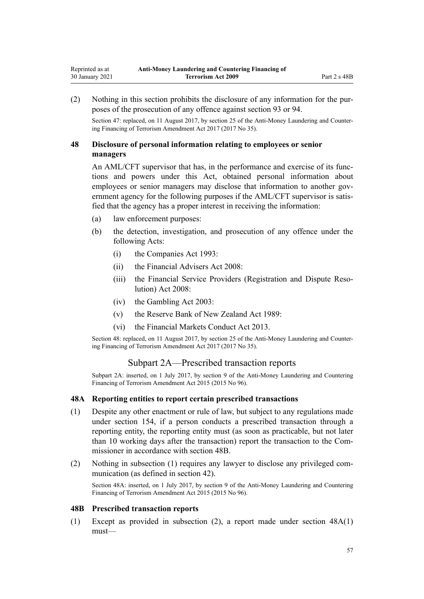(2) Nothing in this section prohibits the disclosure of any information for the purposes of the prosecution of any offence against [section 93](#page-77-0) or [94.](#page-78-0)

Section 47: replaced, on 11 August 2017, by [section 25](http://legislation.govt.nz/pdflink.aspx?id=DLM7161289) of the Anti-Money Laundering and Countering Financing of Terrorism Amendment Act 2017 (2017 No 35).

# **48 Disclosure of personal information relating to employees or senior managers**

An AML/CFT supervisor that has, in the performance and exercise of its functions and powers under this Act, obtained personal information about employees or senior managers may disclose that information to another government agency for the following purposes if the AML/CFT supervisor is satisfied that the agency has a proper interest in receiving the information:

- (a) law enforcement purposes:
- (b) the detection, investigation, and prosecution of any offence under the following Acts:
	- (i) the [Companies Act 1993](http://legislation.govt.nz/pdflink.aspx?id=DLM319569):
	- (ii) the [Financial Advisers Act 2008](http://legislation.govt.nz/pdflink.aspx?id=DLM1584200):
	- (iii) the [Financial Service Providers \(Registration and Dispute Reso](http://legislation.govt.nz/pdflink.aspx?id=DLM1109400)[lution\) Act 2008](http://legislation.govt.nz/pdflink.aspx?id=DLM1109400):
	- (iv) the [Gambling Act 2003](http://legislation.govt.nz/pdflink.aspx?id=DLM207496):
	- (v) the [Reserve Bank of New Zealand Act 1989:](http://legislation.govt.nz/pdflink.aspx?id=DLM199363)
	- (vi) the [Financial Markets Conduct Act 2013.](http://legislation.govt.nz/pdflink.aspx?id=DLM4090503)

Section 48: replaced, on 11 August 2017, by [section 25](http://legislation.govt.nz/pdflink.aspx?id=DLM7161289) of the Anti-Money Laundering and Countering Financing of Terrorism Amendment Act 2017 (2017 No 35).

#### Subpart 2A—Prescribed transaction reports

Subpart 2A: inserted, on 1 July 2017, by [section 9](http://legislation.govt.nz/pdflink.aspx?id=DLM6602222) of the Anti-Money Laundering and Countering Financing of Terrorism Amendment Act 2015 (2015 No 96).

#### **48A Reporting entities to report certain prescribed transactions**

- (1) Despite any other enactment or rule of law, but subject to any regulations made under [section 154](#page-107-0), if a person conducts a prescribed transaction through a reporting entity, the reporting entity must (as soon as practicable, but not later than 10 working days after the transaction) report the transaction to the Commissioner in accordance with section 48B.
- (2) Nothing in subsection (1) requires any lawyer to disclose any privileged communication (as defined in [section 42](#page-51-0)).

Section 48A: inserted, on 1 July 2017, by [section 9](http://legislation.govt.nz/pdflink.aspx?id=DLM6602222) of the Anti-Money Laundering and Countering Financing of Terrorism Amendment Act 2015 (2015 No 96).

#### **48B Prescribed transaction reports**

(1) Except as provided in subsection (2), a report made under section 48A(1) must—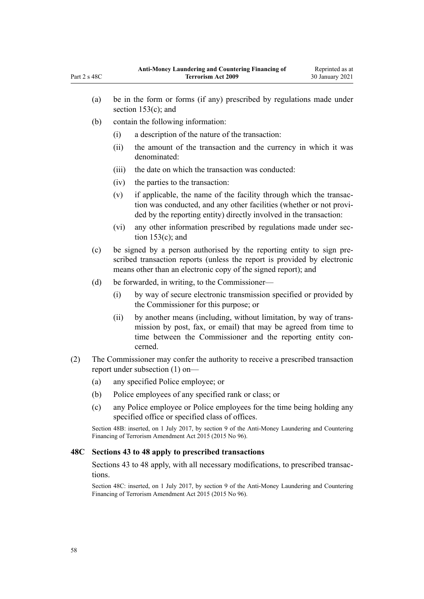- (a) be in the form or forms (if any) prescribed by regulations made under [section 153\(c\);](#page-105-0) and
- (b) contain the following information:
	- (i) a description of the nature of the transaction:
	- (ii) the amount of the transaction and the currency in which it was denominated:
	- (iii) the date on which the transaction was conducted:
	- (iv) the parties to the transaction:
	- (v) if applicable, the name of the facility through which the transaction was conducted, and any other facilities (whether or not provided by the reporting entity) directly involved in the transaction:
	- (vi) any other information prescribed by regulations made under [sec](#page-105-0)tion  $153(c)$ ; and
- (c) be signed by a person authorised by the reporting entity to sign prescribed transaction reports (unless the report is provided by electronic means other than an electronic copy of the signed report); and
- (d) be forwarded, in writing, to the Commissioner—
	- (i) by way of secure electronic transmission specified or provided by the Commissioner for this purpose; or
	- (ii) by another means (including, without limitation, by way of transmission by post, fax, or email) that may be agreed from time to time between the Commissioner and the reporting entity concerned.
- (2) The Commissioner may confer the authority to receive a prescribed transaction report under subsection (1) on—
	- (a) any specified Police employee; or
	- (b) Police employees of any specified rank or class; or
	- (c) any Police employee or Police employees for the time being holding any specified office or specified class of offices.

Section 48B: inserted, on 1 July 2017, by [section 9](http://legislation.govt.nz/pdflink.aspx?id=DLM6602222) of the Anti-Money Laundering and Countering Financing of Terrorism Amendment Act 2015 (2015 No 96).

#### **48C Sections 43 to 48 apply to prescribed transactions**

[Sections 43 to 48](#page-52-0) apply, with all necessary modifications, to prescribed transactions.

Section 48C: inserted, on 1 July 2017, by [section 9](http://legislation.govt.nz/pdflink.aspx?id=DLM6602222) of the Anti-Money Laundering and Countering Financing of Terrorism Amendment Act 2015 (2015 No 96).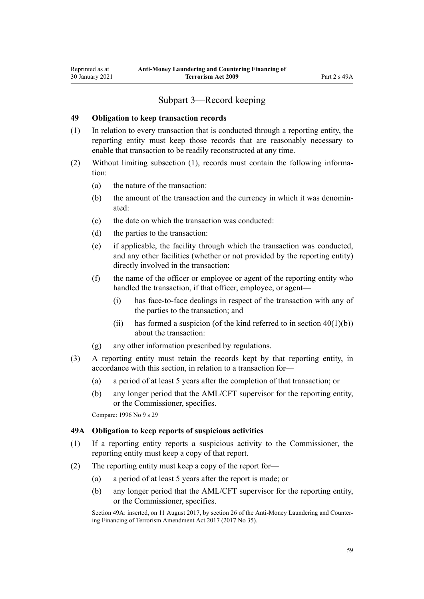# Subpart 3—Record keeping

#### <span id="page-58-0"></span>**49 Obligation to keep transaction records**

- (1) In relation to every transaction that is conducted through a reporting entity, the reporting entity must keep those records that are reasonably necessary to enable that transaction to be readily reconstructed at any time.
- (2) Without limiting subsection (1), records must contain the following information:
	- (a) the nature of the transaction:
	- (b) the amount of the transaction and the currency in which it was denominated:
	- (c) the date on which the transaction was conducted:
	- (d) the parties to the transaction:
	- (e) if applicable, the facility through which the transaction was conducted, and any other facilities (whether or not provided by the reporting entity) directly involved in the transaction:
	- (f) the name of the officer or employee or agent of the reporting entity who handled the transaction, if that officer, employee, or agent—
		- (i) has face-to-face dealings in respect of the transaction with any of the parties to the transaction; and
		- (ii) has formed a suspicion (of the kind referred to in section  $40(1)(b)$ ) about the transaction:
	- (g) any other information prescribed by regulations.
- (3) A reporting entity must retain the records kept by that reporting entity, in accordance with this section, in relation to a transaction for—
	- (a) a period of at least 5 years after the completion of that transaction; or
	- (b) any longer period that the AML/CFT supervisor for the reporting entity, or the Commissioner, specifies.

Compare: 1996 No 9 [s 29](http://legislation.govt.nz/pdflink.aspx?id=DLM374132)

#### **49A Obligation to keep reports of suspicious activities**

- (1) If a reporting entity reports a suspicious activity to the Commissioner, the reporting entity must keep a copy of that report.
- (2) The reporting entity must keep a copy of the report for—
	- (a) a period of at least 5 years after the report is made; or
	- (b) any longer period that the AML/CFT supervisor for the reporting entity, or the Commissioner, specifies.

Section 49A: inserted, on 11 August 2017, by [section 26](http://legislation.govt.nz/pdflink.aspx?id=DLM7161306) of the Anti-Money Laundering and Countering Financing of Terrorism Amendment Act 2017 (2017 No 35).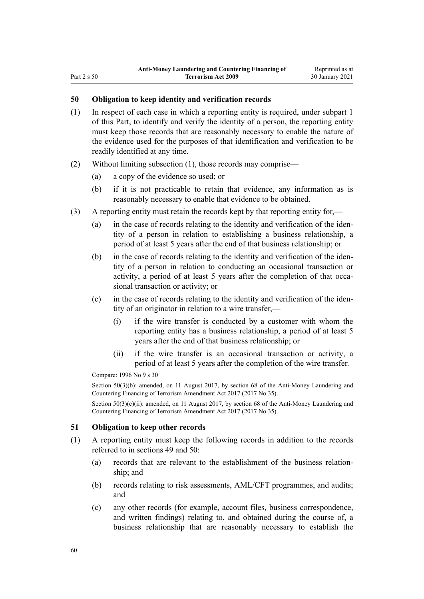# <span id="page-59-0"></span>**50 Obligation to keep identity and verification records**

- (1) In respect of each case in which a reporting entity is required, under [subpart 1](#page-31-0) of this Part, to identify and verify the identity of a person, the reporting entity must keep those records that are reasonably necessary to enable the nature of the evidence used for the purposes of that identification and verification to be readily identified at any time.
- (2) Without limiting subsection (1), those records may comprise—
	- (a) a copy of the evidence so used; or
	- (b) if it is not practicable to retain that evidence, any information as is reasonably necessary to enable that evidence to be obtained.
- (3) A reporting entity must retain the records kept by that reporting entity for,—
	- (a) in the case of records relating to the identity and verification of the identity of a person in relation to establishing a business relationship, a period of at least 5 years after the end of that business relationship; or
	- (b) in the case of records relating to the identity and verification of the identity of a person in relation to conducting an occasional transaction or activity, a period of at least 5 years after the completion of that occasional transaction or activity; or
	- (c) in the case of records relating to the identity and verification of the identity of an originator in relation to a wire transfer,—
		- (i) if the wire transfer is conducted by a customer with whom the reporting entity has a business relationship, a period of at least 5 years after the end of that business relationship; or
		- (ii) if the wire transfer is an occasional transaction or activity, a period of at least 5 years after the completion of the wire transfer.

Compare: 1996 No 9 [s 30](http://legislation.govt.nz/pdflink.aspx?id=DLM374134)

Section 50(3)(b): amended, on 11 August 2017, by [section 68](http://legislation.govt.nz/pdflink.aspx?id=DLM7340644) of the Anti-Money Laundering and Countering Financing of Terrorism Amendment Act 2017 (2017 No 35).

Section 50(3)(c)(ii): amended, on 11 August 2017, by [section 68](http://legislation.govt.nz/pdflink.aspx?id=DLM7340644) of the Anti-Money Laundering and Countering Financing of Terrorism Amendment Act 2017 (2017 No 35).

#### **51 Obligation to keep other records**

- (1) A reporting entity must keep the following records in addition to the records referred to in [sections 49](#page-58-0) and 50:
	- (a) records that are relevant to the establishment of the business relationship; and
	- (b) records relating to risk assessments, AML/CFT programmes, and audits; and
	- (c) any other records (for example, account files, business correspondence, and written findings) relating to, and obtained during the course of, a business relationship that are reasonably necessary to establish the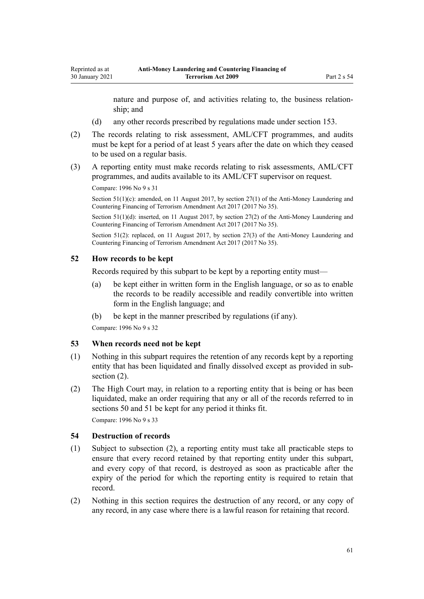nature and purpose of, and activities relating to, the business relationship; and

- (d) any other records prescribed by regulations made under [section 153.](#page-105-0)
- (2) The records relating to risk assessment, AML/CFT programmes, and audits must be kept for a period of at least 5 years after the date on which they ceased to be used on a regular basis.
- (3) A reporting entity must make records relating to risk assessments, AML/CFT programmes, and audits available to its AML/CFT supervisor on request.

Compare: 1996 No 9 [s 31](http://legislation.govt.nz/pdflink.aspx?id=DLM374136)

Section 51(1)(c): amended, on 11 August 2017, by [section 27\(1\)](http://legislation.govt.nz/pdflink.aspx?id=DLM7161308) of the Anti-Money Laundering and Countering Financing of Terrorism Amendment Act 2017 (2017 No 35).

Section 51(1)(d): inserted, on 11 August 2017, by [section 27\(2\)](http://legislation.govt.nz/pdflink.aspx?id=DLM7161308) of the Anti-Money Laundering and Countering Financing of Terrorism Amendment Act 2017 (2017 No 35).

Section 51(2): replaced, on 11 August 2017, by [section 27\(3\)](http://legislation.govt.nz/pdflink.aspx?id=DLM7161308) of the Anti-Money Laundering and Countering Financing of Terrorism Amendment Act 2017 (2017 No 35).

#### **52 How records to be kept**

Records required by this subpart to be kept by a reporting entity must—

- (a) be kept either in written form in the English language, or so as to enable the records to be readily accessible and readily convertible into written form in the English language; and
- (b) be kept in the manner prescribed by regulations (if any).

Compare: 1996 No 9 [s 32](http://legislation.govt.nz/pdflink.aspx?id=DLM374137)

#### **53 When records need not be kept**

- (1) Nothing in this subpart requires the retention of any records kept by a reporting entity that has been liquidated and finally dissolved except as provided in subsection  $(2)$ .
- (2) The High Court may, in relation to a reporting entity that is being or has been liquidated, make an order requiring that any or all of the records referred to in [sections 50](#page-59-0) and [51](#page-59-0) be kept for any period it thinks fit.

Compare: 1996 No 9 [s 33](http://legislation.govt.nz/pdflink.aspx?id=DLM374138)

### **54 Destruction of records**

- (1) Subject to subsection (2), a reporting entity must take all practicable steps to ensure that every record retained by that reporting entity under this subpart, and every copy of that record, is destroyed as soon as practicable after the expiry of the period for which the reporting entity is required to retain that record.
- (2) Nothing in this section requires the destruction of any record, or any copy of any record, in any case where there is a lawful reason for retaining that record.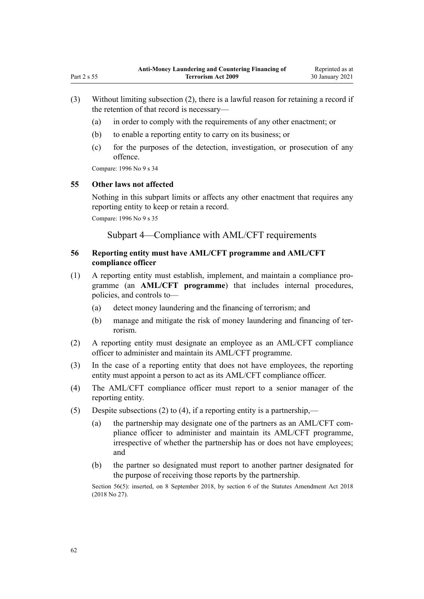- (3) Without limiting subsection (2), there is a lawful reason for retaining a record if the retention of that record is necessary—
	- (a) in order to comply with the requirements of any other enactment; or
	- (b) to enable a reporting entity to carry on its business; or
	- (c) for the purposes of the detection, investigation, or prosecution of any offence.

Compare: 1996 No 9 [s 34](http://legislation.govt.nz/pdflink.aspx?id=DLM374139)

#### **55 Other laws not affected**

Nothing in this subpart limits or affects any other enactment that requires any reporting entity to keep or retain a record.

Compare: 1996 No 9 [s 35](http://legislation.govt.nz/pdflink.aspx?id=DLM374140)

Subpart 4—Compliance with AML/CFT requirements

# **56 Reporting entity must have AML/CFT programme and AML/CFT compliance officer**

- (1) A reporting entity must establish, implement, and maintain a compliance programme (an **AML/CFT programme**) that includes internal procedures, policies, and controls to—
	- (a) detect money laundering and the financing of terrorism; and
	- (b) manage and mitigate the risk of money laundering and financing of terrorism.
- (2) A reporting entity must designate an employee as an AML/CFT compliance officer to administer and maintain its AML/CFT programme.
- (3) In the case of a reporting entity that does not have employees, the reporting entity must appoint a person to act as its AML/CFT compliance officer.
- (4) The AML/CFT compliance officer must report to a senior manager of the reporting entity.
- (5) Despite subsections (2) to (4), if a reporting entity is a partnership,—
	- (a) the partnership may designate one of the partners as an AML/CFT compliance officer to administer and maintain its AML/CFT programme, irrespective of whether the partnership has or does not have employees; and
	- (b) the partner so designated must report to another partner designated for the purpose of receiving those reports by the partnership.

Section 56(5): inserted, on 8 September 2018, by [section 6](http://legislation.govt.nz/pdflink.aspx?id=LMS15910) of the Statutes Amendment Act 2018 (2018 No 27).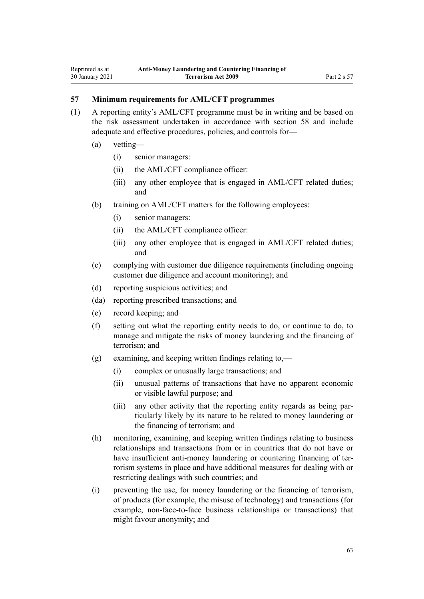### **57 Minimum requirements for AML/CFT programmes**

- (1) A reporting entity's AML/CFT programme must be in writing and be based on the risk assessment undertaken in accordance with [section 58](#page-63-0) and include adequate and effective procedures, policies, and controls for—
	- (a) vetting—
		- (i) senior managers:
		- (ii) the AML/CFT compliance officer:
		- (iii) any other employee that is engaged in AML/CFT related duties; and
	- (b) training on AML/CFT matters for the following employees:
		- (i) senior managers:
		- (ii) the AML/CFT compliance officer:
		- (iii) any other employee that is engaged in AML/CFT related duties; and
	- (c) complying with customer due diligence requirements (including ongoing customer due diligence and account monitoring); and
	- (d) reporting suspicious activities; and
	- (da) reporting prescribed transactions; and
	- (e) record keeping; and
	- (f) setting out what the reporting entity needs to do, or continue to do, to manage and mitigate the risks of money laundering and the financing of terrorism; and
	- (g) examining, and keeping written findings relating to,—
		- (i) complex or unusually large transactions; and
		- (ii) unusual patterns of transactions that have no apparent economic or visible lawful purpose; and
		- (iii) any other activity that the reporting entity regards as being particularly likely by its nature to be related to money laundering or the financing of terrorism; and
	- (h) monitoring, examining, and keeping written findings relating to business relationships and transactions from or in countries that do not have or have insufficient anti-money laundering or countering financing of terrorism systems in place and have additional measures for dealing with or restricting dealings with such countries; and
	- (i) preventing the use, for money laundering or the financing of terrorism, of products (for example, the misuse of technology) and transactions (for example, non-face-to-face business relationships or transactions) that might favour anonymity; and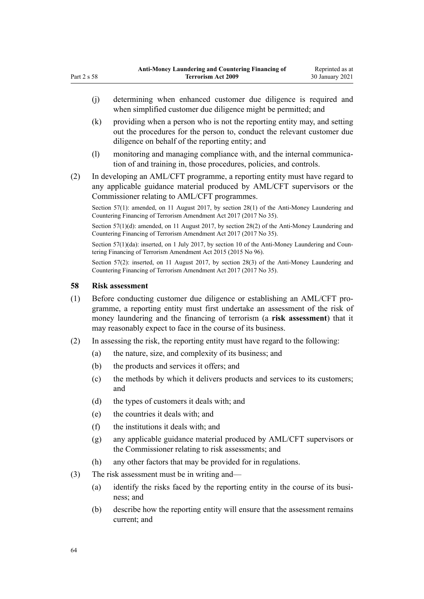- (j) determining when enhanced customer due diligence is required and when simplified customer due diligence might be permitted; and (k) providing when a person who is not the reporting entity may, and setting
- out the procedures for the person to, conduct the relevant customer due diligence on behalf of the reporting entity; and
- (l) monitoring and managing compliance with, and the internal communication of and training in, those procedures, policies, and controls.
- (2) In developing an AML/CFT programme, a reporting entity must have regard to any applicable guidance material produced by AML/CFT supervisors or the Commissioner relating to AML/CFT programmes.

Section 57(1): amended, on 11 August 2017, by [section 28\(1\)](http://legislation.govt.nz/pdflink.aspx?id=DLM7161309) of the Anti-Money Laundering and Countering Financing of Terrorism Amendment Act 2017 (2017 No 35).

Section 57(1)(d): amended, on 11 August 2017, by [section 28\(2\)](http://legislation.govt.nz/pdflink.aspx?id=DLM7161309) of the Anti-Money Laundering and Countering Financing of Terrorism Amendment Act 2017 (2017 No 35).

Section 57(1)(da): inserted, on 1 July 2017, by [section 10](http://legislation.govt.nz/pdflink.aspx?id=DLM6602227) of the Anti-Money Laundering and Countering Financing of Terrorism Amendment Act 2015 (2015 No 96).

Section 57(2): inserted, on 11 August 2017, by [section 28\(3\)](http://legislation.govt.nz/pdflink.aspx?id=DLM7161309) of the Anti-Money Laundering and Countering Financing of Terrorism Amendment Act 2017 (2017 No 35).

#### **58 Risk assessment**

<span id="page-63-0"></span>Part 2 s 58

- (1) Before conducting customer due diligence or establishing an AML/CFT programme, a reporting entity must first undertake an assessment of the risk of money laundering and the financing of terrorism (a **risk assessment**) that it may reasonably expect to face in the course of its business.
- (2) In assessing the risk, the reporting entity must have regard to the following:
	- (a) the nature, size, and complexity of its business; and
	- (b) the products and services it offers; and
	- (c) the methods by which it delivers products and services to its customers; and
	- (d) the types of customers it deals with; and
	- (e) the countries it deals with; and
	- (f) the institutions it deals with; and
	- (g) any applicable guidance material produced by AML/CFT supervisors or the Commissioner relating to risk assessments; and
	- (h) any other factors that may be provided for in regulations.
- (3) The risk assessment must be in writing and—
	- (a) identify the risks faced by the reporting entity in the course of its business; and
	- (b) describe how the reporting entity will ensure that the assessment remains current; and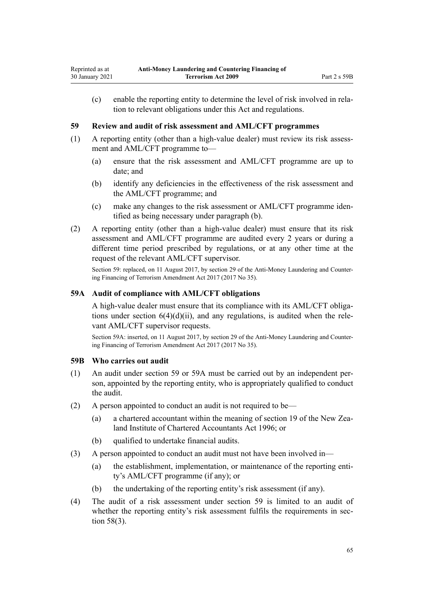<span id="page-64-0"></span>(c) enable the reporting entity to determine the level of risk involved in relation to relevant obligations under this Act and regulations.

### **59 Review and audit of risk assessment and AML/CFT programmes**

- (1) A reporting entity (other than a high-value dealer) must review its risk assessment and AML/CFT programme to—
	- (a) ensure that the risk assessment and AML/CFT programme are up to date; and
	- (b) identify any deficiencies in the effectiveness of the risk assessment and the AML/CFT programme; and
	- (c) make any changes to the risk assessment or AML/CFT programme identified as being necessary under paragraph (b).
- (2) A reporting entity (other than a high-value dealer) must ensure that its risk assessment and AML/CFT programme are audited every 2 years or during a different time period prescribed by regulations, or at any other time at the request of the relevant AML/CFT supervisor.

Section 59: replaced, on 11 August 2017, by [section 29](http://legislation.govt.nz/pdflink.aspx?id=DLM7161310) of the Anti-Money Laundering and Countering Financing of Terrorism Amendment Act 2017 (2017 No 35).

### **59A Audit of compliance with AML/CFT obligations**

A high-value dealer must ensure that its compliance with its AML/CFT obligations under section  $6(4)(d)(ii)$ , and any regulations, is audited when the relevant AML/CFT supervisor requests.

Section 59A: inserted, on 11 August 2017, by [section 29](http://legislation.govt.nz/pdflink.aspx?id=DLM7161310) of the Anti-Money Laundering and Countering Financing of Terrorism Amendment Act 2017 (2017 No 35).

#### **59B Who carries out audit**

- (1) An audit under section 59 or 59A must be carried out by an independent person, appointed by the reporting entity, who is appropriately qualified to conduct the audit.
- (2) A person appointed to conduct an audit is not required to be—
	- (a) a chartered accountant within the meaning of [section 19](http://legislation.govt.nz/pdflink.aspx?id=DLM391422) of the New Zealand Institute of Chartered Accountants Act 1996; or
	- (b) qualified to undertake financial audits.
- (3) A person appointed to conduct an audit must not have been involved in—
	- (a) the establishment, implementation, or maintenance of the reporting entity's AML/CFT programme (if any); or
	- (b) the undertaking of the reporting entity's risk assessment (if any).
- (4) The audit of a risk assessment under section 59 is limited to an audit of whether the reporting entity's risk assessment fulfils the requirements in [sec](#page-63-0)[tion 58\(3\).](#page-63-0)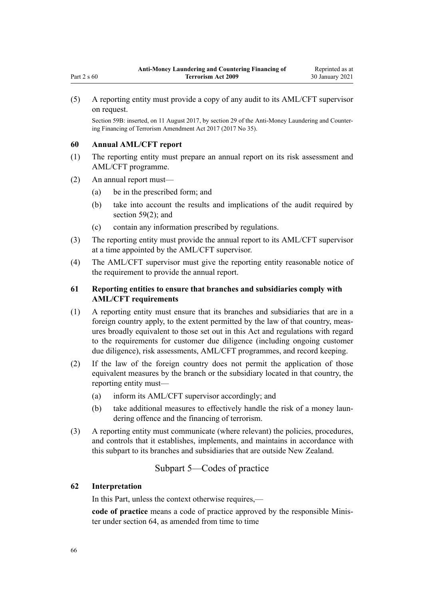(5) A reporting entity must provide a copy of any audit to its AML/CFT supervisor on request.

Section 59B: inserted, on 11 August 2017, by [section 29](http://legislation.govt.nz/pdflink.aspx?id=DLM7161310) of the Anti-Money Laundering and Countering Financing of Terrorism Amendment Act 2017 (2017 No 35).

#### **60 Annual AML/CFT report**

Part 2 s 60

- (1) The reporting entity must prepare an annual report on its risk assessment and AML/CFT programme.
- (2) An annual report must—
	- (a) be in the prescribed form; and
	- (b) take into account the results and implications of the audit required by [section 59\(2\);](#page-64-0) and
	- (c) contain any information prescribed by regulations.
- (3) The reporting entity must provide the annual report to its AML/CFT supervisor at a time appointed by the AML/CFT supervisor.
- (4) The AML/CFT supervisor must give the reporting entity reasonable notice of the requirement to provide the annual report.

# **61 Reporting entities to ensure that branches and subsidiaries comply with AML/CFT requirements**

- (1) A reporting entity must ensure that its branches and subsidiaries that are in a foreign country apply, to the extent permitted by the law of that country, measures broadly equivalent to those set out in this Act and regulations with regard to the requirements for customer due diligence (including ongoing customer due diligence), risk assessments, AML/CFT programmes, and record keeping.
- (2) If the law of the foreign country does not permit the application of those equivalent measures by the branch or the subsidiary located in that country, the reporting entity must—
	- (a) inform its AML/CFT supervisor accordingly; and
	- (b) take additional measures to effectively handle the risk of a money laundering offence and the financing of terrorism.
- (3) A reporting entity must communicate (where relevant) the policies, procedures, and controls that it establishes, implements, and maintains in accordance with this subpart to its branches and subsidiaries that are outside New Zealand.

# Subpart 5—Codes of practice

### **62 Interpretation**

In this Part, unless the context otherwise requires,—

**code of practice** means a code of practice approved by the responsible Minister under [section 64](#page-66-0), as amended from time to time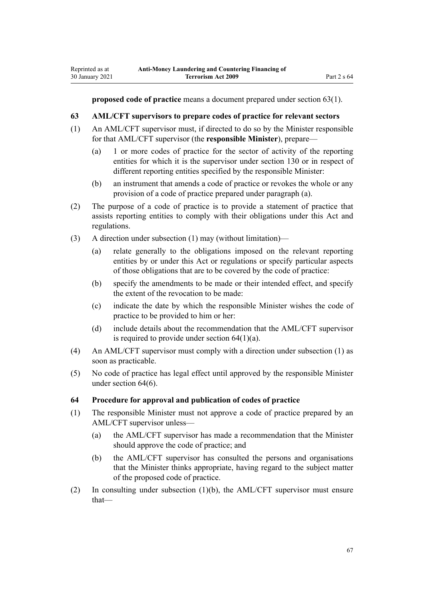<span id="page-66-0"></span>**proposed code of practice** means a document prepared under section 63(1).

### **63 AML/CFT supervisors to prepare codes of practice for relevant sectors**

- (1) An AML/CFT supervisor must, if directed to do so by the Minister responsible for that AML/CFT supervisor (the **responsible Minister**), prepare—
	- (a) 1 or more codes of practice for the sector of activity of the reporting entities for which it is the supervisor under [section 130](#page-90-0) or in respect of different reporting entities specified by the responsible Minister:
	- (b) an instrument that amends a code of practice or revokes the whole or any provision of a code of practice prepared under paragraph (a).
- (2) The purpose of a code of practice is to provide a statement of practice that assists reporting entities to comply with their obligations under this Act and regulations.
- (3) A direction under subsection (1) may (without limitation)—
	- (a) relate generally to the obligations imposed on the relevant reporting entities by or under this Act or regulations or specify particular aspects of those obligations that are to be covered by the code of practice:
	- (b) specify the amendments to be made or their intended effect, and specify the extent of the revocation to be made:
	- (c) indicate the date by which the responsible Minister wishes the code of practice to be provided to him or her:
	- (d) include details about the recommendation that the AML/CFT supervisor is required to provide under section  $64(1)(a)$ .
- (4) An AML/CFT supervisor must comply with a direction under subsection (1) as soon as practicable.
- (5) No code of practice has legal effect until approved by the responsible Minister under section 64(6).

#### **64 Procedure for approval and publication of codes of practice**

- (1) The responsible Minister must not approve a code of practice prepared by an AML/CFT supervisor unless—
	- (a) the AML/CFT supervisor has made a recommendation that the Minister should approve the code of practice; and
	- (b) the AML/CFT supervisor has consulted the persons and organisations that the Minister thinks appropriate, having regard to the subject matter of the proposed code of practice.
- (2) In consulting under subsection (1)(b), the AML/CFT supervisor must ensure that—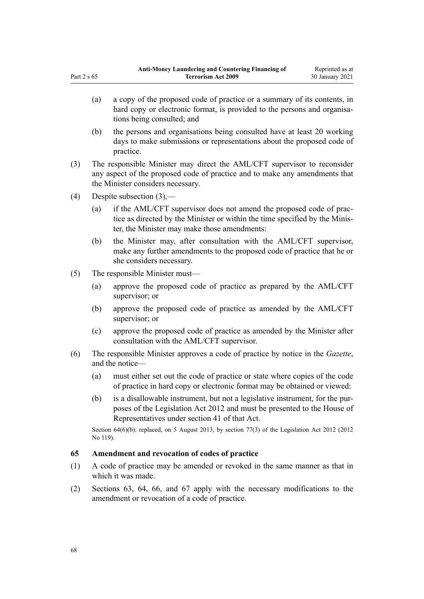- (a) a copy of the proposed code of practice or a summary of its contents, in hard copy or electronic format, is provided to the persons and organisations being consulted; and
- (b) the persons and organisations being consulted have at least 20 working days to make submissions or representations about the proposed code of practice.
- (3) The responsible Minister may direct the AML/CFT supervisor to reconsider any aspect of the proposed code of practice and to make any amendments that the Minister considers necessary.
- (4) Despite subsection (3),—

<span id="page-67-0"></span>Part 2 s 65

- (a) if the AML/CFT supervisor does not amend the proposed code of practice as directed by the Minister or within the time specified by the Minister, the Minister may make those amendments:
- (b) the Minister may, after consultation with the AML/CFT supervisor, make any further amendments to the proposed code of practice that he or she considers necessary.
- (5) The responsible Minister must—
	- (a) approve the proposed code of practice as prepared by the AML/CFT supervisor; or
	- (b) approve the proposed code of practice as amended by the AML/CFT supervisor; or
	- (c) approve the proposed code of practice as amended by the Minister after consultation with the AML/CFT supervisor.
- (6) The responsible Minister approves a code of practice by notice in the *Gazette*, and the notice—
	- (a) must either set out the code of practice or state where copies of the code of practice in hard copy or electronic format may be obtained or viewed:
	- (b) is a disallowable instrument, but not a legislative instrument, for the purposes of the [Legislation Act 2012](http://legislation.govt.nz/pdflink.aspx?id=DLM2997643) and must be presented to the House of Representatives under [section 41](http://legislation.govt.nz/pdflink.aspx?id=DLM2998573) of that Act.

Section 64(6)(b): replaced, on 5 August 2013, by [section 77\(3\)](http://legislation.govt.nz/pdflink.aspx?id=DLM2998633) of the Legislation Act 2012 (2012 No 119).

#### **65 Amendment and revocation of codes of practice**

- (1) A code of practice may be amended or revoked in the same manner as that in which it was made.
- (2) [Sections 63](#page-66-0), [64,](#page-66-0) [66,](#page-68-0) and [67](#page-68-0) apply with the necessary modifications to the amendment or revocation of a code of practice.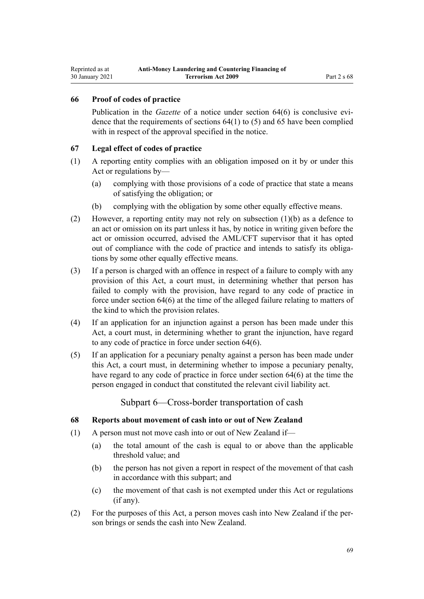### <span id="page-68-0"></span>**66 Proof of codes of practice**

Publication in the *Gazette* of a notice under [section 64\(6\)](#page-66-0) is conclusive evidence that the requirements of sections  $64(1)$  to (5) and [65](#page-67-0) have been complied with in respect of the approval specified in the notice.

### **67 Legal effect of codes of practice**

- (1) A reporting entity complies with an obligation imposed on it by or under this Act or regulations by—
	- (a) complying with those provisions of a code of practice that state a means of satisfying the obligation; or
	- (b) complying with the obligation by some other equally effective means.
- (2) However, a reporting entity may not rely on subsection (1)(b) as a defence to an act or omission on its part unless it has, by notice in writing given before the act or omission occurred, advised the AML/CFT supervisor that it has opted out of compliance with the code of practice and intends to satisfy its obligations by some other equally effective means.
- (3) If a person is charged with an offence in respect of a failure to comply with any provision of this Act, a court must, in determining whether that person has failed to comply with the provision, have regard to any code of practice in force under [section 64\(6\)](#page-66-0) at the time of the alleged failure relating to matters of the kind to which the provision relates.
- (4) If an application for an injunction against a person has been made under this Act, a court must, in determining whether to grant the injunction, have regard to any code of practice in force under [section 64\(6\).](#page-66-0)
- (5) If an application for a pecuniary penalty against a person has been made under this Act, a court must, in determining whether to impose a pecuniary penalty, have regard to any code of practice in force under [section 64\(6\)](#page-66-0) at the time the person engaged in conduct that constituted the relevant civil liability act.

Subpart 6—Cross-border transportation of cash

### **68 Reports about movement of cash into or out of New Zealand**

- (1) A person must not move cash into or out of New Zealand if—
	- (a) the total amount of the cash is equal to or above than the applicable threshold value; and
	- (b) the person has not given a report in respect of the movement of that cash in accordance with this subpart; and
	- (c) the movement of that cash is not exempted under this Act or regulations (if any).
- (2) For the purposes of this Act, a person moves cash into New Zealand if the person brings or sends the cash into New Zealand.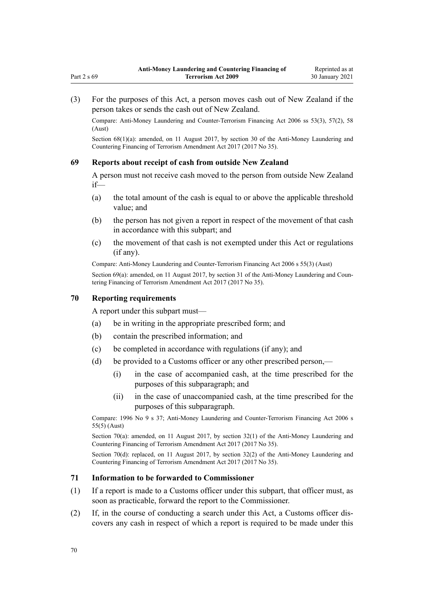(3) For the purposes of this Act, a person moves cash out of New Zealand if the person takes or sends the cash out of New Zealand.

Compare: Anti-Money Laundering and Counter-Terrorism Financing Act 2006 ss 53(3), 57(2), 58 (Aust)

Section 68(1)(a): amended, on 11 August 2017, by [section 30](http://legislation.govt.nz/pdflink.aspx?id=DLM7161314) of the Anti-Money Laundering and Countering Financing of Terrorism Amendment Act 2017 (2017 No 35).

#### **69 Reports about receipt of cash from outside New Zealand**

A person must not receive cash moved to the person from outside New Zealand if—

- (a) the total amount of the cash is equal to or above the applicable threshold value; and
- (b) the person has not given a report in respect of the movement of that cash in accordance with this subpart; and
- (c) the movement of that cash is not exempted under this Act or regulations (if any).

Compare: Anti-Money Laundering and Counter-Terrorism Financing Act 2006 s 55(3) (Aust)

Section 69(a): amended, on 11 August 2017, by [section 31](http://legislation.govt.nz/pdflink.aspx?id=DLM7161315) of the Anti-Money Laundering and Countering Financing of Terrorism Amendment Act 2017 (2017 No 35).

#### **70 Reporting requirements**

A report under this subpart must—

- (a) be in writing in the appropriate prescribed form; and
- (b) contain the prescribed information; and
- (c) be completed in accordance with regulations (if any); and
- (d) be provided to a Customs officer or any other prescribed person,—
	- (i) in the case of accompanied cash, at the time prescribed for the purposes of this subparagraph; and
	- (ii) in the case of unaccompanied cash, at the time prescribed for the purposes of this subparagraph.

Compare: 1996 No 9 [s 37](http://legislation.govt.nz/pdflink.aspx?id=DLM374143); Anti-Money Laundering and Counter-Terrorism Financing Act 2006 s 55(5) (Aust)

Section 70(a): amended, on 11 August 2017, by [section 32\(1\)](http://legislation.govt.nz/pdflink.aspx?id=DLM7161316) of the Anti-Money Laundering and Countering Financing of Terrorism Amendment Act 2017 (2017 No 35).

Section 70(d): replaced, on 11 August 2017, by [section 32\(2\)](http://legislation.govt.nz/pdflink.aspx?id=DLM7161316) of the Anti-Money Laundering and Countering Financing of Terrorism Amendment Act 2017 (2017 No 35).

#### **71 Information to be forwarded to Commissioner**

- (1) If a report is made to a Customs officer under this subpart, that officer must, as soon as practicable, forward the report to the Commissioner.
- (2) If, in the course of conducting a search under this Act, a Customs officer discovers any cash in respect of which a report is required to be made under this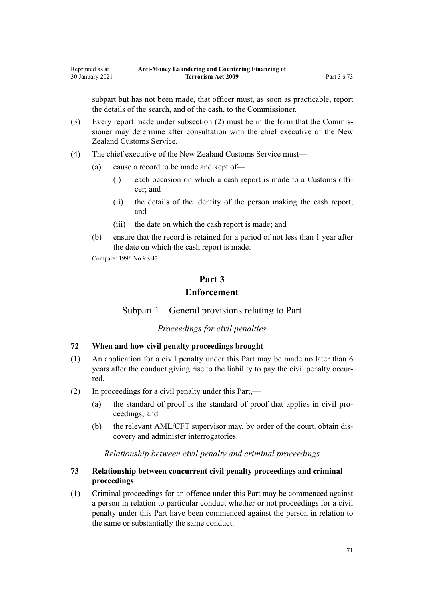subpart but has not been made, that officer must, as soon as practicable, report the details of the search, and of the cash, to the Commissioner.

- (3) Every report made under subsection (2) must be in the form that the Commissioner may determine after consultation with the chief executive of the New Zealand Customs Service.
- (4) The chief executive of the New Zealand Customs Service must—
	- (a) cause a record to be made and kept of—
		- (i) each occasion on which a cash report is made to a Customs officer; and
		- (ii) the details of the identity of the person making the cash report; and
		- (iii) the date on which the cash report is made; and
	- (b) ensure that the record is retained for a period of not less than 1 year after the date on which the cash report is made.

Compare: 1996 No 9 [s 42](http://legislation.govt.nz/pdflink.aspx?id=DLM374162)

# **Part 3 Enforcement**

Subpart 1—General provisions relating to Part

*Proceedings for civil penalties*

# **72 When and how civil penalty proceedings brought**

- (1) An application for a civil penalty under this Part may be made no later than 6 years after the conduct giving rise to the liability to pay the civil penalty occurred.
- (2) In proceedings for a civil penalty under this Part,—
	- (a) the standard of proof is the standard of proof that applies in civil proceedings; and
	- (b) the relevant AML/CFT supervisor may, by order of the court, obtain discovery and administer interrogatories.

#### *Relationship between civil penalty and criminal proceedings*

# **73 Relationship between concurrent civil penalty proceedings and criminal proceedings**

(1) Criminal proceedings for an offence under this Part may be commenced against a person in relation to particular conduct whether or not proceedings for a civil penalty under this Part have been commenced against the person in relation to the same or substantially the same conduct.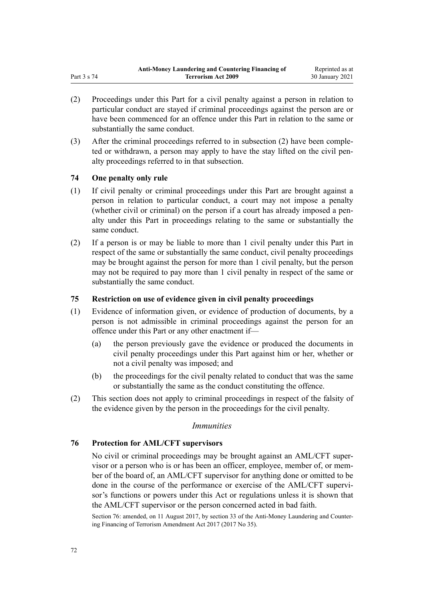- (2) Proceedings under this Part for a civil penalty against a person in relation to particular conduct are stayed if criminal proceedings against the person are or have been commenced for an offence under this Part in relation to the same or substantially the same conduct.
- (3) After the criminal proceedings referred to in subsection (2) have been completed or withdrawn, a person may apply to have the stay lifted on the civil penalty proceedings referred to in that subsection.

### **74 One penalty only rule**

- (1) If civil penalty or criminal proceedings under this Part are brought against a person in relation to particular conduct, a court may not impose a penalty (whether civil or criminal) on the person if a court has already imposed a penalty under this Part in proceedings relating to the same or substantially the same conduct.
- (2) If a person is or may be liable to more than 1 civil penalty under this Part in respect of the same or substantially the same conduct, civil penalty proceedings may be brought against the person for more than 1 civil penalty, but the person may not be required to pay more than 1 civil penalty in respect of the same or substantially the same conduct.

### **75 Restriction on use of evidence given in civil penalty proceedings**

- (1) Evidence of information given, or evidence of production of documents, by a person is not admissible in criminal proceedings against the person for an offence under this Part or any other enactment if—
	- (a) the person previously gave the evidence or produced the documents in civil penalty proceedings under this Part against him or her, whether or not a civil penalty was imposed; and
	- (b) the proceedings for the civil penalty related to conduct that was the same or substantially the same as the conduct constituting the offence.
- (2) This section does not apply to criminal proceedings in respect of the falsity of the evidence given by the person in the proceedings for the civil penalty.

### *Immunities*

### **76 Protection for AML/CFT supervisors**

No civil or criminal proceedings may be brought against an AML/CFT supervisor or a person who is or has been an officer, employee, member of, or member of the board of, an AML/CFT supervisor for anything done or omitted to be done in the course of the performance or exercise of the AML/CFT supervisor's functions or powers under this Act or regulations unless it is shown that the AML/CFT supervisor or the person concerned acted in bad faith.

Section 76: amended, on 11 August 2017, by [section 33](http://legislation.govt.nz/pdflink.aspx?id=DLM7340630) of the Anti-Money Laundering and Countering Financing of Terrorism Amendment Act 2017 (2017 No 35).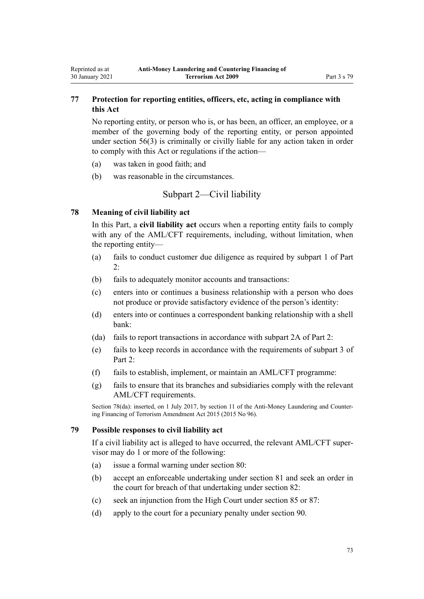# **77 Protection for reporting entities, officers, etc, acting in compliance with this Act**

No reporting entity, or person who is, or has been, an officer, an employee, or a member of the governing body of the reporting entity, or person appointed under [section 56\(3\)](#page-61-0) is criminally or civilly liable for any action taken in order to comply with this Act or regulations if the action—

- (a) was taken in good faith; and
- (b) was reasonable in the circumstances.

# Subpart 2—Civil liability

## **78 Meaning of civil liability act**

<span id="page-72-0"></span>Reprinted as at 30 January 2021

> In this Part, a **civil liability act** occurs when a reporting entity fails to comply with any of the AML/CFT requirements, including, without limitation, when the reporting entity—

- (a) fails to conduct customer due diligence as required by [subpart 1](#page-31-0) of Part 2:
- (b) fails to adequately monitor accounts and transactions:
- (c) enters into or continues a business relationship with a person who does not produce or provide satisfactory evidence of the person's identity:
- (d) enters into or continues a correspondent banking relationship with a shell bank:
- (da) fails to report transactions in accordance with [subpart 2A](#page-56-0) of Part 2:
- (e) fails to keep records in accordance with the requirements of [subpart 3](#page-58-0) of Part 2.
- (f) fails to establish, implement, or maintain an AML/CFT programme:
- (g) fails to ensure that its branches and subsidiaries comply with the relevant AML/CFT requirements.

Section 78(da): inserted, on 1 July 2017, by [section 11](http://legislation.govt.nz/pdflink.aspx?id=DLM6602228) of the Anti-Money Laundering and Countering Financing of Terrorism Amendment Act 2015 (2015 No 96).

## **79 Possible responses to civil liability act**

If a civil liability act is alleged to have occurred, the relevant AML/CFT supervisor may do 1 or more of the following:

- (a) issue a formal warning under [section 80](#page-73-0):
- (b) accept an enforceable undertaking under [section 81](#page-73-0) and seek an order in the court for breach of that undertaking under [section 82:](#page-73-0)
- (c) seek an injunction from the High Court under [section 85](#page-74-0) or [87:](#page-75-0)
- (d) apply to the court for a pecuniary penalty under [section 90](#page-75-0).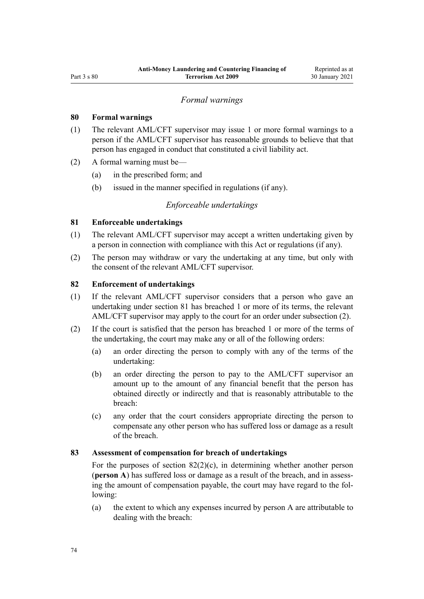## *Formal warnings*

## <span id="page-73-0"></span>**80 Formal warnings**

- (1) The relevant AML/CFT supervisor may issue 1 or more formal warnings to a person if the AML/CFT supervisor has reasonable grounds to believe that that person has engaged in conduct that constituted a civil liability act.
- (2) A formal warning must be—
	- (a) in the prescribed form; and
	- (b) issued in the manner specified in regulations (if any).

### *Enforceable undertakings*

## **81 Enforceable undertakings**

- (1) The relevant AML/CFT supervisor may accept a written undertaking given by a person in connection with compliance with this Act or regulations (if any).
- (2) The person may withdraw or vary the undertaking at any time, but only with the consent of the relevant AML/CFT supervisor.

# **82 Enforcement of undertakings**

- (1) If the relevant AML/CFT supervisor considers that a person who gave an undertaking under section 81 has breached 1 or more of its terms, the relevant AML/CFT supervisor may apply to the court for an order under subsection (2).
- (2) If the court is satisfied that the person has breached 1 or more of the terms of the undertaking, the court may make any or all of the following orders:
	- (a) an order directing the person to comply with any of the terms of the undertaking:
	- (b) an order directing the person to pay to the AML/CFT supervisor an amount up to the amount of any financial benefit that the person has obtained directly or indirectly and that is reasonably attributable to the breach:
	- (c) any order that the court considers appropriate directing the person to compensate any other person who has suffered loss or damage as a result of the breach.

#### **83 Assessment of compensation for breach of undertakings**

For the purposes of section  $82(2)(c)$ , in determining whether another person (**person A**) has suffered loss or damage as a result of the breach, and in assessing the amount of compensation payable, the court may have regard to the following:

(a) the extent to which any expenses incurred by person A are attributable to dealing with the breach: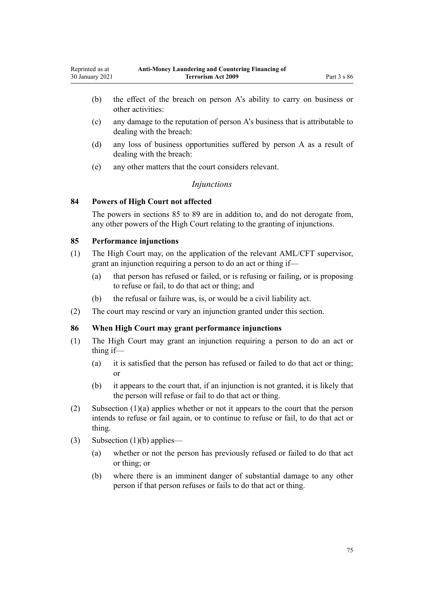- <span id="page-74-0"></span>(b) the effect of the breach on person A's ability to carry on business or other activities:
- (c) any damage to the reputation of person A's business that is attributable to dealing with the breach:
- (d) any loss of business opportunities suffered by person A as a result of dealing with the breach:
- (e) any other matters that the court considers relevant.

## *Injunctions*

## **84 Powers of High Court not affected**

The powers in sections 85 to [89](#page-75-0) are in addition to, and do not derogate from, any other powers of the High Court relating to the granting of injunctions.

## **85 Performance injunctions**

- (1) The High Court may, on the application of the relevant AML/CFT supervisor, grant an injunction requiring a person to do an act or thing if—
	- (a) that person has refused or failed, or is refusing or failing, or is proposing to refuse or fail, to do that act or thing; and
	- (b) the refusal or failure was, is, or would be a civil liability act.
- (2) The court may rescind or vary an injunction granted under this section.

## **86 When High Court may grant performance injunctions**

- (1) The High Court may grant an injunction requiring a person to do an act or thing if—
	- (a) it is satisfied that the person has refused or failed to do that act or thing; or
	- (b) it appears to the court that, if an injunction is not granted, it is likely that the person will refuse or fail to do that act or thing.
- (2) Subsection (1)(a) applies whether or not it appears to the court that the person intends to refuse or fail again, or to continue to refuse or fail, to do that act or thing.
- (3) Subsection (1)(b) applies—
	- (a) whether or not the person has previously refused or failed to do that act or thing; or
	- (b) where there is an imminent danger of substantial damage to any other person if that person refuses or fails to do that act or thing.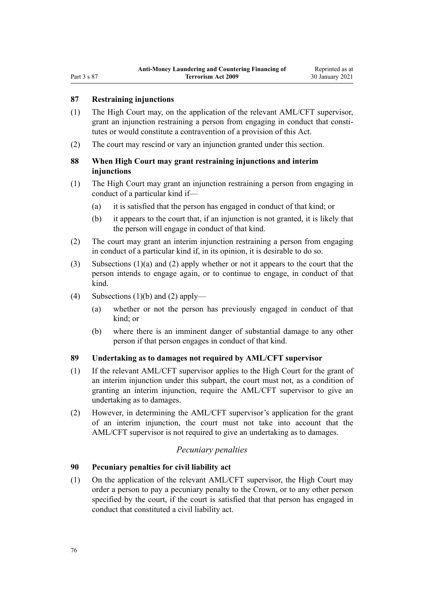## <span id="page-75-0"></span>**87 Restraining injunctions**

- (1) The High Court may, on the application of the relevant AML/CFT supervisor, grant an injunction restraining a person from engaging in conduct that constitutes or would constitute a contravention of a provision of this Act.
- (2) The court may rescind or vary an injunction granted under this section.

# **88 When High Court may grant restraining injunctions and interim injunctions**

- (1) The High Court may grant an injunction restraining a person from engaging in conduct of a particular kind if—
	- (a) it is satisfied that the person has engaged in conduct of that kind; or
	- (b) it appears to the court that, if an injunction is not granted, it is likely that the person will engage in conduct of that kind.
- (2) The court may grant an interim injunction restraining a person from engaging in conduct of a particular kind if, in its opinion, it is desirable to do so.
- (3) Subsections (1)(a) and (2) apply whether or not it appears to the court that the person intends to engage again, or to continue to engage, in conduct of that kind.
- (4) Subsections  $(1)(b)$  and  $(2)$  apply—
	- (a) whether or not the person has previously engaged in conduct of that kind; or
	- (b) where there is an imminent danger of substantial damage to any other person if that person engages in conduct of that kind.

## **89 Undertaking as to damages not required by AML/CFT supervisor**

- (1) If the relevant AML/CFT supervisor applies to the High Court for the grant of an interim injunction under this subpart, the court must not, as a condition of granting an interim injunction, require the AML/CFT supervisor to give an undertaking as to damages.
- (2) However, in determining the AML/CFT supervisor's application for the grant of an interim injunction, the court must not take into account that the AML/CFT supervisor is not required to give an undertaking as to damages.

# *Pecuniary penalties*

## **90 Pecuniary penalties for civil liability act**

(1) On the application of the relevant AML/CFT supervisor, the High Court may order a person to pay a pecuniary penalty to the Crown, or to any other person specified by the court, if the court is satisfied that that person has engaged in conduct that constituted a civil liability act.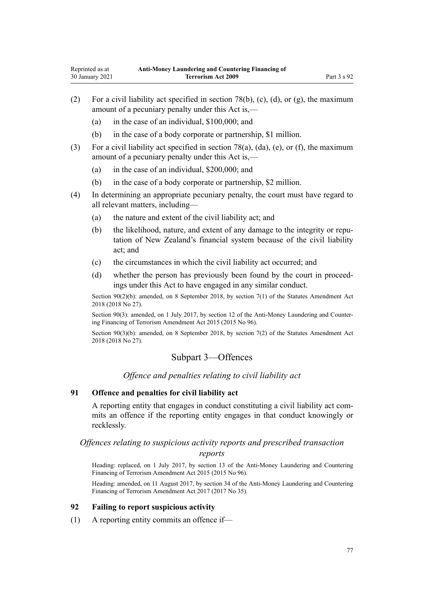- <span id="page-76-0"></span>(2) For a civil liability act specified in [section 78\(b\), \(c\), \(d\), or \(g\),](#page-72-0) the maximum amount of a pecuniary penalty under this Act is,—
	- (a) in the case of an individual, \$100,000; and
	- (b) in the case of a body corporate or partnership, \$1 million.
- (3) For a civil liability act specified in [section 78\(a\), \(da\), \(e\), or \(f\)](#page-72-0), the maximum amount of a pecuniary penalty under this Act is,—
	- (a) in the case of an individual, \$200,000; and
	- (b) in the case of a body corporate or partnership, \$2 million.
- (4) In determining an appropriate pecuniary penalty, the court must have regard to all relevant matters, including—
	- (a) the nature and extent of the civil liability act; and
	- (b) the likelihood, nature, and extent of any damage to the integrity or reputation of New Zealand's financial system because of the civil liability act; and
	- (c) the circumstances in which the civil liability act occurred; and
	- (d) whether the person has previously been found by the court in proceedings under this Act to have engaged in any similar conduct.

Section 90(2)(b): amended, on 8 September 2018, by [section 7\(1\)](http://legislation.govt.nz/pdflink.aspx?id=LMS15913) of the Statutes Amendment Act 2018 (2018 No 27).

Section 90(3): amended, on 1 July 2017, by [section 12](http://legislation.govt.nz/pdflink.aspx?id=DLM6602229) of the Anti-Money Laundering and Countering Financing of Terrorism Amendment Act 2015 (2015 No 96).

Section 90(3)(b): amended, on 8 September 2018, by [section 7\(2\)](http://legislation.govt.nz/pdflink.aspx?id=LMS15913) of the Statutes Amendment Act 2018 (2018 No 27).

# Subpart 3—Offences

*Offence and penalties relating to civil liability act*

# **91 Offence and penalties for civil liability act**

A reporting entity that engages in conduct constituting a civil liability act commits an offence if the reporting entity engages in that conduct knowingly or recklessly.

# *Offences relating to suspicious activity reports and prescribed transaction*

*reports*

Heading: replaced, on 1 July 2017, by [section 13](http://legislation.govt.nz/pdflink.aspx?id=DLM6602230) of the Anti-Money Laundering and Countering Financing of Terrorism Amendment Act 2015 (2015 No 96).

Heading: amended, on 11 August 2017, by [section 34](http://legislation.govt.nz/pdflink.aspx?id=DLM7161317) of the Anti-Money Laundering and Countering Financing of Terrorism Amendment Act 2017 (2017 No 35).

## **92 Failing to report suspicious activity**

(1) A reporting entity commits an offence if—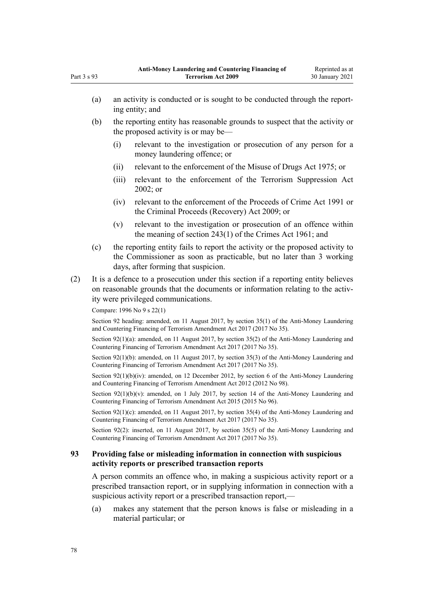|     | (a)                                                                                                                                                                                                                                | an activity is conducted or is sought to be conducted through the report-<br>ing entity; and                                                                            |                                                                                                                                                                                              |  |  |  |
|-----|------------------------------------------------------------------------------------------------------------------------------------------------------------------------------------------------------------------------------------|-------------------------------------------------------------------------------------------------------------------------------------------------------------------------|----------------------------------------------------------------------------------------------------------------------------------------------------------------------------------------------|--|--|--|
|     | (b)                                                                                                                                                                                                                                |                                                                                                                                                                         | the reporting entity has reasonable grounds to suspect that the activity or<br>the proposed activity is or may be—                                                                           |  |  |  |
|     |                                                                                                                                                                                                                                    | (i)                                                                                                                                                                     | relevant to the investigation or prosecution of any person for a<br>money laundering offence; or                                                                                             |  |  |  |
|     |                                                                                                                                                                                                                                    | (ii)                                                                                                                                                                    | relevant to the enforcement of the Misuse of Drugs Act 1975; or                                                                                                                              |  |  |  |
|     |                                                                                                                                                                                                                                    | (iii)                                                                                                                                                                   | relevant to the enforcement of the Terrorism Suppression Act<br>2002; or                                                                                                                     |  |  |  |
|     |                                                                                                                                                                                                                                    | (iv)                                                                                                                                                                    | relevant to the enforcement of the Proceeds of Crime Act 1991 or<br>the Criminal Proceeds (Recovery) Act 2009; or                                                                            |  |  |  |
|     |                                                                                                                                                                                                                                    | (v)                                                                                                                                                                     | relevant to the investigation or prosecution of an offence within<br>the meaning of section $243(1)$ of the Crimes Act 1961; and                                                             |  |  |  |
|     | (c)                                                                                                                                                                                                                                |                                                                                                                                                                         | the reporting entity fails to report the activity or the proposed activity to<br>the Commissioner as soon as practicable, but no later than 3 working<br>days, after forming that suspicion. |  |  |  |
| (2) | It is a defence to a prosecution under this section if a reporting entity believes<br>on reasonable grounds that the documents or information relating to the activ-<br>ity were privileged communications.                        |                                                                                                                                                                         |                                                                                                                                                                                              |  |  |  |
|     |                                                                                                                                                                                                                                    | Compare: 1996 No 9 s 22(1)                                                                                                                                              |                                                                                                                                                                                              |  |  |  |
|     |                                                                                                                                                                                                                                    | Section 92 heading: amended, on 11 August 2017, by section 35(1) of the Anti-Money Laundering<br>and Countering Financing of Terrorism Amendment Act 2017 (2017 No 35). |                                                                                                                                                                                              |  |  |  |
|     | Section $92(1)(a)$ : amended, on 11 August 2017, by section 35(2) of the Anti-Money Laundering and<br>Countering Financing of Terrorism Amendment Act 2017 (2017 No 35).                                                           |                                                                                                                                                                         |                                                                                                                                                                                              |  |  |  |
|     | Section $92(1)(b)$ : amended, on 11 August 2017, by section 35(3) of the Anti-Money Laundering and<br>Countering Financing of Terrorism Amendment Act 2017 (2017 No 35).                                                           |                                                                                                                                                                         |                                                                                                                                                                                              |  |  |  |
|     | Section $92(1)(b)(iv)$ : amended, on 12 December 2012, by section 6 of the Anti-Money Laundering<br>and Countering Financing of Terrorism Amendment Act 2012 (2012 No 98).                                                         |                                                                                                                                                                         |                                                                                                                                                                                              |  |  |  |
|     | Section $92(1)(b)(v)$ : amended, on 1 July 2017, by section 14 of the Anti-Money Laundering and<br>Countering Financing of Terrorism Amendment Act 2015 (2015 No 96).                                                              |                                                                                                                                                                         |                                                                                                                                                                                              |  |  |  |
|     | Section $92(1)(c)$ : amended, on 11 August 2017, by section 35(4) of the Anti-Money Laundering and<br>Countering Financing of Terrorism Amendment Act 2017 (2017 No 35).                                                           |                                                                                                                                                                         |                                                                                                                                                                                              |  |  |  |
|     | Section 92(2): inserted, on 11 August 2017, by section 35(5) of the Anti-Money Laundering and<br>Countering Financing of Terrorism Amendment Act 2017 (2017 No 35).                                                                |                                                                                                                                                                         |                                                                                                                                                                                              |  |  |  |
| 93  | Providing false or misleading information in connection with suspicious<br>activity reports or prescribed transaction reports                                                                                                      |                                                                                                                                                                         |                                                                                                                                                                                              |  |  |  |
|     | A person commits an offence who, in making a suspicious activity report or a<br>prescribed transaction report, or in supplying information in connection with a<br>suspicious activity report or a prescribed transaction report,— |                                                                                                                                                                         |                                                                                                                                                                                              |  |  |  |

(a) makes any statement that the person knows is false or misleading in a material particular; or

Part 3 s 93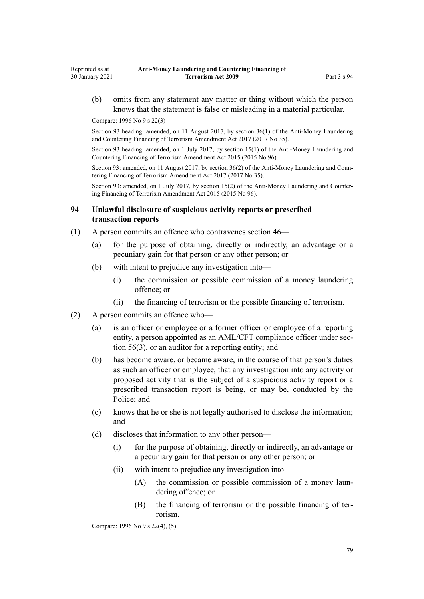(b) omits from any statement any matter or thing without which the person knows that the statement is false or misleading in a material particular.

Compare: 1996 No 9 [s 22\(3\)](http://legislation.govt.nz/pdflink.aspx?id=DLM374118)

Reprinted as at 30 January 2021

> Section 93 heading: amended, on 11 August 2017, by [section 36\(1\)](http://legislation.govt.nz/pdflink.aspx?id=DLM7161319) of the Anti-Money Laundering and Countering Financing of Terrorism Amendment Act 2017 (2017 No 35).

> Section 93 heading: amended, on 1 July 2017, by [section 15\(1\)](http://legislation.govt.nz/pdflink.aspx?id=DLM6602233) of the Anti-Money Laundering and Countering Financing of Terrorism Amendment Act 2015 (2015 No 96).

> Section 93: amended, on 11 August 2017, by [section 36\(2\)](http://legislation.govt.nz/pdflink.aspx?id=DLM7161319) of the Anti-Money Laundering and Countering Financing of Terrorism Amendment Act 2017 (2017 No 35).

> Section 93: amended, on 1 July 2017, by [section 15\(2\)](http://legislation.govt.nz/pdflink.aspx?id=DLM6602233) of the Anti-Money Laundering and Countering Financing of Terrorism Amendment Act 2015 (2015 No 96).

## **94 Unlawful disclosure of suspicious activity reports or prescribed transaction reports**

- (1) A person commits an offence who contravenes [section 46—](#page-54-0)
	- (a) for the purpose of obtaining, directly or indirectly, an advantage or a pecuniary gain for that person or any other person; or
	- (b) with intent to prejudice any investigation into—
		- (i) the commission or possible commission of a money laundering offence; or
		- (ii) the financing of terrorism or the possible financing of terrorism.
- (2) A person commits an offence who—
	- (a) is an officer or employee or a former officer or employee of a reporting entity, a person appointed as an AML/CFT compliance officer under [sec](#page-61-0)[tion 56\(3\),](#page-61-0) or an auditor for a reporting entity; and
	- (b) has become aware, or became aware, in the course of that person's duties as such an officer or employee, that any investigation into any activity or proposed activity that is the subject of a suspicious activity report or a prescribed transaction report is being, or may be, conducted by the Police; and
	- (c) knows that he or she is not legally authorised to disclose the information; and
	- (d) discloses that information to any other person—
		- (i) for the purpose of obtaining, directly or indirectly, an advantage or a pecuniary gain for that person or any other person; or
		- (ii) with intent to prejudice any investigation into—
			- (A) the commission or possible commission of a money laundering offence; or
			- (B) the financing of terrorism or the possible financing of terrorism.

Compare: 1996 No 9 [s 22\(4\), \(5\)](http://legislation.govt.nz/pdflink.aspx?id=DLM374118)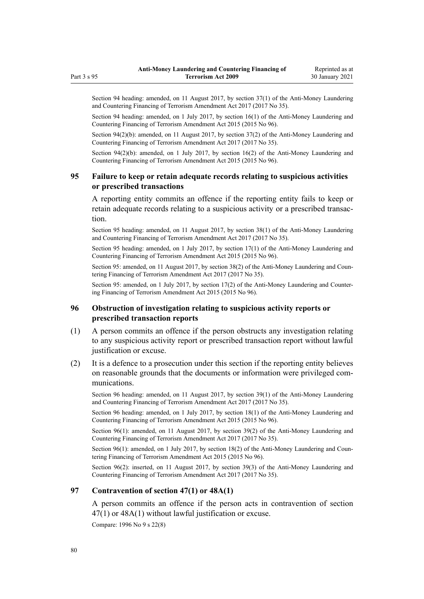Section 94 heading: amended, on 11 August 2017, by [section 37\(1\)](http://legislation.govt.nz/pdflink.aspx?id=DLM7161320) of the Anti-Money Laundering and Countering Financing of Terrorism Amendment Act 2017 (2017 No 35).

Section 94 heading: amended, on 1 July 2017, by [section 16\(1\)](http://legislation.govt.nz/pdflink.aspx?id=DLM6602234) of the Anti-Money Laundering and Countering Financing of Terrorism Amendment Act 2015 (2015 No 96).

Section 94(2)(b): amended, on 11 August 2017, by [section 37\(2\)](http://legislation.govt.nz/pdflink.aspx?id=DLM7161320) of the Anti-Money Laundering and Countering Financing of Terrorism Amendment Act 2017 (2017 No 35).

Section 94(2)(b): amended, on 1 July 2017, by [section 16\(2\)](http://legislation.govt.nz/pdflink.aspx?id=DLM6602234) of the Anti-Money Laundering and Countering Financing of Terrorism Amendment Act 2015 (2015 No 96).

## **95 Failure to keep or retain adequate records relating to suspicious activities or prescribed transactions**

A reporting entity commits an offence if the reporting entity fails to keep or retain adequate records relating to a suspicious activity or a prescribed transaction.

Section 95 heading: amended, on 11 August 2017, by [section 38\(1\)](http://legislation.govt.nz/pdflink.aspx?id=DLM7161321) of the Anti-Money Laundering and Countering Financing of Terrorism Amendment Act 2017 (2017 No 35).

Section 95 heading: amended, on 1 July 2017, by [section 17\(1\)](http://legislation.govt.nz/pdflink.aspx?id=DLM6602235) of the Anti-Money Laundering and Countering Financing of Terrorism Amendment Act 2015 (2015 No 96).

Section 95: amended, on 11 August 2017, by [section 38\(2\)](http://legislation.govt.nz/pdflink.aspx?id=DLM7161321) of the Anti-Money Laundering and Countering Financing of Terrorism Amendment Act 2017 (2017 No 35).

Section 95: amended, on 1 July 2017, by [section 17\(2\)](http://legislation.govt.nz/pdflink.aspx?id=DLM6602235) of the Anti-Money Laundering and Countering Financing of Terrorism Amendment Act 2015 (2015 No 96).

# **96 Obstruction of investigation relating to suspicious activity reports or prescribed transaction reports**

- (1) A person commits an offence if the person obstructs any investigation relating to any suspicious activity report or prescribed transaction report without lawful justification or excuse.
- (2) It is a defence to a prosecution under this section if the reporting entity believes on reasonable grounds that the documents or information were privileged communications.

Section 96 heading: amended, on 11 August 2017, by [section 39\(1\)](http://legislation.govt.nz/pdflink.aspx?id=DLM7161322) of the Anti-Money Laundering and Countering Financing of Terrorism Amendment Act 2017 (2017 No 35).

Section 96 heading: amended, on 1 July 2017, by [section 18\(1\)](http://legislation.govt.nz/pdflink.aspx?id=DLM6602236) of the Anti-Money Laundering and Countering Financing of Terrorism Amendment Act 2015 (2015 No 96).

Section 96(1): amended, on 11 August 2017, by [section 39\(2\)](http://legislation.govt.nz/pdflink.aspx?id=DLM7161322) of the Anti-Money Laundering and Countering Financing of Terrorism Amendment Act 2017 (2017 No 35).

Section 96(1): amended, on 1 July 2017, by [section 18\(2\)](http://legislation.govt.nz/pdflink.aspx?id=DLM6602236) of the Anti-Money Laundering and Countering Financing of Terrorism Amendment Act 2015 (2015 No 96).

Section 96(2): inserted, on 11 August 2017, by [section 39\(3\)](http://legislation.govt.nz/pdflink.aspx?id=DLM7161322) of the Anti-Money Laundering and Countering Financing of Terrorism Amendment Act 2017 (2017 No 35).

## **97 Contravention of section 47(1) or 48A(1)**

A person commits an offence if the person acts in contravention of [section](#page-55-0) [47\(1\)](#page-55-0) or [48A\(1\)](#page-56-0) without lawful justification or excuse.

Compare: 1996 No 9 [s 22\(8\)](http://legislation.govt.nz/pdflink.aspx?id=DLM374118)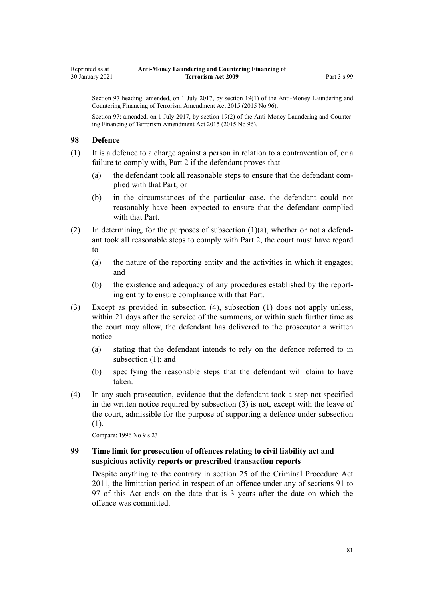Section 97 heading: amended, on 1 July 2017, by [section 19\(1\)](http://legislation.govt.nz/pdflink.aspx?id=DLM6602237) of the Anti-Money Laundering and Countering Financing of Terrorism Amendment Act 2015 (2015 No 96).

Section 97: amended, on 1 July 2017, by [section 19\(2\)](http://legislation.govt.nz/pdflink.aspx?id=DLM6602237) of the Anti-Money Laundering and Countering Financing of Terrorism Amendment Act 2015 (2015 No 96).

#### **98 Defence**

(1) It is a defence to a charge against a person in relation to a contravention of, or a failure to comply with, [Part 2](#page-30-0) if the defendant proves that—

- (a) the defendant took all reasonable steps to ensure that the defendant complied with that Part; or
- (b) in the circumstances of the particular case, the defendant could not reasonably have been expected to ensure that the defendant complied with that Part.
- (2) In determining, for the purposes of subsection (1)(a), whether or not a defendant took all reasonable steps to comply with [Part 2](#page-30-0), the court must have regard to—
	- (a) the nature of the reporting entity and the activities in which it engages; and
	- (b) the existence and adequacy of any procedures established by the reporting entity to ensure compliance with that Part.
- (3) Except as provided in subsection (4), subsection (1) does not apply unless, within 21 days after the service of the summons, or within such further time as the court may allow, the defendant has delivered to the prosecutor a written notice—
	- (a) stating that the defendant intends to rely on the defence referred to in subsection (1); and
	- (b) specifying the reasonable steps that the defendant will claim to have taken.
- (4) In any such prosecution, evidence that the defendant took a step not specified in the written notice required by subsection (3) is not, except with the leave of the court, admissible for the purpose of supporting a defence under subsection (1).

Compare: 1996 No 9 [s 23](http://legislation.govt.nz/pdflink.aspx?id=DLM374121)

## **99 Time limit for prosecution of offences relating to civil liability act and suspicious activity reports or prescribed transaction reports**

Despite anything to the contrary in [section 25](http://legislation.govt.nz/pdflink.aspx?id=DLM3360067) of the Criminal Procedure Act 2011, the limitation period in respect of an offence under any of [sections 91 to](#page-76-0) [97](#page-76-0) of this Act ends on the date that is 3 years after the date on which the offence was committed.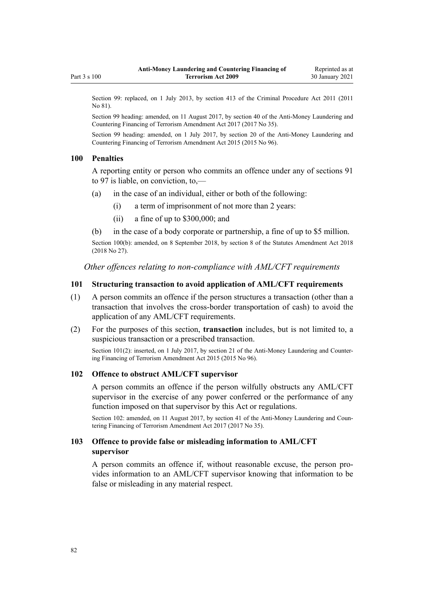<span id="page-81-0"></span>Section 99: replaced, on 1 July 2013, by [section 413](http://legislation.govt.nz/pdflink.aspx?id=DLM3360714) of the Criminal Procedure Act 2011 (2011) No 81).

Section 99 heading: amended, on 11 August 2017, by [section 40](http://legislation.govt.nz/pdflink.aspx?id=DLM7161323) of the Anti-Money Laundering and Countering Financing of Terrorism Amendment Act 2017 (2017 No 35).

Section 99 heading: amended, on 1 July 2017, by [section 20](http://legislation.govt.nz/pdflink.aspx?id=DLM6602238) of the Anti-Money Laundering and Countering Financing of Terrorism Amendment Act 2015 (2015 No 96).

#### **100 Penalties**

A reporting entity or person who commits an offence under any of [sections 91](#page-76-0) [to 97](#page-76-0) is liable, on conviction, to,—

- (a) in the case of an individual, either or both of the following:
	- (i) a term of imprisonment of not more than 2 years:
	- (ii) a fine of up to \$300,000; and
- (b) in the case of a body corporate or partnership, a fine of up to \$5 million.

Section 100(b): amended, on 8 September 2018, by [section 8](http://legislation.govt.nz/pdflink.aspx?id=LMS15920) of the Statutes Amendment Act 2018 (2018 No 27).

*Other offences relating to non-compliance with AML/CFT requirements*

## **101 Structuring transaction to avoid application of AML/CFT requirements**

- (1) A person commits an offence if the person structures a transaction (other than a transaction that involves the cross-border transportation of cash) to avoid the application of any AML/CFT requirements.
- (2) For the purposes of this section, **transaction** includes, but is not limited to, a suspicious transaction or a prescribed transaction.

Section 101(2): inserted, on 1 July 2017, by [section 21](http://legislation.govt.nz/pdflink.aspx?id=DLM6602239) of the Anti-Money Laundering and Countering Financing of Terrorism Amendment Act 2015 (2015 No 96).

#### **102 Offence to obstruct AML/CFT supervisor**

A person commits an offence if the person wilfully obstructs any AML/CFT supervisor in the exercise of any power conferred or the performance of any function imposed on that supervisor by this Act or regulations.

Section 102: amended, on 11 August 2017, by [section 41](http://legislation.govt.nz/pdflink.aspx?id=DLM7340631) of the Anti-Money Laundering and Countering Financing of Terrorism Amendment Act 2017 (2017 No 35).

## **103 Offence to provide false or misleading information to AML/CFT supervisor**

A person commits an offence if, without reasonable excuse, the person provides information to an AML/CFT supervisor knowing that information to be false or misleading in any material respect.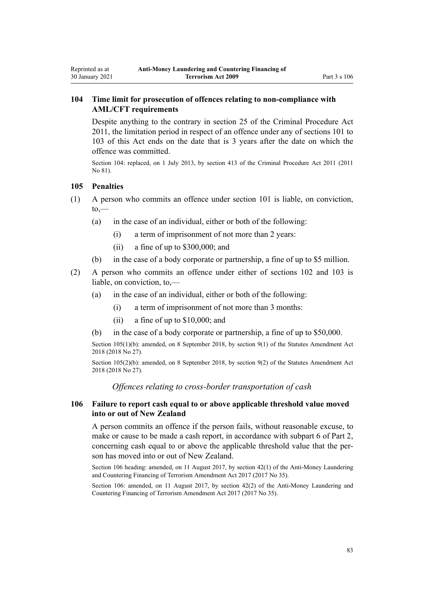# **104 Time limit for prosecution of offences relating to non-compliance with AML/CFT requirements**

Despite anything to the contrary in [section 25](http://legislation.govt.nz/pdflink.aspx?id=DLM3360067) of the Criminal Procedure Act 2011, the limitation period in respect of an offence under any of [sections 101 to](#page-81-0) [103](#page-81-0) of this Act ends on the date that is 3 years after the date on which the offence was committed.

Section 104: replaced, on 1 July 2013, by [section 413](http://legislation.govt.nz/pdflink.aspx?id=DLM3360714) of the Criminal Procedure Act 2011 (2011 No 81).

## **105 Penalties**

<span id="page-82-0"></span>Reprinted as at 30 January 2021

- (1) A person who commits an offence under [section 101](#page-81-0) is liable, on conviction,  $to,$ 
	- (a) in the case of an individual, either or both of the following:
		- (i) a term of imprisonment of not more than 2 years:
		- (ii) a fine of up to \$300,000; and
	- (b) in the case of a body corporate or partnership, a fine of up to \$5 million.
- (2) A person who commits an offence under either of [sections 102](#page-81-0) and [103](#page-81-0) is liable, on conviction, to,—
	- (a) in the case of an individual, either or both of the following:
		- (i) a term of imprisonment of not more than 3 months:
		- (ii) a fine of up to \$10,000; and
	- (b) in the case of a body corporate or partnership, a fine of up to \$50,000.

Section 105(1)(b): amended, on 8 September 2018, by [section 9\(1\)](http://legislation.govt.nz/pdflink.aspx?id=LMS15921) of the Statutes Amendment Act 2018 (2018 No 27).

Section 105(2)(b): amended, on 8 September 2018, by [section 9\(2\)](http://legislation.govt.nz/pdflink.aspx?id=LMS15921) of the Statutes Amendment Act 2018 (2018 No 27).

*Offences relating to cross-border transportation of cash*

## **106 Failure to report cash equal to or above applicable threshold value moved into or out of New Zealand**

A person commits an offence if the person fails, without reasonable excuse, to make or cause to be made a cash report, in accordance with [subpart 6](#page-68-0) of Part 2, concerning cash equal to or above the applicable threshold value that the person has moved into or out of New Zealand.

Section 106 heading: amended, on 11 August 2017, by [section 42\(1\)](http://legislation.govt.nz/pdflink.aspx?id=DLM7161324) of the Anti-Money Laundering and Countering Financing of Terrorism Amendment Act 2017 (2017 No 35).

Section 106: amended, on 11 August 2017, by [section 42\(2\)](http://legislation.govt.nz/pdflink.aspx?id=DLM7161324) of the Anti-Money Laundering and Countering Financing of Terrorism Amendment Act 2017 (2017 No 35).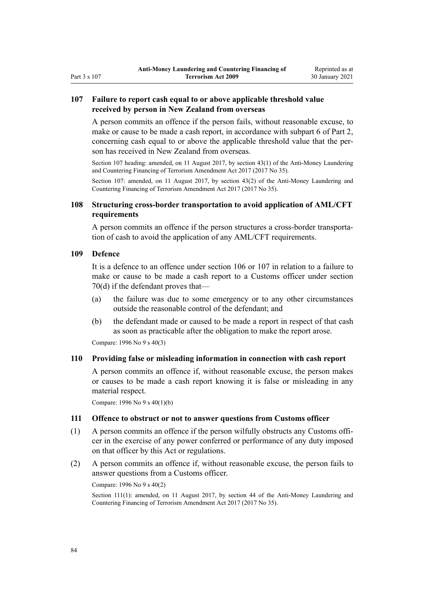# <span id="page-83-0"></span>Part 3 s 107

## **107 Failure to report cash equal to or above applicable threshold value received by person in New Zealand from overseas**

A person commits an offence if the person fails, without reasonable excuse, to make or cause to be made a cash report, in accordance with [subpart 6](#page-68-0) of Part 2, concerning cash equal to or above the applicable threshold value that the person has received in New Zealand from overseas.

Section 107 heading: amended, on 11 August 2017, by [section 43\(1\)](http://legislation.govt.nz/pdflink.aspx?id=DLM7161325) of the Anti-Money Laundering and Countering Financing of Terrorism Amendment Act 2017 (2017 No 35).

Section 107: amended, on 11 August 2017, by [section 43\(2\)](http://legislation.govt.nz/pdflink.aspx?id=DLM7161325) of the Anti-Money Laundering and Countering Financing of Terrorism Amendment Act 2017 (2017 No 35).

## **108 Structuring cross-border transportation to avoid application of AML/CFT requirements**

A person commits an offence if the person structures a cross-border transportation of cash to avoid the application of any AML/CFT requirements.

## **109 Defence**

It is a defence to an offence under [section 106](#page-82-0) or 107 in relation to a failure to make or cause to be made a cash report to a Customs officer under [section](#page-69-0) [70\(d\)](#page-69-0) if the defendant proves that—

- (a) the failure was due to some emergency or to any other circumstances outside the reasonable control of the defendant; and
- (b) the defendant made or caused to be made a report in respect of that cash as soon as practicable after the obligation to make the report arose.

Compare: 1996 No 9 [s 40\(3\)](http://legislation.govt.nz/pdflink.aspx?id=DLM374157)

## **110 Providing false or misleading information in connection with cash report**

A person commits an offence if, without reasonable excuse, the person makes or causes to be made a cash report knowing it is false or misleading in any material respect.

Compare: 1996 No 9 [s 40\(1\)\(b\)](http://legislation.govt.nz/pdflink.aspx?id=DLM374157)

### **111 Offence to obstruct or not to answer questions from Customs officer**

- (1) A person commits an offence if the person wilfully obstructs any Customs officer in the exercise of any power conferred or performance of any duty imposed on that officer by this Act or regulations.
- (2) A person commits an offence if, without reasonable excuse, the person fails to answer questions from a Customs officer.

Compare: 1996 No 9 [s 40\(2\)](http://legislation.govt.nz/pdflink.aspx?id=DLM374157)

Section 111(1): amended, on 11 August 2017, by [section 44](http://legislation.govt.nz/pdflink.aspx?id=DLM7340632) of the Anti-Money Laundering and Countering Financing of Terrorism Amendment Act 2017 (2017 No 35).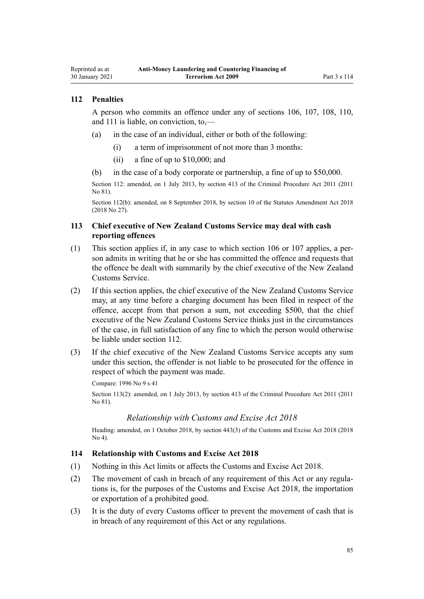## <span id="page-84-0"></span>**112 Penalties**

A person who commits an offence under any of [sections 106,](#page-82-0) [107](#page-83-0), [108](#page-83-0), [110](#page-83-0), and [111](#page-83-0) is liable, on conviction, to,—

- (a) in the case of an individual, either or both of the following:
	- (i) a term of imprisonment of not more than 3 months:
	- (ii) a fine of up to \$10,000; and
- (b) in the case of a body corporate or partnership, a fine of up to \$50,000.

Section 112: amended, on 1 July 2013, by [section 413](http://legislation.govt.nz/pdflink.aspx?id=DLM3360714) of the Criminal Procedure Act 2011 (2011 No 81).

Section 112(b): amended, on 8 September 2018, by [section 10](http://legislation.govt.nz/pdflink.aspx?id=LMS15922) of the Statutes Amendment Act 2018 (2018 No 27).

## **113 Chief executive of New Zealand Customs Service may deal with cash reporting offences**

- (1) This section applies if, in any case to which [section 106](#page-82-0) or [107](#page-83-0) applies, a person admits in writing that he or she has committed the offence and requests that the offence be dealt with summarily by the chief executive of the New Zealand Customs Service.
- (2) If this section applies, the chief executive of the New Zealand Customs Service may, at any time before a charging document has been filed in respect of the offence, accept from that person a sum, not exceeding \$500, that the chief executive of the New Zealand Customs Service thinks just in the circumstances of the case, in full satisfaction of any fine to which the person would otherwise be liable under section 112.
- (3) If the chief executive of the New Zealand Customs Service accepts any sum under this section, the offender is not liable to be prosecuted for the offence in respect of which the payment was made.

Compare: 1996 No 9 [s 41](http://legislation.govt.nz/pdflink.aspx?id=DLM374160)

Section 113(2): amended, on 1 July 2013, by [section 413](http://legislation.govt.nz/pdflink.aspx?id=DLM3360714) of the Criminal Procedure Act 2011 (2011 No 81).

### *Relationship with Customs and Excise Act 2018*

Heading: amended, on 1 October 2018, by [section 443\(3\)](http://legislation.govt.nz/pdflink.aspx?id=DLM7039957) of the Customs and Excise Act 2018 (2018 No 4).

#### **114 Relationship with Customs and Excise Act 2018**

- (1) Nothing in this Act limits or affects the [Customs and Excise Act 2018.](http://legislation.govt.nz/pdflink.aspx?id=DLM7038920)
- (2) The movement of cash in breach of any requirement of this Act or any regulations is, for the purposes of the [Customs and Excise Act 2018,](http://legislation.govt.nz/pdflink.aspx?id=DLM7038920) the importation or exportation of a prohibited good.
- (3) It is the duty of every Customs officer to prevent the movement of cash that is in breach of any requirement of this Act or any regulations.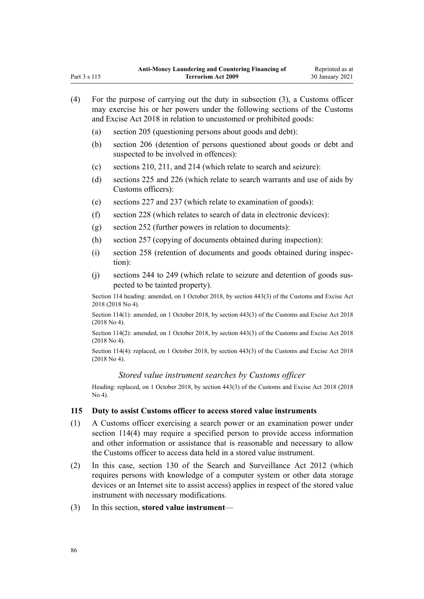| (4) | For the purpose of carrying out the duty in subsection (3), a Customs officer<br>may exercise his or her powers under the following sections of the Customs |                                                                                                                |  |  |  |
|-----|-------------------------------------------------------------------------------------------------------------------------------------------------------------|----------------------------------------------------------------------------------------------------------------|--|--|--|
|     | and Excise Act 2018 in relation to uncustomed or prohibited goods:                                                                                          |                                                                                                                |  |  |  |
|     | (a)                                                                                                                                                         | section 205 (questioning persons about goods and debt):                                                        |  |  |  |
|     | (b)                                                                                                                                                         | section 206 (detention of persons questioned about goods or debt and<br>suspected to be involved in offences): |  |  |  |
|     | (c)                                                                                                                                                         | sections 210, 211, and 214 (which relate to search and seizure):                                               |  |  |  |
|     | (d)                                                                                                                                                         | sections 225 and 226 (which relate to search warrants and use of aids by<br>Customs officers):                 |  |  |  |
|     | (e)                                                                                                                                                         | sections 227 and 237 (which relate to examination of goods):                                                   |  |  |  |
|     | (f)                                                                                                                                                         | section 228 (which relates to search of data in electronic devices):                                           |  |  |  |
|     | (g)                                                                                                                                                         | section 252 (further powers in relation to documents):                                                         |  |  |  |
|     | (h)                                                                                                                                                         | section 257 (copying of documents obtained during inspection):                                                 |  |  |  |
|     | (i)                                                                                                                                                         | section 258 (retention of documents and goods obtained during inspec-<br>tion):                                |  |  |  |
|     | (j)                                                                                                                                                         | sections 244 to 249 (which relate to seizure and detention of goods sus-<br>pected to be tainted property).    |  |  |  |
|     | Section 114 heading: amended, on 1 October 2018, by section 443(3) of the Customs and Excise Act<br>2018 (2018 No 4).                                       |                                                                                                                |  |  |  |
|     | Section 114(1): amended, on 1 October 2018, by section 443(3) of the Customs and Excise Act 2018<br>$(2018$ No 4).                                          |                                                                                                                |  |  |  |
|     | Section 114(2): amended, on 1 October 2018, by section 443(3) of the Customs and Excise Act 2018<br>$(2018$ No 4).                                          |                                                                                                                |  |  |  |
|     | Section 114(4): replaced, on 1 October 2018, by section 443(3) of the Customs and Excise Act 2018<br>$(2018$ No 4).                                         |                                                                                                                |  |  |  |
|     |                                                                                                                                                             | Stored value instrument searches by Customs officer                                                            |  |  |  |
|     | Heading: replaced, on 1 October 2018, by section 443(3) of the Customs and Excise Act 2018 (2018<br>No 4).                                                  |                                                                                                                |  |  |  |
| 115 |                                                                                                                                                             | Duty to assist Customs officer to access stored value instruments                                              |  |  |  |
| (1) |                                                                                                                                                             | A Customs officer evergising a search power or an evamination power under                                      |  |  |  |

- (1) A Customs officer exercising a search power or an examination power under [section 114\(4\)](#page-84-0) may require a specified person to provide access information and other information or assistance that is reasonable and necessary to allow the Customs officer to access data held in a stored value instrument.
- (2) In this case, [section 130](http://legislation.govt.nz/pdflink.aspx?id=DLM4355803) of the Search and Surveillance Act 2012 (which requires persons with knowledge of a computer system or other data storage devices or an Internet site to assist access) applies in respect of the stored value instrument with necessary modifications.
- (3) In this section, **stored value instrument**—

Part 3 s 115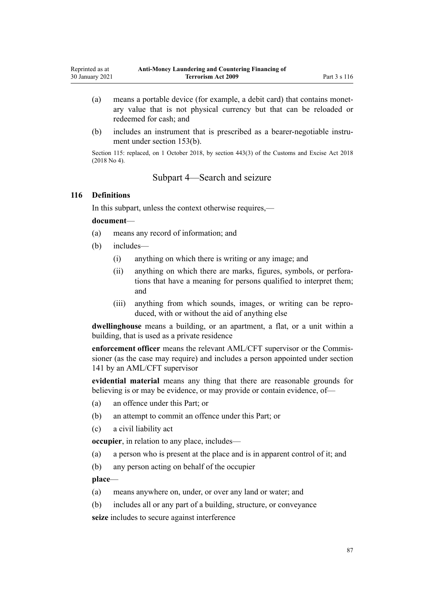- (a) means a portable device (for example, a debit card) that contains monetary value that is not physical currency but that can be reloaded or redeemed for cash; and
- (b) includes an instrument that is prescribed as a bearer-negotiable instrument under [section 153\(b\)](#page-105-0).

Section 115: replaced, on 1 October 2018, by [section 443\(3\)](http://legislation.govt.nz/pdflink.aspx?id=DLM7039957) of the Customs and Excise Act 2018 (2018 No 4).

# Subpart 4—Search and seizure

#### **116 Definitions**

In this subpart, unless the context otherwise requires,—

#### **document**—

- (a) means any record of information; and
- (b) includes—
	- (i) anything on which there is writing or any image; and
	- (ii) anything on which there are marks, figures, symbols, or perforations that have a meaning for persons qualified to interpret them; and
	- (iii) anything from which sounds, images, or writing can be reproduced, with or without the aid of anything else

**dwellinghouse** means a building, or an apartment, a flat, or a unit within a building, that is used as a private residence

**enforcement officer** means the relevant AML/CFT supervisor or the Commissioner (as the case may require) and includes a person appointed under [section](#page-98-0) [141](#page-98-0) by an AML/CFT supervisor

**evidential material** means any thing that there are reasonable grounds for believing is or may be evidence, or may provide or contain evidence, of—

- (a) an offence under this Part; or
- (b) an attempt to commit an offence under this Part; or
- (c) a civil liability act

**occupier**, in relation to any place, includes—

- (a) a person who is present at the place and is in apparent control of it; and
- (b) any person acting on behalf of the occupier

**place**—

- (a) means anywhere on, under, or over any land or water; and
- (b) includes all or any part of a building, structure, or conveyance

**seize** includes to secure against interference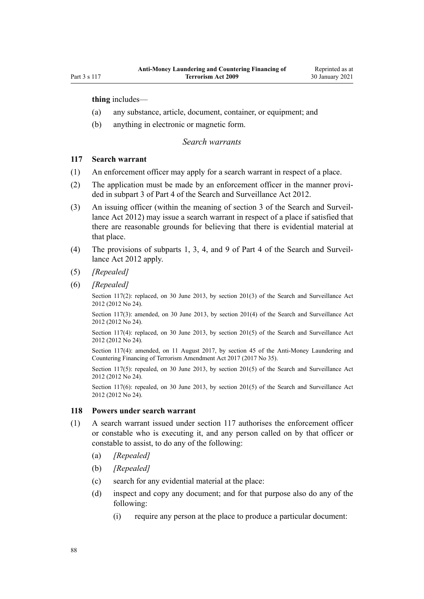**thing** includes—

- (a) any substance, article, document, container, or equipment; and
- (b) anything in electronic or magnetic form.

#### *Search warrants*

## **117 Search warrant**

- (1) An enforcement officer may apply for a search warrant in respect of a place.
- (2) The application must be made by an enforcement officer in the manner provided in [subpart 3](http://legislation.govt.nz/pdflink.aspx?id=DLM2136781) of Part 4 of the Search and Surveillance Act 2012.
- (3) An issuing officer (within the meaning of [section 3](http://legislation.govt.nz/pdflink.aspx?id=DLM2136542) of the Search and Surveillance Act 2012) may issue a search warrant in respect of a place if satisfied that there are reasonable grounds for believing that there is evidential material at that place.
- (4) The provisions of [subparts 1](http://legislation.govt.nz/pdflink.aspx?id=DLM2136771), [3,](http://legislation.govt.nz/pdflink.aspx?id=DLM2136781) [4](http://legislation.govt.nz/pdflink.aspx?id=DLM2136801), and [9](http://legislation.govt.nz/pdflink.aspx?id=DLM2136888) of Part 4 of the Search and Surveillance Act 2012 apply.
- (5) *[Repealed]*
- (6) *[Repealed]*

Section 117(2): replaced, on 30 June 2013, by [section 201\(3\)](http://legislation.govt.nz/pdflink.aspx?id=DLM4355905) of the Search and Surveillance Act 2012 (2012 No 24).

Section 117(3): amended, on 30 June 2013, by [section 201\(4\)](http://legislation.govt.nz/pdflink.aspx?id=DLM4355905) of the Search and Surveillance Act 2012 (2012 No 24).

Section 117(4): replaced, on 30 June 2013, by [section 201\(5\)](http://legislation.govt.nz/pdflink.aspx?id=DLM4355905) of the Search and Surveillance Act 2012 (2012 No 24).

Section 117(4): amended, on 11 August 2017, by [section 45](http://legislation.govt.nz/pdflink.aspx?id=DLM7161326) of the Anti-Money Laundering and Countering Financing of Terrorism Amendment Act 2017 (2017 No 35).

Section 117(5): repealed, on 30 June 2013, by [section 201\(5\)](http://legislation.govt.nz/pdflink.aspx?id=DLM4355905) of the Search and Surveillance Act 2012 (2012 No 24).

Section 117(6): repealed, on 30 June 2013, by [section 201\(5\)](http://legislation.govt.nz/pdflink.aspx?id=DLM4355905) of the Search and Surveillance Act 2012 (2012 No 24).

### **118 Powers under search warrant**

- (1) A search warrant issued under section 117 authorises the enforcement officer or constable who is executing it, and any person called on by that officer or constable to assist, to do any of the following:
	- (a) *[Repealed]*
	- (b) *[Repealed]*
	- (c) search for any evidential material at the place:
	- (d) inspect and copy any document; and for that purpose also do any of the following:
		- (i) require any person at the place to produce a particular document: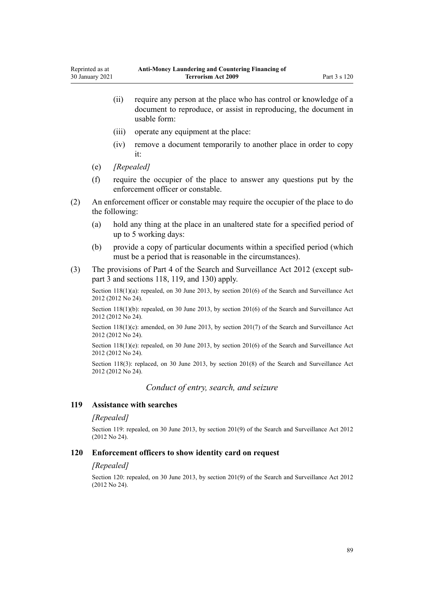- (ii) require any person at the place who has control or knowledge of a document to reproduce, or assist in reproducing, the document in usable form:
- (iii) operate any equipment at the place:
- (iv) remove a document temporarily to another place in order to copy it:
- (e) *[Repealed]*
- (f) require the occupier of the place to answer any questions put by the enforcement officer or constable.
- (2) An enforcement officer or constable may require the occupier of the place to do the following:
	- (a) hold any thing at the place in an unaltered state for a specified period of up to 5 working days:
	- (b) provide a copy of particular documents within a specified period (which must be a period that is reasonable in the circumstances).
- (3) The provisions of [Part 4](http://legislation.govt.nz/pdflink.aspx?id=DLM2136770) of the Search and Surveillance Act 2012 (except [sub](http://legislation.govt.nz/pdflink.aspx?id=DLM2136781)[part 3](http://legislation.govt.nz/pdflink.aspx?id=DLM2136781) and [sections 118,](http://legislation.govt.nz/pdflink.aspx?id=DLM2136813) [119](http://legislation.govt.nz/pdflink.aspx?id=DLM2136815), and [130\)](http://legislation.govt.nz/pdflink.aspx?id=DLM4355803) apply.

Section 118(1)(a): repealed, on 30 June 2013, by [section 201\(6\)](http://legislation.govt.nz/pdflink.aspx?id=DLM4355905) of the Search and Surveillance Act 2012 (2012 No 24).

Section 118(1)(b): repealed, on 30 June 2013, by [section 201\(6\)](http://legislation.govt.nz/pdflink.aspx?id=DLM4355905) of the Search and Surveillance Act 2012 (2012 No 24).

Section 118(1)(c): amended, on 30 June 2013, by [section 201\(7\)](http://legislation.govt.nz/pdflink.aspx?id=DLM4355905) of the Search and Surveillance Act 2012 (2012 No 24).

Section 118(1)(e): repealed, on 30 June 2013, by [section 201\(6\)](http://legislation.govt.nz/pdflink.aspx?id=DLM4355905) of the Search and Surveillance Act 2012 (2012 No 24).

Section 118(3): replaced, on 30 June 2013, by [section 201\(8\)](http://legislation.govt.nz/pdflink.aspx?id=DLM4355905) of the Search and Surveillance Act 2012 (2012 No 24).

*Conduct of entry, search, and seizure*

#### **119 Assistance with searches**

#### *[Repealed]*

Section 119: repealed, on 30 June 2013, by [section 201\(9\)](http://legislation.govt.nz/pdflink.aspx?id=DLM4355905) of the Search and Surveillance Act 2012 (2012 No 24).

#### **120 Enforcement officers to show identity card on request**

#### *[Repealed]*

Section 120: repealed, on 30 June 2013, by [section 201\(9\)](http://legislation.govt.nz/pdflink.aspx?id=DLM4355905) of the Search and Surveillance Act 2012 (2012 No 24).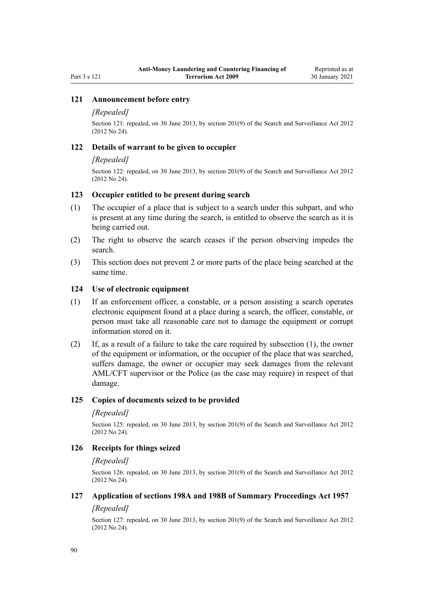## **121 Announcement before entry**

#### *[Repealed]*

Section 121: repealed, on 30 June 2013, by [section 201\(9\)](http://legislation.govt.nz/pdflink.aspx?id=DLM4355905) of the Search and Surveillance Act 2012 (2012 No 24).

#### **122 Details of warrant to be given to occupier**

#### *[Repealed]*

Section 122: repealed, on 30 June 2013, by [section 201\(9\)](http://legislation.govt.nz/pdflink.aspx?id=DLM4355905) of the Search and Surveillance Act 2012 (2012 No 24).

## **123 Occupier entitled to be present during search**

- (1) The occupier of a place that is subject to a search under this subpart, and who is present at any time during the search, is entitled to observe the search as it is being carried out.
- (2) The right to observe the search ceases if the person observing impedes the search.
- (3) This section does not prevent 2 or more parts of the place being searched at the same time.

#### **124 Use of electronic equipment**

- (1) If an enforcement officer, a constable, or a person assisting a search operates electronic equipment found at a place during a search, the officer, constable, or person must take all reasonable care not to damage the equipment or corrupt information stored on it.
- (2) If, as a result of a failure to take the care required by subsection (1), the owner of the equipment or information, or the occupier of the place that was searched, suffers damage, the owner or occupier may seek damages from the relevant AML/CFT supervisor or the Police (as the case may require) in respect of that damage.

## **125 Copies of documents seized to be provided**

#### *[Repealed]*

Section 125: repealed, on 30 June 2013, by [section 201\(9\)](http://legislation.govt.nz/pdflink.aspx?id=DLM4355905) of the Search and Surveillance Act 2012 (2012 No 24).

## **126 Receipts for things seized**

#### *[Repealed]*

Section 126: repealed, on 30 June 2013, by [section 201\(9\)](http://legislation.govt.nz/pdflink.aspx?id=DLM4355905) of the Search and Surveillance Act 2012 (2012 No 24).

## **127 Application of sections 198A and 198B of Summary Proceedings Act 1957**

### *[Repealed]*

Section 127: repealed, on 30 June 2013, by [section 201\(9\)](http://legislation.govt.nz/pdflink.aspx?id=DLM4355905) of the Search and Surveillance Act 2012 (2012 No 24).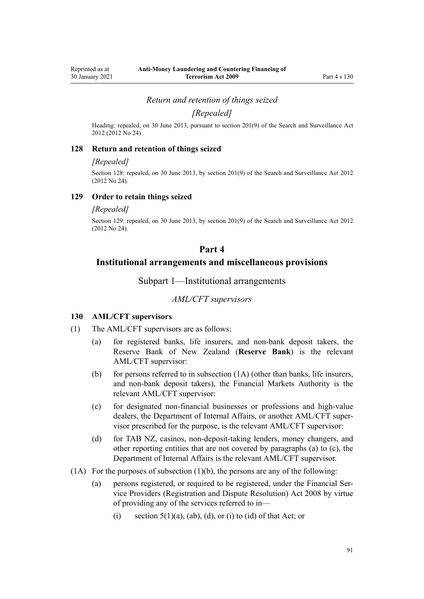*Return and retention of things seized*

*[Repealed]*

Heading: repealed, on 30 June 2013, pursuant to [section 201\(9\)](http://legislation.govt.nz/pdflink.aspx?id=DLM4355905) of the Search and Surveillance Act 2012 (2012 No 24).

#### **128 Return and retention of things seized**

#### *[Repealed]*

Section 128: repealed, on 30 June 2013, by [section 201\(9\)](http://legislation.govt.nz/pdflink.aspx?id=DLM4355905) of the Search and Surveillance Act 2012 (2012 No 24).

### **129 Order to retain things seized**

#### *[Repealed]*

Section 129: repealed, on 30 June 2013, by [section 201\(9\)](http://legislation.govt.nz/pdflink.aspx?id=DLM4355905) of the Search and Surveillance Act 2012 (2012 No 24).

## **Part 4**

## **Institutional arrangements and miscellaneous provisions**

Subpart 1—Institutional arrangements

### *AML/CFT supervisors*

## **130 AML/CFT supervisors**

- (1) The AML/CFT supervisors are as follows:
	- (a) for registered banks, life insurers, and non-bank deposit takers, the Reserve Bank of New Zealand (**Reserve Bank**) is the relevant AML/CFT supervisor:
	- (b) for persons referred to in subsection  $(1A)$  (other than banks, life insurers, and non-bank deposit takers), the Financial Markets Authority is the relevant AML/CFT supervisor:
	- (c) for designated non-financial businesses or professions and high-value dealers, the Department of Internal Affairs, or another AML/CFT supervisor prescribed for the purpose, is the relevant AML/CFT supervisor:
	- (d) for TAB NZ, casinos, non-deposit-taking lenders, money changers, and other reporting entities that are not covered by paragraphs (a) to (c), the Department of Internal Affairs is the relevant AML/CFT supervisor.
- $(1)$  For the purposes of subsection  $(1)$ (b), the persons are any of the following:
	- (a) persons registered, or required to be registered, under the [Financial Ser](http://legislation.govt.nz/pdflink.aspx?id=DLM1109400)[vice Providers \(Registration and Dispute Resolution\) Act 2008](http://legislation.govt.nz/pdflink.aspx?id=DLM1109400) by virtue of providing any of the services referred to in—
		- (i) section  $5(1)(a)$ ,  $(ab)$ ,  $(d)$ , or (i) to (id) of that Act; or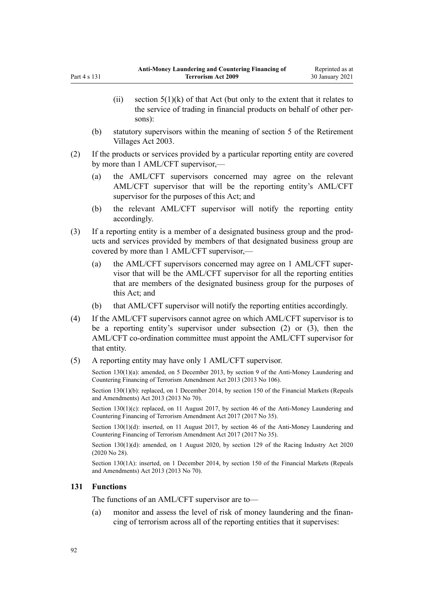- <span id="page-91-0"></span>(ii) section  $5(1)(k)$  of that Act (but only to the extent that it relates to the service of trading in financial products on behalf of other persons):
- (b) statutory supervisors within the meaning of [section 5](http://legislation.govt.nz/pdflink.aspx?id=DLM220373) of the Retirement Villages Act 2003.
- (2) If the products or services provided by a particular reporting entity are covered by more than 1 AML/CFT supervisor,—
	- (a) the AML/CFT supervisors concerned may agree on the relevant AML/CFT supervisor that will be the reporting entity's AML/CFT supervisor for the purposes of this Act; and
	- (b) the relevant AML/CFT supervisor will notify the reporting entity accordingly.
- (3) If a reporting entity is a member of a designated business group and the products and services provided by members of that designated business group are covered by more than 1 AML/CFT supervisor,—
	- (a) the AML/CFT supervisors concerned may agree on 1 AML/CFT supervisor that will be the AML/CFT supervisor for all the reporting entities that are members of the designated business group for the purposes of this Act; and
	- (b) that AML/CFT supervisor will notify the reporting entities accordingly.
- (4) If the AML/CFT supervisors cannot agree on which AML/CFT supervisor is to be a reporting entity's supervisor under subsection (2) or (3), then the AML/CFT co-ordination committee must appoint the AML/CFT supervisor for that entity.
- (5) A reporting entity may have only 1 AML/CFT supervisor.

Section 130(1)(a): amended, on 5 December 2013, by [section 9](http://legislation.govt.nz/pdflink.aspx?id=DLM5621513) of the Anti-Money Laundering and Countering Financing of Terrorism Amendment Act 2013 (2013 No 106).

Section 130(1)(b): replaced, on 1 December 2014, by [section 150](http://legislation.govt.nz/pdflink.aspx?id=DLM5561603) of the Financial Markets (Repeals and Amendments) Act 2013 (2013 No 70).

Section 130(1)(c): replaced, on 11 August 2017, by [section 46](http://legislation.govt.nz/pdflink.aspx?id=DLM7161327) of the Anti-Money Laundering and Countering Financing of Terrorism Amendment Act 2017 (2017 No 35).

Section 130(1)(d): inserted, on 11 August 2017, by [section 46](http://legislation.govt.nz/pdflink.aspx?id=DLM7161327) of the Anti-Money Laundering and Countering Financing of Terrorism Amendment Act 2017 (2017 No 35).

Section 130(1)(d): amended, on 1 August 2020, by [section 129](http://legislation.govt.nz/pdflink.aspx?id=LMS292230) of the Racing Industry Act 2020 (2020 No 28).

Section 130(1A): inserted, on 1 December 2014, by [section 150](http://legislation.govt.nz/pdflink.aspx?id=DLM5561603) of the Financial Markets (Repeals and Amendments) Act 2013 (2013 No 70).

## **131 Functions**

The functions of an AML/CFT supervisor are to—

(a) monitor and assess the level of risk of money laundering and the financing of terrorism across all of the reporting entities that it supervises: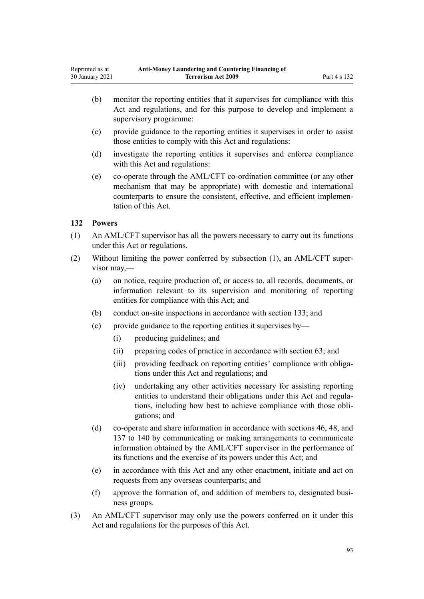- <span id="page-92-0"></span>(b) monitor the reporting entities that it supervises for compliance with this Act and regulations, and for this purpose to develop and implement a supervisory programme:
- (c) provide guidance to the reporting entities it supervises in order to assist those entities to comply with this Act and regulations:
- (d) investigate the reporting entities it supervises and enforce compliance with this Act and regulations:
- (e) co-operate through the AML/CFT co-ordination committee (or any other mechanism that may be appropriate) with domestic and international counterparts to ensure the consistent, effective, and efficient implementation of this Act.

## **132 Powers**

- (1) An AML/CFT supervisor has all the powers necessary to carry out its functions under this Act or regulations.
- (2) Without limiting the power conferred by subsection (1), an AML/CFT supervisor may,—
	- (a) on notice, require production of, or access to, all records, documents, or information relevant to its supervision and monitoring of reporting entities for compliance with this Act; and
	- (b) conduct on-site inspections in accordance with [section 133;](#page-93-0) and
	- (c) provide guidance to the reporting entities it supervises by—
		- (i) producing guidelines; and
		- (ii) preparing codes of practice in accordance with [section 63;](#page-66-0) and
		- (iii) providing feedback on reporting entities' compliance with obligations under this Act and regulations; and
		- (iv) undertaking any other activities necessary for assisting reporting entities to understand their obligations under this Act and regulations, including how best to achieve compliance with those obligations; and
	- (d) co-operate and share information in accordance with [sections 46](#page-54-0), [48,](#page-56-0) and [137 to 140](#page-95-0) by communicating or making arrangements to communicate information obtained by the AML/CFT supervisor in the performance of its functions and the exercise of its powers under this Act; and
	- (e) in accordance with this Act and any other enactment, initiate and act on requests from any overseas counterparts; and
	- (f) approve the formation of, and addition of members to, designated business groups.
- (3) An AML/CFT supervisor may only use the powers conferred on it under this Act and regulations for the purposes of this Act.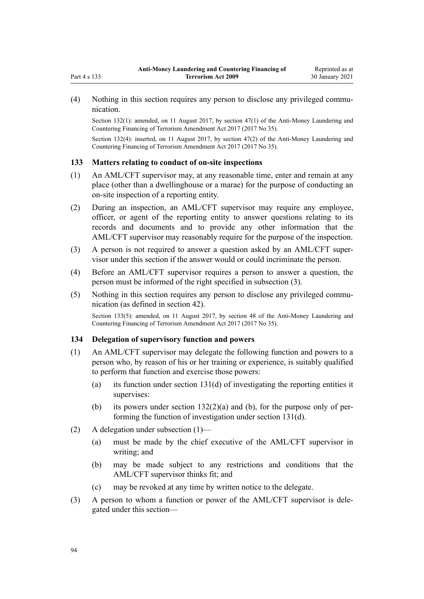<span id="page-93-0"></span>(4) Nothing in this section requires any person to disclose any privileged communication.

Section 132(1): amended, on 11 August 2017, by [section 47\(1\)](http://legislation.govt.nz/pdflink.aspx?id=DLM7340633) of the Anti-Money Laundering and Countering Financing of Terrorism Amendment Act 2017 (2017 No 35).

Section 132(4): inserted, on 11 August 2017, by [section 47\(2\)](http://legislation.govt.nz/pdflink.aspx?id=DLM7340633) of the Anti-Money Laundering and Countering Financing of Terrorism Amendment Act 2017 (2017 No 35).

### **133 Matters relating to conduct of on-site inspections**

- (1) An AML/CFT supervisor may, at any reasonable time, enter and remain at any place (other than a dwellinghouse or a marae) for the purpose of conducting an on-site inspection of a reporting entity.
- (2) During an inspection, an AML/CFT supervisor may require any employee, officer, or agent of the reporting entity to answer questions relating to its records and documents and to provide any other information that the AML/CFT supervisor may reasonably require for the purpose of the inspection.
- (3) A person is not required to answer a question asked by an AML/CFT supervisor under this section if the answer would or could incriminate the person.
- (4) Before an AML/CFT supervisor requires a person to answer a question, the person must be informed of the right specified in subsection (3).
- (5) Nothing in this section requires any person to disclose any privileged communication (as defined in [section 42\)](#page-51-0).

Section 133(5): amended, on 11 August 2017, by [section 48](http://legislation.govt.nz/pdflink.aspx?id=DLM7340634) of the Anti-Money Laundering and Countering Financing of Terrorism Amendment Act 2017 (2017 No 35).

## **134 Delegation of supervisory function and powers**

- (1) An AML/CFT supervisor may delegate the following function and powers to a person who, by reason of his or her training or experience, is suitably qualified to perform that function and exercise those powers:
	- (a) its function under [section 131\(d\)](#page-91-0) of investigating the reporting entities it supervises:
	- (b) its powers under section  $132(2)(a)$  and (b), for the purpose only of performing the function of investigation under [section 131\(d\)](#page-91-0).
- (2) A delegation under subsection (1)—
	- (a) must be made by the chief executive of the AML/CFT supervisor in writing; and
	- (b) may be made subject to any restrictions and conditions that the AML/CFT supervisor thinks fit; and
	- (c) may be revoked at any time by written notice to the delegate.
- (3) A person to whom a function or power of the AML/CFT supervisor is delegated under this section—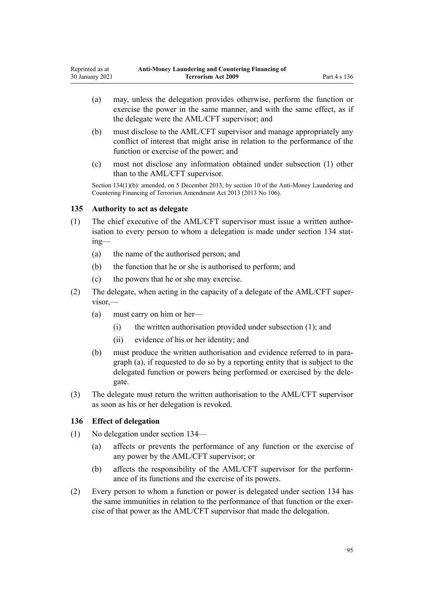- (a) may, unless the delegation provides otherwise, perform the function or exercise the power in the same manner, and with the same effect, as if the delegate were the AML/CFT supervisor; and
- (b) must disclose to the AML/CFT supervisor and manage appropriately any conflict of interest that might arise in relation to the performance of the function or exercise of the power; and
- (c) must not disclose any information obtained under subsection (1) other than to the AML/CFT supervisor.

Section 134(1)(b): amended, on 5 December 2013, by [section 10](http://legislation.govt.nz/pdflink.aspx?id=DLM5621514) of the Anti-Money Laundering and Countering Financing of Terrorism Amendment Act 2013 (2013 No 106).

## **135 Authority to act as delegate**

- (1) The chief executive of the AML/CFT supervisor must issue a written authorisation to every person to whom a delegation is made under [section 134](#page-93-0) stating—
	- (a) the name of the authorised person; and
	- (b) the function that he or she is authorised to perform; and
	- (c) the powers that he or she may exercise.
- (2) The delegate, when acting in the capacity of a delegate of the AML/CFT supervisor,—
	- (a) must carry on him or her—
		- (i) the written authorisation provided under subsection (1); and
		- (ii) evidence of his or her identity; and
	- (b) must produce the written authorisation and evidence referred to in paragraph (a), if requested to do so by a reporting entity that is subject to the delegated function or powers being performed or exercised by the delegate.
- (3) The delegate must return the written authorisation to the AML/CFT supervisor as soon as his or her delegation is revoked.

## **136 Effect of delegation**

- (1) No delegation under [section 134—](#page-93-0)
	- (a) affects or prevents the performance of any function or the exercise of any power by the AML/CFT supervisor; or
	- (b) affects the responsibility of the AML/CFT supervisor for the performance of its functions and the exercise of its powers.
- (2) Every person to whom a function or power is delegated under [section 134](#page-93-0) has the same immunities in relation to the performance of that function or the exercise of that power as the AML/CFT supervisor that made the delegation.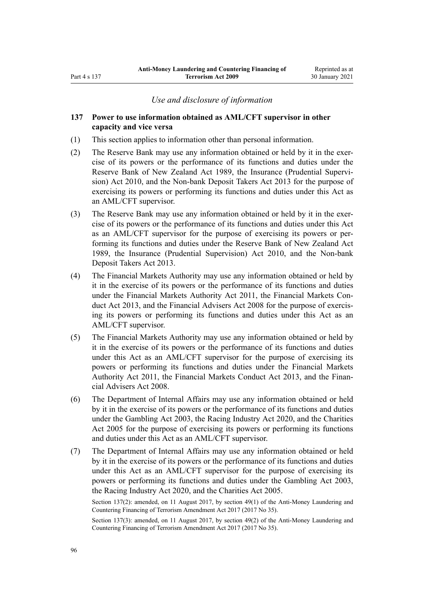### *Use and disclosure of information*

## <span id="page-95-0"></span>**137 Power to use information obtained as AML/CFT supervisor in other capacity and vice versa**

- (1) This section applies to information other than personal information.
- (2) The Reserve Bank may use any information obtained or held by it in the exercise of its powers or the performance of its functions and duties under the [Reserve Bank of New Zealand Act 1989,](http://legislation.govt.nz/pdflink.aspx?id=DLM199363) the [Insurance \(Prudential Supervi](http://legislation.govt.nz/pdflink.aspx?id=DLM2478100)[sion\) Act 2010,](http://legislation.govt.nz/pdflink.aspx?id=DLM2478100) and the [Non-bank Deposit Takers Act 2013](http://legislation.govt.nz/pdflink.aspx?id=DLM3918902) for the purpose of exercising its powers or performing its functions and duties under this Act as an AML/CFT supervisor.
- (3) The Reserve Bank may use any information obtained or held by it in the exercise of its powers or the performance of its functions and duties under this Act as an AML/CFT supervisor for the purpose of exercising its powers or performing its functions and duties under the [Reserve Bank of New Zealand Act](http://legislation.govt.nz/pdflink.aspx?id=DLM199363) [1989](http://legislation.govt.nz/pdflink.aspx?id=DLM199363), the [Insurance \(Prudential Supervision\) Act 2010,](http://legislation.govt.nz/pdflink.aspx?id=DLM2478100) and the [Non-bank](http://legislation.govt.nz/pdflink.aspx?id=DLM3918902) [Deposit Takers Act 2013.](http://legislation.govt.nz/pdflink.aspx?id=DLM3918902)
- (4) The Financial Markets Authority may use any information obtained or held by it in the exercise of its powers or the performance of its functions and duties under the [Financial Markets Authority Act 2011,](http://legislation.govt.nz/pdflink.aspx?id=DLM3231004) the [Financial Markets Con](http://legislation.govt.nz/pdflink.aspx?id=DLM4090503)[duct Act 2013,](http://legislation.govt.nz/pdflink.aspx?id=DLM4090503) and the [Financial Advisers Act 2008](http://legislation.govt.nz/pdflink.aspx?id=DLM1584200) for the purpose of exercising its powers or performing its functions and duties under this Act as an AML/CFT supervisor.
- (5) The Financial Markets Authority may use any information obtained or held by it in the exercise of its powers or the performance of its functions and duties under this Act as an AML/CFT supervisor for the purpose of exercising its powers or performing its functions and duties under the [Financial Markets](http://legislation.govt.nz/pdflink.aspx?id=DLM3231004) [Authority Act 2011,](http://legislation.govt.nz/pdflink.aspx?id=DLM3231004) the [Financial Markets Conduct Act 2013,](http://legislation.govt.nz/pdflink.aspx?id=DLM4090503) and the [Finan](http://legislation.govt.nz/pdflink.aspx?id=DLM1584200)[cial Advisers Act 2008.](http://legislation.govt.nz/pdflink.aspx?id=DLM1584200)
- (6) The Department of Internal Affairs may use any information obtained or held by it in the exercise of its powers or the performance of its functions and duties under the [Gambling Act 2003,](http://legislation.govt.nz/pdflink.aspx?id=DLM207496) the [Racing Industry Act 2020](http://legislation.govt.nz/pdflink.aspx?id=LMS291909), and the [Charities](http://legislation.govt.nz/pdflink.aspx?id=DLM344367) [Act 2005](http://legislation.govt.nz/pdflink.aspx?id=DLM344367) for the purpose of exercising its powers or performing its functions and duties under this Act as an AML/CFT supervisor.
- (7) The Department of Internal Affairs may use any information obtained or held by it in the exercise of its powers or the performance of its functions and duties under this Act as an AML/CFT supervisor for the purpose of exercising its powers or performing its functions and duties under the [Gambling Act 2003](http://legislation.govt.nz/pdflink.aspx?id=DLM207496), the [Racing Industry Act 2020](http://legislation.govt.nz/pdflink.aspx?id=LMS291909), and the [Charities Act 2005](http://legislation.govt.nz/pdflink.aspx?id=DLM344367).

Section 137(2): amended, on 11 August 2017, by [section 49\(1\)](http://legislation.govt.nz/pdflink.aspx?id=DLM7161328) of the Anti-Money Laundering and Countering Financing of Terrorism Amendment Act 2017 (2017 No 35).

Section 137(3): amended, on 11 August 2017, by [section 49\(2\)](http://legislation.govt.nz/pdflink.aspx?id=DLM7161328) of the Anti-Money Laundering and Countering Financing of Terrorism Amendment Act 2017 (2017 No 35).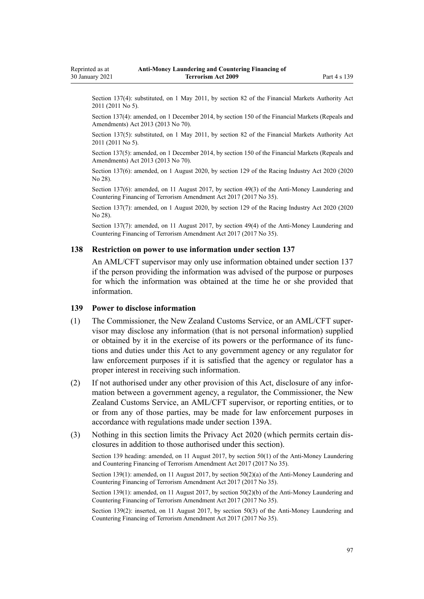<span id="page-96-0"></span>Section 137(4): substituted, on 1 May 2011, by [section 82](http://legislation.govt.nz/pdflink.aspx?id=DLM3231793) of the Financial Markets Authority Act 2011 (2011 No 5).

Section 137(4): amended, on 1 December 2014, by [section 150](http://legislation.govt.nz/pdflink.aspx?id=DLM5561603) of the Financial Markets (Repeals and Amendments) Act 2013 (2013 No 70).

Section 137(5): substituted, on 1 May 2011, by [section 82](http://legislation.govt.nz/pdflink.aspx?id=DLM3231793) of the Financial Markets Authority Act 2011 (2011 No 5).

Section 137(5): amended, on 1 December 2014, by [section 150](http://legislation.govt.nz/pdflink.aspx?id=DLM5561603) of the Financial Markets (Repeals and Amendments) Act 2013 (2013 No 70).

Section 137(6): amended, on 1 August 2020, by [section 129](http://legislation.govt.nz/pdflink.aspx?id=LMS292230) of the Racing Industry Act 2020 (2020 No 28).

Section 137(6): amended, on 11 August 2017, by [section 49\(3\)](http://legislation.govt.nz/pdflink.aspx?id=DLM7161328) of the Anti-Money Laundering and Countering Financing of Terrorism Amendment Act 2017 (2017 No 35).

Section 137(7): amended, on 1 August 2020, by [section 129](http://legislation.govt.nz/pdflink.aspx?id=LMS292230) of the Racing Industry Act 2020 (2020 No 28).

Section 137(7): amended, on 11 August 2017, by [section 49\(4\)](http://legislation.govt.nz/pdflink.aspx?id=DLM7161328) of the Anti-Money Laundering and Countering Financing of Terrorism Amendment Act 2017 (2017 No 35).

#### **138 Restriction on power to use information under section 137**

An AML/CFT supervisor may only use information obtained under [section 137](#page-95-0) if the person providing the information was advised of the purpose or purposes for which the information was obtained at the time he or she provided that information.

### **139 Power to disclose information**

- (1) The Commissioner, the New Zealand Customs Service, or an AML/CFT supervisor may disclose any information (that is not personal information) supplied or obtained by it in the exercise of its powers or the performance of its functions and duties under this Act to any government agency or any regulator for law enforcement purposes if it is satisfied that the agency or regulator has a proper interest in receiving such information.
- (2) If not authorised under any other provision of this Act, disclosure of any information between a government agency, a regulator, the Commissioner, the New Zealand Customs Service, an AML/CFT supervisor, or reporting entities, or to or from any of those parties, may be made for law enforcement purposes in accordance with regulations made under [section 139A.](#page-97-0)
- (3) Nothing in this section limits the [Privacy Act 2020](http://legislation.govt.nz/pdflink.aspx?id=LMS23193) (which permits certain disclosures in addition to those authorised under this section).

Section 139 heading: amended, on 11 August 2017, by [section 50\(1\)](http://legislation.govt.nz/pdflink.aspx?id=DLM7161329) of the Anti-Money Laundering and Countering Financing of Terrorism Amendment Act 2017 (2017 No 35).

Section 139(1): amended, on 11 August 2017, by [section 50\(2\)\(a\)](http://legislation.govt.nz/pdflink.aspx?id=DLM7161329) of the Anti-Money Laundering and Countering Financing of Terrorism Amendment Act 2017 (2017 No 35).

Section 139(1): amended, on 11 August 2017, by [section 50\(2\)\(b\)](http://legislation.govt.nz/pdflink.aspx?id=DLM7161329) of the Anti-Money Laundering and Countering Financing of Terrorism Amendment Act 2017 (2017 No 35).

Section 139(2): inserted, on 11 August 2017, by [section 50\(3\)](http://legislation.govt.nz/pdflink.aspx?id=DLM7161329) of the Anti-Money Laundering and Countering Financing of Terrorism Amendment Act 2017 (2017 No 35).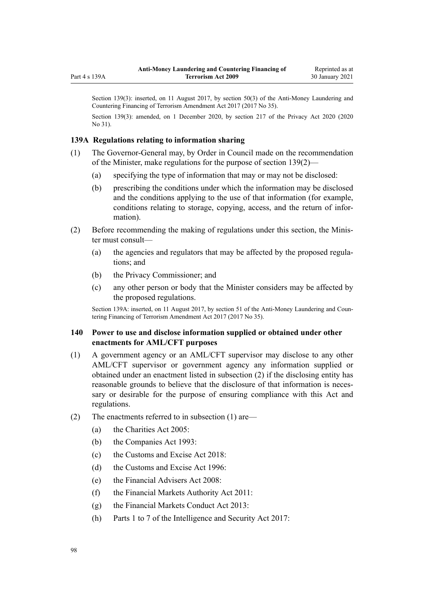Section 139(3): inserted, on 11 August 2017, by [section 50\(3\)](http://legislation.govt.nz/pdflink.aspx?id=DLM7161329) of the Anti-Money Laundering and Countering Financing of Terrorism Amendment Act 2017 (2017 No 35).

Section 139(3): amended, on 1 December 2020, by [section 217](http://legislation.govt.nz/pdflink.aspx?id=LMS23706) of the Privacy Act 2020 (2020) No 31).

## **139A Regulations relating to information sharing**

<span id="page-97-0"></span>Part 4 s 139A

- (1) The Governor-General may, by Order in Council made on the recommendation of the Minister, make regulations for the purpose of [section 139\(2\)—](#page-96-0)
	- (a) specifying the type of information that may or may not be disclosed:
	- (b) prescribing the conditions under which the information may be disclosed and the conditions applying to the use of that information (for example, conditions relating to storage, copying, access, and the return of information).
- (2) Before recommending the making of regulations under this section, the Minister must consult—
	- (a) the agencies and regulators that may be affected by the proposed regulations; and
	- (b) the Privacy Commissioner; and
	- (c) any other person or body that the Minister considers may be affected by the proposed regulations.

Section 139A: inserted, on 11 August 2017, by [section 51](http://legislation.govt.nz/pdflink.aspx?id=DLM7340635) of the Anti-Money Laundering and Countering Financing of Terrorism Amendment Act 2017 (2017 No 35).

# **140 Power to use and disclose information supplied or obtained under other enactments for AML/CFT purposes**

- (1) A government agency or an AML/CFT supervisor may disclose to any other AML/CFT supervisor or government agency any information supplied or obtained under an enactment listed in subsection (2) if the disclosing entity has reasonable grounds to believe that the disclosure of that information is necessary or desirable for the purpose of ensuring compliance with this Act and regulations.
- (2) The enactments referred to in subsection (1) are—
	- (a) the [Charities Act 2005](http://legislation.govt.nz/pdflink.aspx?id=DLM344367):
	- (b) the [Companies Act 1993](http://legislation.govt.nz/pdflink.aspx?id=DLM319569):
	- (c) the [Customs and Excise Act 2018:](http://legislation.govt.nz/pdflink.aspx?id=DLM7038920)
	- (d) the [Customs and Excise Act 1996:](http://legislation.govt.nz/pdflink.aspx?id=DLM377336)
	- (e) the [Financial Advisers Act 2008](http://legislation.govt.nz/pdflink.aspx?id=DLM1584200):
	- (f) the [Financial Markets Authority Act 2011](http://legislation.govt.nz/pdflink.aspx?id=DLM3231004):
	- (g) the [Financial Markets Conduct Act 2013:](http://legislation.govt.nz/pdflink.aspx?id=DLM4090503)
	- (h) [Parts 1 to 7](http://legislation.govt.nz/pdflink.aspx?id=DLM6920828) of the Intelligence and Security Act 2017: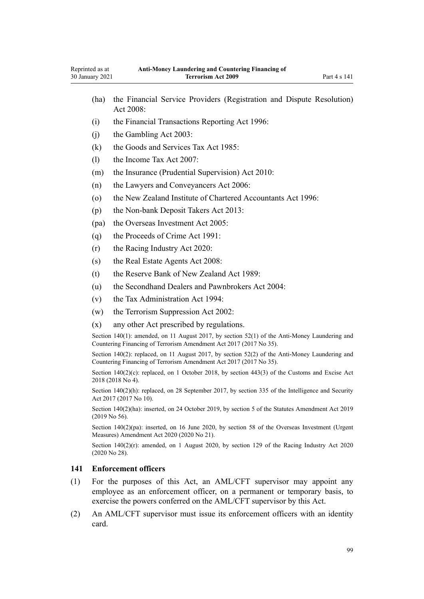- <span id="page-98-0"></span>(ha) the [Financial Service Providers \(Registration and Dispute Resolution\)](http://legislation.govt.nz/pdflink.aspx?id=DLM1109400) [Act 2008:](http://legislation.govt.nz/pdflink.aspx?id=DLM1109400) (i) the [Financial Transactions Reporting Act 1996](http://legislation.govt.nz/pdflink.aspx?id=DLM373803): (j) the [Gambling Act 2003](http://legislation.govt.nz/pdflink.aspx?id=DLM207496): (k) the [Goods and Services Tax Act 1985:](http://legislation.govt.nz/pdflink.aspx?id=DLM81034) (l) the [Income Tax Act 2007:](http://legislation.govt.nz/pdflink.aspx?id=DLM1512300) (m) the [Insurance \(Prudential Supervision\) Act 2010:](http://legislation.govt.nz/pdflink.aspx?id=DLM2478100) (n) the [Lawyers and Conveyancers Act 2006:](http://legislation.govt.nz/pdflink.aspx?id=DLM364938) (o) the [New Zealand Institute of Chartered Accountants Act 1996:](http://legislation.govt.nz/pdflink.aspx?id=DLM391363) (p) the [Non-bank Deposit Takers Act 2013](http://legislation.govt.nz/pdflink.aspx?id=DLM3918902): (pa) the [Overseas Investment Act 2005:](http://legislation.govt.nz/pdflink.aspx?id=DLM356880) (q) the [Proceeds of Crime Act 1991](http://legislation.govt.nz/pdflink.aspx?id=DLM250668): (r) the [Racing Industry Act 2020](http://legislation.govt.nz/pdflink.aspx?id=LMS291909): (s) the [Real Estate Agents Act 2008:](http://legislation.govt.nz/pdflink.aspx?id=DLM1151900) (t) the [Reserve Bank of New Zealand Act 1989:](http://legislation.govt.nz/pdflink.aspx?id=DLM199363) (u) the [Secondhand Dealers and Pawnbrokers Act 2004](http://legislation.govt.nz/pdflink.aspx?id=DLM305111): (v) the [Tax Administration Act 1994](http://legislation.govt.nz/pdflink.aspx?id=DLM348342): (w) the [Terrorism Suppression Act 2002:](http://legislation.govt.nz/pdflink.aspx?id=DLM151490) (x) any other Act prescribed by regulations. Section 140(1): amended, on 11 August 2017, by [section 52\(1\)](http://legislation.govt.nz/pdflink.aspx?id=DLM7161332) of the Anti-Money Laundering and Countering Financing of Terrorism Amendment Act 2017 (2017 No 35). Section 140(2): replaced, on 11 August 2017, by [section 52\(2\)](http://legislation.govt.nz/pdflink.aspx?id=DLM7161332) of the Anti-Money Laundering and Countering Financing of Terrorism Amendment Act 2017 (2017 No 35). Section 140(2)(c): replaced, on 1 October 2018, by [section 443\(3\)](http://legislation.govt.nz/pdflink.aspx?id=DLM7039957) of the Customs and Excise Act 2018 (2018 No 4). Section 140(2)(h): replaced, on 28 September 2017, by [section 335](http://legislation.govt.nz/pdflink.aspx?id=DLM6921475) of the Intelligence and Security Act 2017 (2017 No 10). Section 140(2)(ha): inserted, on 24 October 2019, by [section 5](http://legislation.govt.nz/pdflink.aspx?id=LMS58873) of the Statutes Amendment Act 2019 (2019 No 56). Section 140(2)(pa): inserted, on 16 June 2020, by [section 58](http://legislation.govt.nz/pdflink.aspx?id=LMS342576) of the Overseas Investment (Urgent Measures) Amendment Act 2020 (2020 No 21). Section  $140(2)(r)$ : amended, on 1 August 2020, by [section 129](http://legislation.govt.nz/pdflink.aspx?id=LMS292230) of the Racing Industry Act 2020 (2020 No 28). **141 Enforcement officers** (1) For the purposes of this Act, an AML/CFT supervisor may appoint any employee as an enforcement officer, on a permanent or temporary basis, to exercise the powers conferred on the AML/CFT supervisor by this Act.
- (2) An AML/CFT supervisor must issue its enforcement officers with an identity card.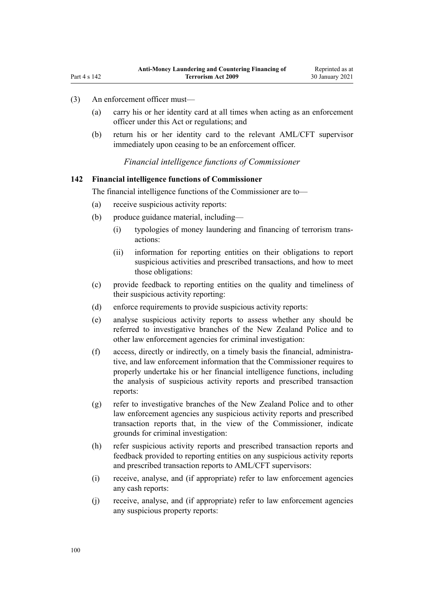- (3) An enforcement officer must—
	- (a) carry his or her identity card at all times when acting as an enforcement officer under this Act or regulations; and
	- (b) return his or her identity card to the relevant AML/CFT supervisor immediately upon ceasing to be an enforcement officer.

*Financial intelligence functions of Commissioner*

## **142 Financial intelligence functions of Commissioner**

The financial intelligence functions of the Commissioner are to—

- (a) receive suspicious activity reports:
- (b) produce guidance material, including—
	- (i) typologies of money laundering and financing of terrorism transactions:
	- (ii) information for reporting entities on their obligations to report suspicious activities and prescribed transactions, and how to meet those obligations:
- (c) provide feedback to reporting entities on the quality and timeliness of their suspicious activity reporting:
- (d) enforce requirements to provide suspicious activity reports:
- (e) analyse suspicious activity reports to assess whether any should be referred to investigative branches of the New Zealand Police and to other law enforcement agencies for criminal investigation:
- (f) access, directly or indirectly, on a timely basis the financial, administrative, and law enforcement information that the Commissioner requires to properly undertake his or her financial intelligence functions, including the analysis of suspicious activity reports and prescribed transaction reports:
- (g) refer to investigative branches of the New Zealand Police and to other law enforcement agencies any suspicious activity reports and prescribed transaction reports that, in the view of the Commissioner, indicate grounds for criminal investigation:
- (h) refer suspicious activity reports and prescribed transaction reports and feedback provided to reporting entities on any suspicious activity reports and prescribed transaction reports to AML/CFT supervisors:
- (i) receive, analyse, and (if appropriate) refer to law enforcement agencies any cash reports:
- (j) receive, analyse, and (if appropriate) refer to law enforcement agencies any suspicious property reports: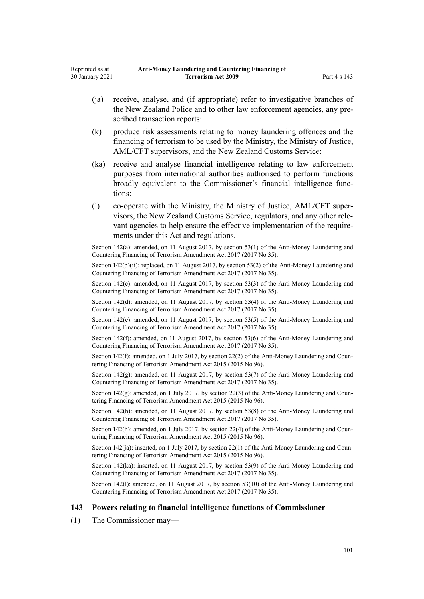- <span id="page-100-0"></span>(ja) receive, analyse, and (if appropriate) refer to investigative branches of the New Zealand Police and to other law enforcement agencies, any prescribed transaction reports:
- (k) produce risk assessments relating to money laundering offences and the financing of terrorism to be used by the Ministry, the Ministry of Justice, AML/CFT supervisors, and the New Zealand Customs Service:
- (ka) receive and analyse financial intelligence relating to law enforcement purposes from international authorities authorised to perform functions broadly equivalent to the Commissioner's financial intelligence functions:
- (l) co-operate with the Ministry, the Ministry of Justice, AML/CFT supervisors, the New Zealand Customs Service, regulators, and any other relevant agencies to help ensure the effective implementation of the requirements under this Act and regulations.

Section 142(a): amended, on 11 August 2017, by [section 53\(1\)](http://legislation.govt.nz/pdflink.aspx?id=DLM7161335) of the Anti-Money Laundering and Countering Financing of Terrorism Amendment Act 2017 (2017 No 35).

Section  $142(b)(ii)$ : replaced, on 11 August 2017, by [section 53\(2\)](http://legislation.govt.nz/pdflink.aspx?id=DLM7161335) of the Anti-Money Laundering and Countering Financing of Terrorism Amendment Act 2017 (2017 No 35).

Section 142(c): amended, on 11 August 2017, by [section 53\(3\)](http://legislation.govt.nz/pdflink.aspx?id=DLM7161335) of the Anti-Money Laundering and Countering Financing of Terrorism Amendment Act 2017 (2017 No 35).

Section 142(d): amended, on 11 August 2017, by [section 53\(4\)](http://legislation.govt.nz/pdflink.aspx?id=DLM7161335) of the Anti-Money Laundering and Countering Financing of Terrorism Amendment Act 2017 (2017 No 35).

Section 142(e): amended, on 11 August 2017, by [section 53\(5\)](http://legislation.govt.nz/pdflink.aspx?id=DLM7161335) of the Anti-Money Laundering and Countering Financing of Terrorism Amendment Act 2017 (2017 No 35).

Section 142(f): amended, on 11 August 2017, by [section 53\(6\)](http://legislation.govt.nz/pdflink.aspx?id=DLM7161335) of the Anti-Money Laundering and Countering Financing of Terrorism Amendment Act 2017 (2017 No 35).

Section 142(f): amended, on 1 July 2017, by [section 22\(2\)](http://legislation.govt.nz/pdflink.aspx?id=DLM6602241) of the Anti-Money Laundering and Countering Financing of Terrorism Amendment Act 2015 (2015 No 96).

Section 142(g): amended, on 11 August 2017, by [section 53\(7\)](http://legislation.govt.nz/pdflink.aspx?id=DLM7161335) of the Anti-Money Laundering and Countering Financing of Terrorism Amendment Act 2017 (2017 No 35).

Section 142(g): amended, on 1 July 2017, by [section 22\(3\)](http://legislation.govt.nz/pdflink.aspx?id=DLM6602241) of the Anti-Money Laundering and Countering Financing of Terrorism Amendment Act 2015 (2015 No 96).

Section 142(h): amended, on 11 August 2017, by [section 53\(8\)](http://legislation.govt.nz/pdflink.aspx?id=DLM7161335) of the Anti-Money Laundering and Countering Financing of Terrorism Amendment Act 2017 (2017 No 35).

Section 142(h): amended, on 1 July 2017, by [section 22\(4\)](http://legislation.govt.nz/pdflink.aspx?id=DLM6602241) of the Anti-Money Laundering and Countering Financing of Terrorism Amendment Act 2015 (2015 No 96).

Section  $142(ia)$ : inserted, on 1 July 2017, by section  $22(1)$  of the Anti-Money Laundering and Countering Financing of Terrorism Amendment Act 2015 (2015 No 96).

Section 142(ka): inserted, on 11 August 2017, by [section 53\(9\)](http://legislation.govt.nz/pdflink.aspx?id=DLM7161335) of the Anti-Money Laundering and Countering Financing of Terrorism Amendment Act 2017 (2017 No 35).

Section 142(1): amended, on 11 August 2017, by [section 53\(10\)](http://legislation.govt.nz/pdflink.aspx?id=DLM7161335) of the Anti-Money Laundering and Countering Financing of Terrorism Amendment Act 2017 (2017 No 35).

#### **143 Powers relating to financial intelligence functions of Commissioner**

(1) The Commissioner may—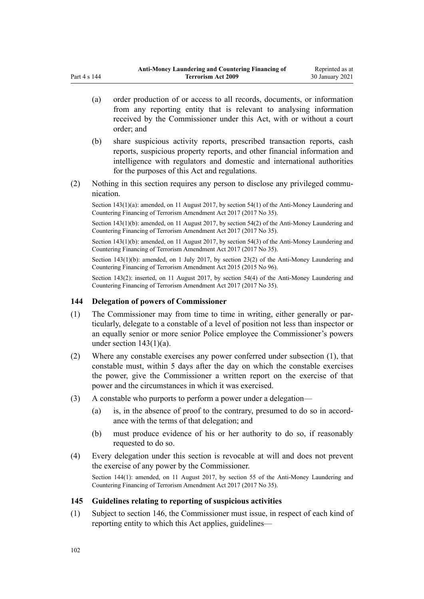- <span id="page-101-0"></span>(a) order production of or access to all records, documents, or information from any reporting entity that is relevant to analysing information received by the Commissioner under this Act, with or without a court order; and
- (b) share suspicious activity reports, prescribed transaction reports, cash reports, suspicious property reports, and other financial information and intelligence with regulators and domestic and international authorities for the purposes of this Act and regulations.
- (2) Nothing in this section requires any person to disclose any privileged communication.

Section 143(1)(a): amended, on 11 August 2017, by [section 54\(1\)](http://legislation.govt.nz/pdflink.aspx?id=DLM7161336) of the Anti-Money Laundering and Countering Financing of Terrorism Amendment Act 2017 (2017 No 35).

Section 143(1)(b): amended, on 11 August 2017, by [section 54\(2\)](http://legislation.govt.nz/pdflink.aspx?id=DLM7161336) of the Anti-Money Laundering and Countering Financing of Terrorism Amendment Act 2017 (2017 No 35).

Section 143(1)(b): amended, on 11 August 2017, by [section 54\(3\)](http://legislation.govt.nz/pdflink.aspx?id=DLM7161336) of the Anti-Money Laundering and Countering Financing of Terrorism Amendment Act 2017 (2017 No 35).

Section 143(1)(b): amended, on 1 July 2017, by [section 23\(2\)](http://legislation.govt.nz/pdflink.aspx?id=DLM6602242) of the Anti-Money Laundering and Countering Financing of Terrorism Amendment Act 2015 (2015 No 96).

Section 143(2): inserted, on 11 August 2017, by [section 54\(4\)](http://legislation.govt.nz/pdflink.aspx?id=DLM7161336) of the Anti-Money Laundering and Countering Financing of Terrorism Amendment Act 2017 (2017 No 35).

## **144 Delegation of powers of Commissioner**

- (1) The Commissioner may from time to time in writing, either generally or particularly, delegate to a constable of a level of position not less than inspector or an equally senior or more senior Police employee the Commissioner's powers under section  $143(1)(a)$ .
- (2) Where any constable exercises any power conferred under subsection (1), that constable must, within 5 days after the day on which the constable exercises the power, give the Commissioner a written report on the exercise of that power and the circumstances in which it was exercised.
- (3) A constable who purports to perform a power under a delegation—
	- (a) is, in the absence of proof to the contrary, presumed to do so in accordance with the terms of that delegation; and
	- (b) must produce evidence of his or her authority to do so, if reasonably requested to do so.
- (4) Every delegation under this section is revocable at will and does not prevent the exercise of any power by the Commissioner.

Section 144(1): amended, on 11 August 2017, by [section 55](http://legislation.govt.nz/pdflink.aspx?id=DLM7161338) of the Anti-Money Laundering and Countering Financing of Terrorism Amendment Act 2017 (2017 No 35).

#### **145 Guidelines relating to reporting of suspicious activities**

(1) Subject to [section 146,](#page-103-0) the Commissioner must issue, in respect of each kind of reporting entity to which this Act applies, guidelines—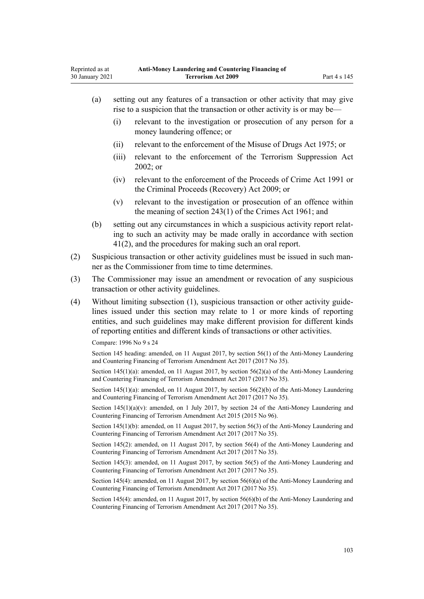| (a) | setting out any features of a transaction or other activity that may give |
|-----|---------------------------------------------------------------------------|
|     | rise to a suspicion that the transaction or other activity is or may be—  |

- (i) relevant to the investigation or prosecution of any person for a money laundering offence; or
- (ii) relevant to the enforcement of the [Misuse of Drugs Act 1975;](http://legislation.govt.nz/pdflink.aspx?id=DLM436100) or
- (iii) relevant to the enforcement of the [Terrorism Suppression Act](http://legislation.govt.nz/pdflink.aspx?id=DLM151490) [2002](http://legislation.govt.nz/pdflink.aspx?id=DLM151490); or
- (iv) relevant to the enforcement of the [Proceeds of Crime Act 1991](http://legislation.govt.nz/pdflink.aspx?id=DLM250668) or the [Criminal Proceeds \(Recovery\) Act 2009](http://legislation.govt.nz/pdflink.aspx?id=BILL-SCDRAFT-7242); or
- (v) relevant to the investigation or prosecution of an offence within the meaning of [section 243\(1\)](http://legislation.govt.nz/pdflink.aspx?id=DLM330289) of the Crimes Act 1961; and
- (b) setting out any circumstances in which a suspicious activity report relating to such an activity may be made orally in accordance with [section](#page-51-0) [41\(2\)](#page-51-0), and the procedures for making such an oral report.
- (2) Suspicious transaction or other activity guidelines must be issued in such manner as the Commissioner from time to time determines.
- (3) The Commissioner may issue an amendment or revocation of any suspicious transaction or other activity guidelines.
- (4) Without limiting subsection (1), suspicious transaction or other activity guidelines issued under this section may relate to 1 or more kinds of reporting entities, and such guidelines may make different provision for different kinds of reporting entities and different kinds of transactions or other activities.

Compare: 1996 No 9 [s 24](http://legislation.govt.nz/pdflink.aspx?id=DLM374123)

Section 145 heading: amended, on 11 August 2017, by [section 56\(1\)](http://legislation.govt.nz/pdflink.aspx?id=DLM7161339) of the Anti-Money Laundering and Countering Financing of Terrorism Amendment Act 2017 (2017 No 35).

Section 145(1)(a): amended, on 11 August 2017, by [section 56\(2\)\(a\)](http://legislation.govt.nz/pdflink.aspx?id=DLM7161339) of the Anti-Money Laundering and Countering Financing of Terrorism Amendment Act 2017 (2017 No 35).

Section 145(1)(a): amended, on 11 August 2017, by [section 56\(2\)\(b\)](http://legislation.govt.nz/pdflink.aspx?id=DLM7161339) of the Anti-Money Laundering and Countering Financing of Terrorism Amendment Act 2017 (2017 No 35).

Section  $145(1)(a)(v)$ : amended, on 1 July 2017, by [section 24](http://legislation.govt.nz/pdflink.aspx?id=DLM6602243) of the Anti-Money Laundering and Countering Financing of Terrorism Amendment Act 2015 (2015 No 96).

Section 145(1)(b): amended, on 11 August 2017, by [section 56\(3\)](http://legislation.govt.nz/pdflink.aspx?id=DLM7161339) of the Anti-Money Laundering and Countering Financing of Terrorism Amendment Act 2017 (2017 No 35).

Section 145(2): amended, on 11 August 2017, by [section 56\(4\)](http://legislation.govt.nz/pdflink.aspx?id=DLM7161339) of the Anti-Money Laundering and Countering Financing of Terrorism Amendment Act 2017 (2017 No 35).

Section 145(3): amended, on 11 August 2017, by [section 56\(5\)](http://legislation.govt.nz/pdflink.aspx?id=DLM7161339) of the Anti-Money Laundering and Countering Financing of Terrorism Amendment Act 2017 (2017 No 35).

Section 145(4): amended, on 11 August 2017, by [section 56\(6\)\(a\)](http://legislation.govt.nz/pdflink.aspx?id=DLM7161339) of the Anti-Money Laundering and Countering Financing of Terrorism Amendment Act 2017 (2017 No 35).

Section 145(4): amended, on 11 August 2017, by [section 56\(6\)\(b\)](http://legislation.govt.nz/pdflink.aspx?id=DLM7161339) of the Anti-Money Laundering and Countering Financing of Terrorism Amendment Act 2017 (2017 No 35).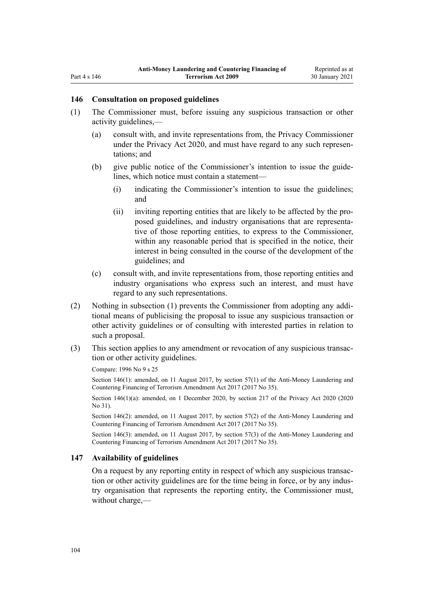### <span id="page-103-0"></span>**146 Consultation on proposed guidelines**

- (1) The Commissioner must, before issuing any suspicious transaction or other activity guidelines,—
	- (a) consult with, and invite representations from, the Privacy Commissioner under the [Privacy Act 2020](http://legislation.govt.nz/pdflink.aspx?id=LMS23193), and must have regard to any such representations; and
	- (b) give public notice of the Commissioner's intention to issue the guidelines, which notice must contain a statement—
		- (i) indicating the Commissioner's intention to issue the guidelines; and
		- (ii) inviting reporting entities that are likely to be affected by the proposed guidelines, and industry organisations that are representative of those reporting entities, to express to the Commissioner, within any reasonable period that is specified in the notice, their interest in being consulted in the course of the development of the guidelines; and
	- (c) consult with, and invite representations from, those reporting entities and industry organisations who express such an interest, and must have regard to any such representations.
- (2) Nothing in subsection (1) prevents the Commissioner from adopting any additional means of publicising the proposal to issue any suspicious transaction or other activity guidelines or of consulting with interested parties in relation to such a proposal.
- (3) This section applies to any amendment or revocation of any suspicious transaction or other activity guidelines.

Compare: 1996 No 9 [s 25](http://legislation.govt.nz/pdflink.aspx?id=DLM374124)

Section 146(1): amended, on 11 August 2017, by [section 57\(1\)](http://legislation.govt.nz/pdflink.aspx?id=DLM7161340) of the Anti-Money Laundering and Countering Financing of Terrorism Amendment Act 2017 (2017 No 35).

Section 146(1)(a): amended, on 1 December 2020, by [section 217](http://legislation.govt.nz/pdflink.aspx?id=LMS23706) of the Privacy Act 2020 (2020) No 31).

Section 146(2): amended, on 11 August 2017, by [section 57\(2\)](http://legislation.govt.nz/pdflink.aspx?id=DLM7161340) of the Anti-Money Laundering and Countering Financing of Terrorism Amendment Act 2017 (2017 No 35).

Section 146(3): amended, on 11 August 2017, by [section 57\(3\)](http://legislation.govt.nz/pdflink.aspx?id=DLM7161340) of the Anti-Money Laundering and Countering Financing of Terrorism Amendment Act 2017 (2017 No 35).

## **147 Availability of guidelines**

On a request by any reporting entity in respect of which any suspicious transaction or other activity guidelines are for the time being in force, or by any industry organisation that represents the reporting entity, the Commissioner must, without charge,—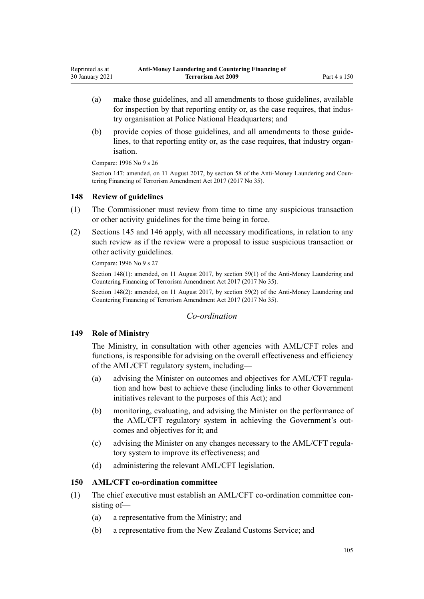- (a) make those guidelines, and all amendments to those guidelines, available for inspection by that reporting entity or, as the case requires, that industry organisation at Police National Headquarters; and
- (b) provide copies of those guidelines, and all amendments to those guidelines, to that reporting entity or, as the case requires, that industry organisation.

Compare: 1996 No 9 [s 26](http://legislation.govt.nz/pdflink.aspx?id=DLM374125)

Section 147: amended, on 11 August 2017, by [section 58](http://legislation.govt.nz/pdflink.aspx?id=DLM7161341) of the Anti-Money Laundering and Countering Financing of Terrorism Amendment Act 2017 (2017 No 35).

## **148 Review of guidelines**

- (1) The Commissioner must review from time to time any suspicious transaction or other activity guidelines for the time being in force.
- (2) [Sections 145](#page-101-0) and [146](#page-103-0) apply, with all necessary modifications, in relation to any such review as if the review were a proposal to issue suspicious transaction or other activity guidelines.

Compare: 1996 No 9 [s 27](http://legislation.govt.nz/pdflink.aspx?id=DLM374126)

Section 148(1): amended, on 11 August 2017, by [section 59\(1\)](http://legislation.govt.nz/pdflink.aspx?id=DLM7161342) of the Anti-Money Laundering and Countering Financing of Terrorism Amendment Act 2017 (2017 No 35).

Section 148(2): amended, on 11 August 2017, by [section 59\(2\)](http://legislation.govt.nz/pdflink.aspx?id=DLM7161342) of the Anti-Money Laundering and Countering Financing of Terrorism Amendment Act 2017 (2017 No 35).

## *Co-ordination*

## **149 Role of Ministry**

The Ministry, in consultation with other agencies with AML/CFT roles and functions, is responsible for advising on the overall effectiveness and efficiency of the AML/CFT regulatory system, including—

- (a) advising the Minister on outcomes and objectives for AML/CFT regulation and how best to achieve these (including links to other Government initiatives relevant to the purposes of this Act); and
- (b) monitoring, evaluating, and advising the Minister on the performance of the AML/CFT regulatory system in achieving the Government's outcomes and objectives for it; and
- (c) advising the Minister on any changes necessary to the AML/CFT regulatory system to improve its effectiveness; and
- (d) administering the relevant AML/CFT legislation.

## **150 AML/CFT co-ordination committee**

- (1) The chief executive must establish an AML/CFT co-ordination committee consisting of—
	- (a) a representative from the Ministry; and
	- (b) a representative from the New Zealand Customs Service; and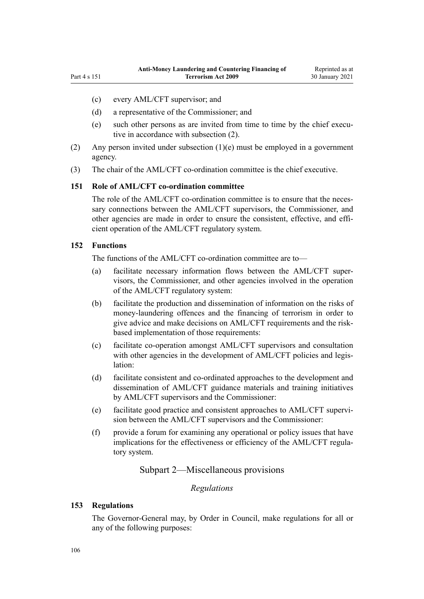- <span id="page-105-0"></span>(c) every AML/CFT supervisor; and
- (d) a representative of the Commissioner; and
- (e) such other persons as are invited from time to time by the chief executive in accordance with subsection (2).
- (2) Any person invited under subsection  $(1)(e)$  must be employed in a government agency.
- (3) The chair of the AML/CFT co-ordination committee is the chief executive.

## **151 Role of AML/CFT co-ordination committee**

The role of the AML/CFT co-ordination committee is to ensure that the necessary connections between the AML/CFT supervisors, the Commissioner, and other agencies are made in order to ensure the consistent, effective, and efficient operation of the AML/CFT regulatory system.

### **152 Functions**

The functions of the AML/CFT co-ordination committee are to—

- (a) facilitate necessary information flows between the AML/CFT supervisors, the Commissioner, and other agencies involved in the operation of the AML/CFT regulatory system:
- (b) facilitate the production and dissemination of information on the risks of money-laundering offences and the financing of terrorism in order to give advice and make decisions on AML/CFT requirements and the riskbased implementation of those requirements:
- (c) facilitate co-operation amongst AML/CFT supervisors and consultation with other agencies in the development of AML/CFT policies and legislation:
- (d) facilitate consistent and co-ordinated approaches to the development and dissemination of AML/CFT guidance materials and training initiatives by AML/CFT supervisors and the Commissioner:
- (e) facilitate good practice and consistent approaches to AML/CFT supervision between the AML/CFT supervisors and the Commissioner:
- (f) provide a forum for examining any operational or policy issues that have implications for the effectiveness or efficiency of the AML/CFT regulatory system.

## Subpart 2—Miscellaneous provisions

# *Regulations*

### **153 Regulations**

The Governor-General may, by Order in Council, make regulations for all or any of the following purposes: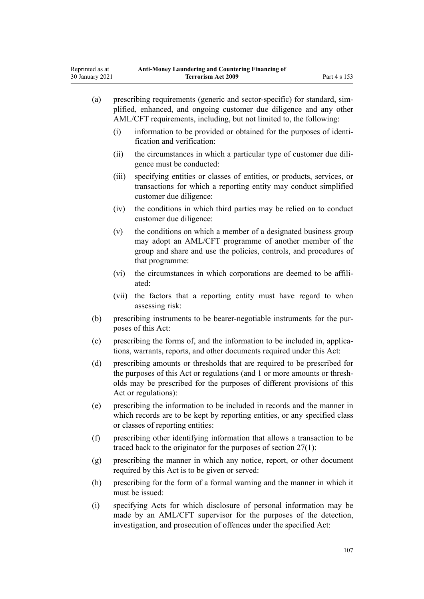| (a) | prescribing requirements (generic and sector-specific) for standard, sim-<br>plified, enhanced, and ongoing customer due diligence and any other<br>AML/CFT requirements, including, but not limited to, the following:                                  |                                                                                                                                                                                                                    |  |  |
|-----|----------------------------------------------------------------------------------------------------------------------------------------------------------------------------------------------------------------------------------------------------------|--------------------------------------------------------------------------------------------------------------------------------------------------------------------------------------------------------------------|--|--|
|     | (i)                                                                                                                                                                                                                                                      | information to be provided or obtained for the purposes of identi-<br>fication and verification:                                                                                                                   |  |  |
|     | (ii)                                                                                                                                                                                                                                                     | the circumstances in which a particular type of customer due dili-<br>gence must be conducted:                                                                                                                     |  |  |
|     | (iii)                                                                                                                                                                                                                                                    | specifying entities or classes of entities, or products, services, or<br>transactions for which a reporting entity may conduct simplified<br>customer due diligence:                                               |  |  |
|     | (iv)                                                                                                                                                                                                                                                     | the conditions in which third parties may be relied on to conduct<br>customer due diligence:                                                                                                                       |  |  |
|     | (v)                                                                                                                                                                                                                                                      | the conditions on which a member of a designated business group<br>may adopt an AML/CFT programme of another member of the<br>group and share and use the policies, controls, and procedures of<br>that programme: |  |  |
|     | (vi)                                                                                                                                                                                                                                                     | the circumstances in which corporations are deemed to be affili-<br>ated:                                                                                                                                          |  |  |
|     | (vii)                                                                                                                                                                                                                                                    | the factors that a reporting entity must have regard to when<br>assessing risk:                                                                                                                                    |  |  |
| (b) | prescribing instruments to be bearer-negotiable instruments for the pur-<br>poses of this Act:                                                                                                                                                           |                                                                                                                                                                                                                    |  |  |
| (c) | prescribing the forms of, and the information to be included in, applica-<br>tions, warrants, reports, and other documents required under this Act:                                                                                                      |                                                                                                                                                                                                                    |  |  |
| (d) | prescribing amounts or thresholds that are required to be prescribed for<br>the purposes of this Act or regulations (and 1 or more amounts or thresh-<br>olds may be prescribed for the purposes of different provisions of this<br>Act or regulations): |                                                                                                                                                                                                                    |  |  |
| (e) | prescribing the information to be included in records and the manner in<br>which records are to be kept by reporting entities, or any specified class<br>or classes of reporting entities:                                                               |                                                                                                                                                                                                                    |  |  |
| (f) |                                                                                                                                                                                                                                                          | prescribing other identifying information that allows a transaction to be<br>traced back to the originator for the purposes of section $27(1)$ :                                                                   |  |  |
| (g) | prescribing the manner in which any notice, report, or other document<br>required by this Act is to be given or served:                                                                                                                                  |                                                                                                                                                                                                                    |  |  |
| (h) |                                                                                                                                                                                                                                                          | prescribing for the form of a formal warning and the manner in which it<br>must be issued:                                                                                                                         |  |  |
|     |                                                                                                                                                                                                                                                          |                                                                                                                                                                                                                    |  |  |

(i) specifying Acts for which disclosure of personal information may be made by an AML/CFT supervisor for the purposes of the detection, investigation, and prosecution of offences under the specified Act: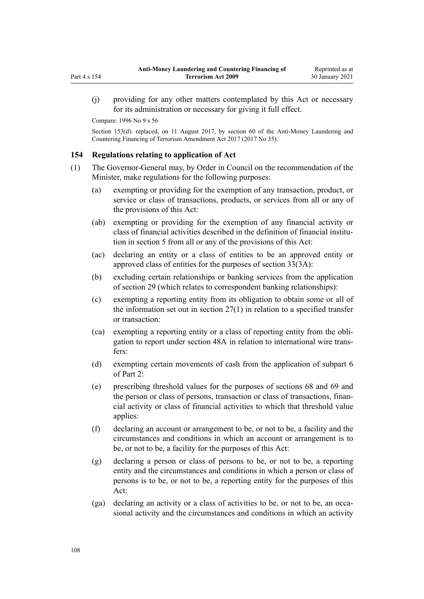(j) providing for any other matters contemplated by this Act or necessary for its administration or necessary for giving it full effect.

Compare: 1996 No 9 [s 56](http://legislation.govt.nz/pdflink.aspx?id=DLM374191)

Section 153(d): replaced, on 11 August 2017, by [section 60](http://legislation.govt.nz/pdflink.aspx?id=DLM7161343) of the Anti-Money Laundering and Countering Financing of Terrorism Amendment Act 2017 (2017 No 35).

## **154 Regulations relating to application of Act**

- (1) The Governor-General may, by Order in Council on the recommendation of the Minister, make regulations for the following purposes:
	- (a) exempting or providing for the exemption of any transaction, product, or service or class of transactions, products, or services from all or any of the provisions of this Act:
	- (ab) exempting or providing for the exemption of any financial activity or class of financial activities described in the definition of financial institution in [section 5](#page-9-0) from all or any of the provisions of this Act:
	- (ac) declaring an entity or a class of entities to be an approved entity or approved class of entities for the purposes of [section 33\(3A\):](#page-45-0)
	- (b) excluding certain relationships or banking services from the application of [section 29](#page-42-0) (which relates to correspondent banking relationships):
	- (c) exempting a reporting entity from its obligation to obtain some or all of the information set out in section  $27(1)$  in relation to a specified transfer or transaction:
	- (ca) exempting a reporting entity or a class of reporting entity from the obligation to report under [section 48A](#page-56-0) in relation to international wire transfers:
	- (d) exempting certain movements of cash from the application of [subpart 6](#page-68-0) of Part 2:
	- (e) prescribing threshold values for the purposes of [sections 68](#page-68-0) and [69](#page-69-0) and the person or class of persons, transaction or class of transactions, financial activity or class of financial activities to which that threshold value applies:
	- (f) declaring an account or arrangement to be, or not to be, a facility and the circumstances and conditions in which an account or arrangement is to be, or not to be, a facility for the purposes of this Act:
	- (g) declaring a person or class of persons to be, or not to be, a reporting entity and the circumstances and conditions in which a person or class of persons is to be, or not to be, a reporting entity for the purposes of this Act:
	- (ga) declaring an activity or a class of activities to be, or not to be, an occasional activity and the circumstances and conditions in which an activity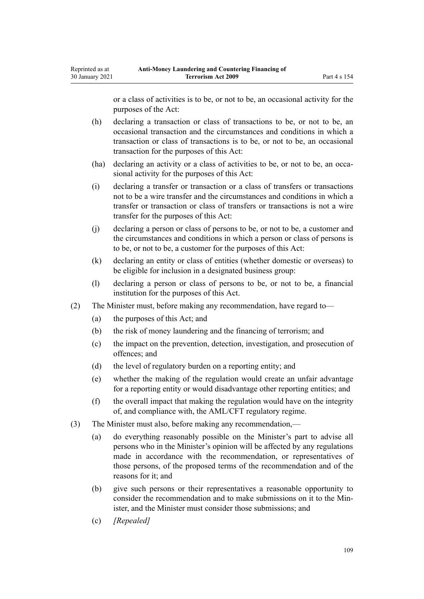or a class of activities is to be, or not to be, an occasional activity for the purposes of the Act:

- (h) declaring a transaction or class of transactions to be, or not to be, an occasional transaction and the circumstances and conditions in which a transaction or class of transactions is to be, or not to be, an occasional transaction for the purposes of this Act:
- (ha) declaring an activity or a class of activities to be, or not to be, an occasional activity for the purposes of this Act:
- (i) declaring a transfer or transaction or a class of transfers or transactions not to be a wire transfer and the circumstances and conditions in which a transfer or transaction or class of transfers or transactions is not a wire transfer for the purposes of this Act:
- (j) declaring a person or class of persons to be, or not to be, a customer and the circumstances and conditions in which a person or class of persons is to be, or not to be, a customer for the purposes of this Act:
- (k) declaring an entity or class of entities (whether domestic or overseas) to be eligible for inclusion in a designated business group:
- (l) declaring a person or class of persons to be, or not to be, a financial institution for the purposes of this Act.
- (2) The Minister must, before making any recommendation, have regard to—
	- (a) the purposes of this Act; and
	- (b) the risk of money laundering and the financing of terrorism; and
	- (c) the impact on the prevention, detection, investigation, and prosecution of offences; and
	- (d) the level of regulatory burden on a reporting entity; and
	- (e) whether the making of the regulation would create an unfair advantage for a reporting entity or would disadvantage other reporting entities; and
	- (f) the overall impact that making the regulation would have on the integrity of, and compliance with, the AML/CFT regulatory regime.
- (3) The Minister must also, before making any recommendation,—
	- (a) do everything reasonably possible on the Minister's part to advise all persons who in the Minister's opinion will be affected by any regulations made in accordance with the recommendation, or representatives of those persons, of the proposed terms of the recommendation and of the reasons for it; and
	- (b) give such persons or their representatives a reasonable opportunity to consider the recommendation and to make submissions on it to the Minister, and the Minister must consider those submissions; and
	- (c) *[Repealed]*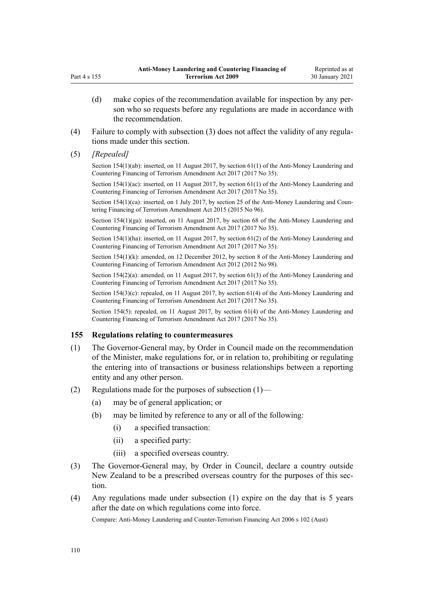- (d) make copies of the recommendation available for inspection by any person who so requests before any regulations are made in accordance with the recommendation.
- (4) Failure to comply with subsection (3) does not affect the validity of any regulations made under this section.
- (5) *[Repealed]*

Part 4 s 155

Section 154(1)(ab): inserted, on 11 August 2017, by [section 61\(1\)](http://legislation.govt.nz/pdflink.aspx?id=DLM7161344) of the Anti-Money Laundering and Countering Financing of Terrorism Amendment Act 2017 (2017 No 35).

Section 154(1)(ac): inserted, on 11 August 2017, by [section 61\(1\)](http://legislation.govt.nz/pdflink.aspx?id=DLM7161344) of the Anti-Money Laundering and Countering Financing of Terrorism Amendment Act 2017 (2017 No 35).

Section 154(1)(ca): inserted, on 1 July 2017, by [section 25](http://legislation.govt.nz/pdflink.aspx?id=DLM6602244) of the Anti-Money Laundering and Countering Financing of Terrorism Amendment Act 2015 (2015 No 96).

Section 154(1)(ga): inserted, on 11 August 2017, by [section 68](http://legislation.govt.nz/pdflink.aspx?id=DLM7340644) of the Anti-Money Laundering and Countering Financing of Terrorism Amendment Act 2017 (2017 No 35).

Section 154(1)(ha): inserted, on 11 August 2017, by [section 61\(2\)](http://legislation.govt.nz/pdflink.aspx?id=DLM7161344) of the Anti-Money Laundering and Countering Financing of Terrorism Amendment Act 2017 (2017 No 35).

Section 154(1)(k): amended, on 12 December 2012, by [section 8](http://legislation.govt.nz/pdflink.aspx?id=DLM4989306) of the Anti-Money Laundering and Countering Financing of Terrorism Amendment Act 2012 (2012 No 98).

Section 154(2)(a): amended, on 11 August 2017, by [section 61\(3\)](http://legislation.govt.nz/pdflink.aspx?id=DLM7161344) of the Anti-Money Laundering and Countering Financing of Terrorism Amendment Act 2017 (2017 No 35).

Section 154(3)(c): repealed, on 11 August 2017, by [section 61\(4\)](http://legislation.govt.nz/pdflink.aspx?id=DLM7161344) of the Anti-Money Laundering and Countering Financing of Terrorism Amendment Act 2017 (2017 No 35).

Section 154(5): repealed, on 11 August 2017, by [section 61\(4\)](http://legislation.govt.nz/pdflink.aspx?id=DLM7161344) of the Anti-Money Laundering and Countering Financing of Terrorism Amendment Act 2017 (2017 No 35).

### **155 Regulations relating to countermeasures**

- (1) The Governor-General may, by Order in Council made on the recommendation of the Minister, make regulations for, or in relation to, prohibiting or regulating the entering into of transactions or business relationships between a reporting entity and any other person.
- (2) Regulations made for the purposes of subsection (1)—
	- (a) may be of general application; or
	- (b) may be limited by reference to any or all of the following:
		- (i) a specified transaction:
		- (ii) a specified party:
		- (iii) a specified overseas country.
- (3) The Governor-General may, by Order in Council, declare a country outside New Zealand to be a prescribed overseas country for the purposes of this section.
- (4) Any regulations made under subsection (1) expire on the day that is 5 years after the date on which regulations come into force.

Compare: Anti-Money Laundering and Counter-Terrorism Financing Act 2006 s 102 (Aust)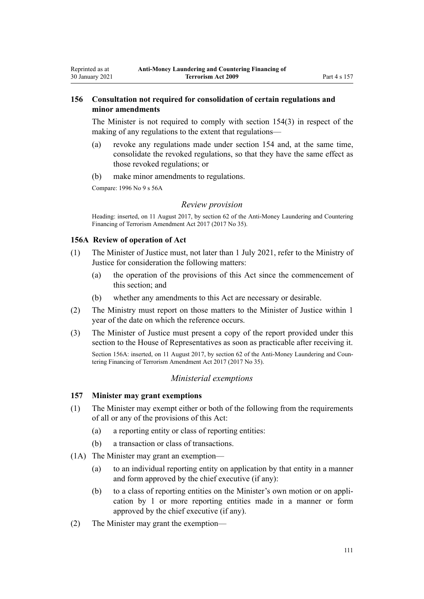# **156 Consultation not required for consolidation of certain regulations and minor amendments**

The Minister is not required to comply with [section 154\(3\)](#page-107-0) in respect of the making of any regulations to the extent that regulations—

- (a) revoke any regulations made under section 154 and, at the same time, consolidate the revoked regulations, so that they have the same effect as those revoked regulations; or
- (b) make minor amendments to regulations.

Compare: 1996 No 9 [s 56A](http://legislation.govt.nz/pdflink.aspx?id=DLM374192)

<span id="page-110-0"></span>Reprinted as at 30 January 2021

### *Review provision*

Heading: inserted, on 11 August 2017, by [section 62](http://legislation.govt.nz/pdflink.aspx?id=DLM7161345) of the Anti-Money Laundering and Countering Financing of Terrorism Amendment Act 2017 (2017 No 35).

### **156A Review of operation of Act**

- (1) The Minister of Justice must, not later than 1 July 2021, refer to the Ministry of Justice for consideration the following matters:
	- (a) the operation of the provisions of this Act since the commencement of this section; and
	- (b) whether any amendments to this Act are necessary or desirable.
- (2) The Ministry must report on those matters to the Minister of Justice within 1 year of the date on which the reference occurs.
- (3) The Minister of Justice must present a copy of the report provided under this section to the House of Representatives as soon as practicable after receiving it.

Section 156A: inserted, on 11 August 2017, by [section 62](http://legislation.govt.nz/pdflink.aspx?id=DLM7161345) of the Anti-Money Laundering and Countering Financing of Terrorism Amendment Act 2017 (2017 No 35).

## *Ministerial exemptions*

# **157 Minister may grant exemptions**

- (1) The Minister may exempt either or both of the following from the requirements of all or any of the provisions of this Act:
	- (a) a reporting entity or class of reporting entities:
	- (b) a transaction or class of transactions.
- (1A) The Minister may grant an exemption—
	- (a) to an individual reporting entity on application by that entity in a manner and form approved by the chief executive (if any):
	- (b) to a class of reporting entities on the Minister's own motion or on application by 1 or more reporting entities made in a manner or form approved by the chief executive (if any).
- (2) The Minister may grant the exemption—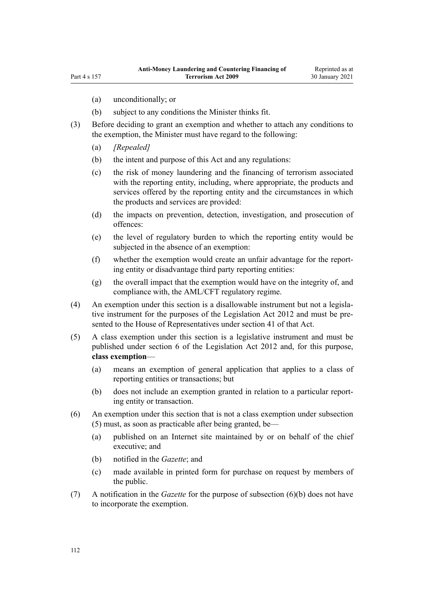- (a) unconditionally; or
- (b) subject to any conditions the Minister thinks fit.
- (3) Before deciding to grant an exemption and whether to attach any conditions to the exemption, the Minister must have regard to the following:
	- (a) *[Repealed]*
	- (b) the intent and purpose of this Act and any regulations:
	- (c) the risk of money laundering and the financing of terrorism associated with the reporting entity, including, where appropriate, the products and services offered by the reporting entity and the circumstances in which the products and services are provided:
	- (d) the impacts on prevention, detection, investigation, and prosecution of offences:
	- (e) the level of regulatory burden to which the reporting entity would be subjected in the absence of an exemption:
	- (f) whether the exemption would create an unfair advantage for the reporting entity or disadvantage third party reporting entities:
	- (g) the overall impact that the exemption would have on the integrity of, and compliance with, the AML/CFT regulatory regime.
- (4) An exemption under this section is a disallowable instrument but not a legislative instrument for the purposes of the [Legislation Act 2012](http://legislation.govt.nz/pdflink.aspx?id=DLM2997643) and must be presented to the House of Representatives under [section 41](http://legislation.govt.nz/pdflink.aspx?id=DLM2998573) of that Act.
- (5) A class exemption under this section is a legislative instrument and must be published under [section 6](http://legislation.govt.nz/pdflink.aspx?id=DLM2997696) of the Legislation Act 2012 and, for this purpose, **class exemption**—
	- (a) means an exemption of general application that applies to a class of reporting entities or transactions; but
	- (b) does not include an exemption granted in relation to a particular reporting entity or transaction.
- (6) An exemption under this section that is not a class exemption under subsection (5) must, as soon as practicable after being granted, be—
	- (a) published on an Internet site maintained by or on behalf of the chief executive; and
	- (b) notified in the *Gazette*; and
	- (c) made available in printed form for purchase on request by members of the public.
- (7) A notification in the *Gazette* for the purpose of subsection (6)(b) does not have to incorporate the exemption.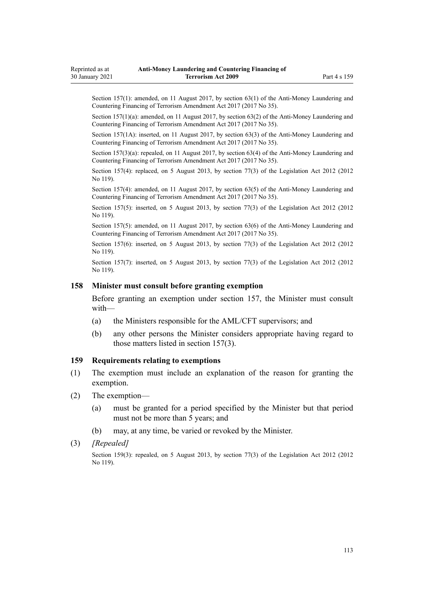Section 157(1): amended, on 11 August 2017, by [section 63\(1\)](http://legislation.govt.nz/pdflink.aspx?id=DLM7340637) of the Anti-Money Laundering and Countering Financing of Terrorism Amendment Act 2017 (2017 No 35).

Section 157(1)(a): amended, on 11 August 2017, by [section 63\(2\)](http://legislation.govt.nz/pdflink.aspx?id=DLM7340637) of the Anti-Money Laundering and Countering Financing of Terrorism Amendment Act 2017 (2017 No 35).

Section 157(1A): inserted, on 11 August 2017, by [section 63\(3\)](http://legislation.govt.nz/pdflink.aspx?id=DLM7340637) of the Anti-Money Laundering and Countering Financing of Terrorism Amendment Act 2017 (2017 No 35).

Section 157(3)(a): repealed, on 11 August 2017, by [section 63\(4\)](http://legislation.govt.nz/pdflink.aspx?id=DLM7340637) of the Anti-Money Laundering and Countering Financing of Terrorism Amendment Act 2017 (2017 No 35).

Section 157(4): replaced, on 5 August 2013, by [section 77\(3\)](http://legislation.govt.nz/pdflink.aspx?id=DLM2998633) of the Legislation Act 2012 (2012 No 119).

Section 157(4): amended, on 11 August 2017, by [section 63\(5\)](http://legislation.govt.nz/pdflink.aspx?id=DLM7340637) of the Anti-Money Laundering and Countering Financing of Terrorism Amendment Act 2017 (2017 No 35).

Section 157(5): inserted, on 5 August 2013, by [section 77\(3\)](http://legislation.govt.nz/pdflink.aspx?id=DLM2998633) of the Legislation Act 2012 (2012) No 119).

Section 157(5): amended, on 11 August 2017, by [section 63\(6\)](http://legislation.govt.nz/pdflink.aspx?id=DLM7340637) of the Anti-Money Laundering and Countering Financing of Terrorism Amendment Act 2017 (2017 No 35).

Section 157(6): inserted, on 5 August 2013, by [section 77\(3\)](http://legislation.govt.nz/pdflink.aspx?id=DLM2998633) of the Legislation Act 2012 (2012) No 119).

Section 157(7): inserted, on 5 August 2013, by [section 77\(3\)](http://legislation.govt.nz/pdflink.aspx?id=DLM2998633) of the Legislation Act 2012 (2012) No 119).

### **158 Minister must consult before granting exemption**

Before granting an exemption under [section 157](#page-110-0), the Minister must consult with—

- (a) the Ministers responsible for the AML/CFT supervisors; and
- (b) any other persons the Minister considers appropriate having regard to those matters listed in section 157(3).

### **159 Requirements relating to exemptions**

- (1) The exemption must include an explanation of the reason for granting the exemption.
- (2) The exemption—
	- (a) must be granted for a period specified by the Minister but that period must not be more than 5 years; and
	- (b) may, at any time, be varied or revoked by the Minister.

Section 159(3): repealed, on 5 August 2013, by [section 77\(3\)](http://legislation.govt.nz/pdflink.aspx?id=DLM2998633) of the Legislation Act 2012 (2012 No 119).

<sup>(3)</sup> *[Repealed]*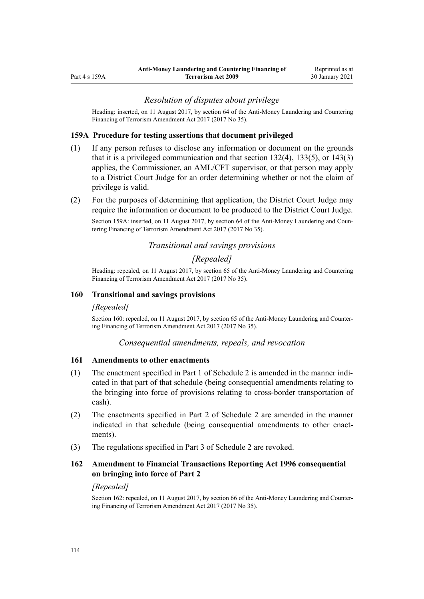### *Resolution of disputes about privilege*

<span id="page-113-0"></span>Heading: inserted, on 11 August 2017, by [section 64](http://legislation.govt.nz/pdflink.aspx?id=DLM7340638) of the Anti-Money Laundering and Countering Financing of Terrorism Amendment Act 2017 (2017 No 35).

### **159A Procedure for testing assertions that document privileged**

- (1) If any person refuses to disclose any information or document on the grounds that it is a privileged communication and that [section 132\(4\),](#page-92-0) [133\(5\),](#page-93-0) or [143\(3\)](#page-100-0) applies, the Commissioner, an AML/CFT supervisor, or that person may apply to a District Court Judge for an order determining whether or not the claim of privilege is valid.
- (2) For the purposes of determining that application, the District Court Judge may require the information or document to be produced to the District Court Judge.

Section 159A: inserted, on 11 August 2017, by [section 64](http://legislation.govt.nz/pdflink.aspx?id=DLM7340638) of the Anti-Money Laundering and Countering Financing of Terrorism Amendment Act 2017 (2017 No 35).

# *Transitional and savings provisions*

## *[Repealed]*

Heading: repealed, on 11 August 2017, by [section 65](http://legislation.govt.nz/pdflink.aspx?id=DLM7340641) of the Anti-Money Laundering and Countering Financing of Terrorism Amendment Act 2017 (2017 No 35).

### **160 Transitional and savings provisions**

# *[Repealed]*

Section 160: repealed, on 11 August 2017, by [section 65](http://legislation.govt.nz/pdflink.aspx?id=DLM7340641) of the Anti-Money Laundering and Countering Financing of Terrorism Amendment Act 2017 (2017 No 35).

### *Consequential amendments, repeals, and revocation*

#### **161 Amendments to other enactments**

- (1) The enactment specified in [Part 1](#page-118-0) of Schedule 2 is amended in the manner indicated in that part of that schedule (being consequential amendments relating to the bringing into force of provisions relating to cross-border transportation of cash).
- (2) The enactments specified in [Part 2](#page-118-0) of Schedule 2 are amended in the manner indicated in that schedule (being consequential amendments to other enactments).
- (3) The regulations specified in [Part 3](#page-120-0) of Schedule 2 are revoked.

# **162 Amendment to Financial Transactions Reporting Act 1996 consequential on bringing into force of Part 2**

#### *[Repealed]*

Section 162: repealed, on 11 August 2017, by [section 66](http://legislation.govt.nz/pdflink.aspx?id=DLM7161354) of the Anti-Money Laundering and Countering Financing of Terrorism Amendment Act 2017 (2017 No 35).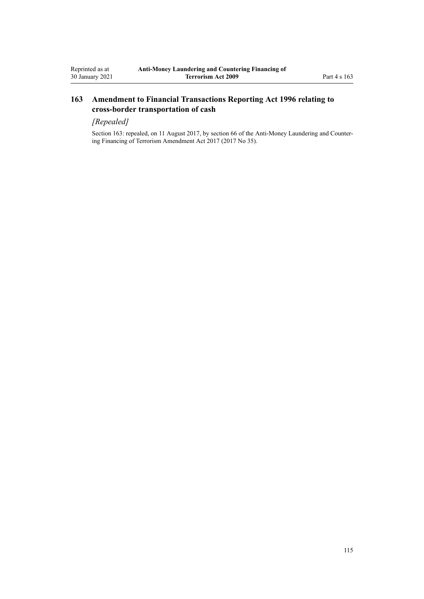# **163 Amendment to Financial Transactions Reporting Act 1996 relating to cross-border transportation of cash**

# *[Repealed]*

Section 163: repealed, on 11 August 2017, by [section 66](http://legislation.govt.nz/pdflink.aspx?id=DLM7161354) of the Anti-Money Laundering and Countering Financing of Terrorism Amendment Act 2017 (2017 No 35).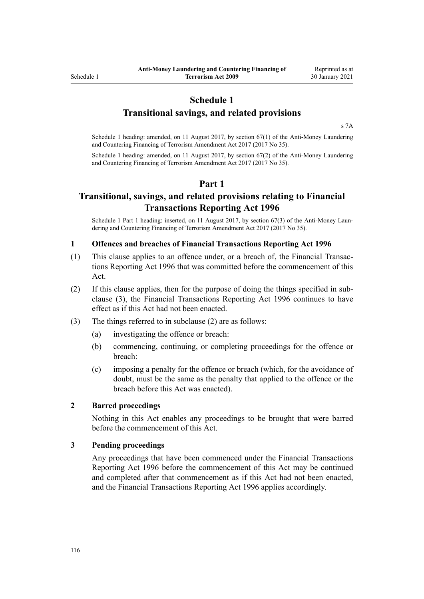# **Schedule 1**

**Transitional savings, and related provisions**

[s 7A](#page-30-0)

Schedule 1 heading: amended, on 11 August 2017, by [section 67\(1\)](http://legislation.govt.nz/pdflink.aspx?id=DLM7340642) of the Anti-Money Laundering and Countering Financing of Terrorism Amendment Act 2017 (2017 No 35).

Schedule 1 heading: amended, on 11 August 2017, by [section 67\(2\)](http://legislation.govt.nz/pdflink.aspx?id=DLM7340642) of the Anti-Money Laundering and Countering Financing of Terrorism Amendment Act 2017 (2017 No 35).

# **Part 1**

# **Transitional, savings, and related provisions relating to Financial Transactions Reporting Act 1996**

Schedule 1 Part 1 heading: inserted, on 11 August 2017, by [section 67\(3\)](http://legislation.govt.nz/pdflink.aspx?id=DLM7340642) of the Anti-Money Laundering and Countering Financing of Terrorism Amendment Act 2017 (2017 No 35).

### **1 Offences and breaches of Financial Transactions Reporting Act 1996**

- (1) This clause applies to an offence under, or a breach of, the [Financial Transac](http://legislation.govt.nz/pdflink.aspx?id=DLM373803)[tions Reporting Act 1996](http://legislation.govt.nz/pdflink.aspx?id=DLM373803) that was committed before the commencement of this Act.
- (2) If this clause applies, then for the purpose of doing the things specified in subclause (3), the [Financial Transactions Reporting Act 1996](http://legislation.govt.nz/pdflink.aspx?id=DLM373803) continues to have effect as if this Act had not been enacted.
- (3) The things referred to in subclause (2) are as follows:
	- (a) investigating the offence or breach:
	- (b) commencing, continuing, or completing proceedings for the offence or breach:
	- (c) imposing a penalty for the offence or breach (which, for the avoidance of doubt, must be the same as the penalty that applied to the offence or the breach before this Act was enacted).

### **2 Barred proceedings**

Nothing in this Act enables any proceedings to be brought that were barred before the commencement of this Act.

### **3 Pending proceedings**

Any proceedings that have been commenced under the [Financial Transactions](http://legislation.govt.nz/pdflink.aspx?id=DLM373803) [Reporting Act 1996](http://legislation.govt.nz/pdflink.aspx?id=DLM373803) before the commencement of this Act may be continued and completed after that commencement as if this Act had not been enacted, and the Financial Transactions Reporting Act 1996 applies accordingly.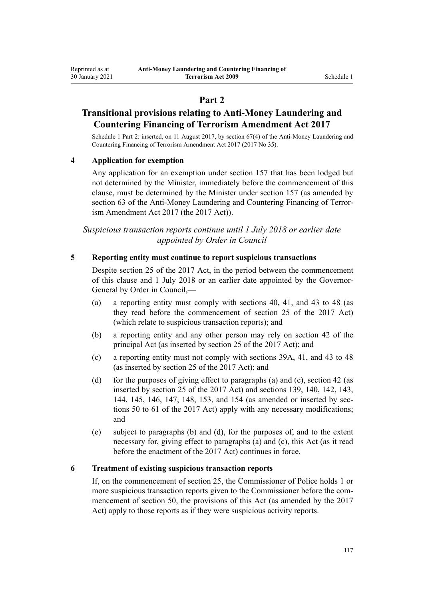# **Part 2**

# **Transitional provisions relating to Anti-Money Laundering and Countering Financing of Terrorism Amendment Act 2017**

Schedule 1 Part 2: inserted, on 11 August 2017, by [section 67\(4\)](http://legislation.govt.nz/pdflink.aspx?id=DLM7340642) of the Anti-Money Laundering and Countering Financing of Terrorism Amendment Act 2017 (2017 No 35).

# **4 Application for exemption**

Any application for an exemption under [section 157](#page-110-0) that has been lodged but not determined by the Minister, immediately before the commencement of this clause, must be determined by the Minister under section 157 (as amended by [section 63](http://legislation.govt.nz/pdflink.aspx?id=DLM7340637) of the Anti-Money Laundering and Countering Financing of Terrorism Amendment Act 2017 (the 2017 Act)).

*Suspicious transaction reports continue until 1 July 2018 or earlier date appointed by Order in Council*

### **5 Reporting entity must continue to report suspicious transactions**

Despite [section 25](http://legislation.govt.nz/pdflink.aspx?id=DLM7161289) of the 2017 Act, in the period between the commencement of this clause and 1 July 2018 or an earlier date appointed by the Governor-General by Order in Council,—

- (a) a reporting entity must comply with [sections 40,](#page-50-0) [41,](#page-51-0) and [43 to 48](#page-52-0) (as they read before the commencement of [section 25](http://legislation.govt.nz/pdflink.aspx?id=DLM7161289) of the 2017 Act) (which relate to suspicious transaction reports); and
- (b) a reporting entity and any other person may rely on [section 42](#page-51-0) of the principal Act (as inserted by [section 25](http://legislation.govt.nz/pdflink.aspx?id=DLM7161289) of the 2017 Act); and
- (c) a reporting entity must not comply with [sections 39A,](#page-50-0) [41,](#page-51-0) and [43 to 48](#page-52-0) (as inserted by [section 25](http://legislation.govt.nz/pdflink.aspx?id=DLM7161289) of the 2017 Act); and
- (d) for the purposes of giving effect to paragraphs (a) and (c), [section 42](#page-51-0) (as inserted by [section 25](http://legislation.govt.nz/pdflink.aspx?id=DLM7161289) of the 2017 Act) and [sections 139,](#page-96-0) [140](#page-97-0), [142,](#page-99-0) [143](#page-100-0), [144](#page-101-0), [145,](#page-101-0) [146,](#page-103-0) [147,](#page-103-0) [148,](#page-104-0) [153,](#page-105-0) and [154](#page-107-0) (as amended or inserted by [sec](http://legislation.govt.nz/pdflink.aspx?id=DLM7161329)[tions 50 to 61](http://legislation.govt.nz/pdflink.aspx?id=DLM7161329) of the 2017 Act) apply with any necessary modifications; and
- (e) subject to paragraphs (b) and (d), for the purposes of, and to the extent necessary for, giving effect to paragraphs (a) and (c), this Act (as it read before the enactment of the 2017 Act) continues in force.

### **6 Treatment of existing suspicious transaction reports**

If, on the commencement of [section 25](http://legislation.govt.nz/pdflink.aspx?id=DLM7161289), the Commissioner of Police holds 1 or more suspicious transaction reports given to the Commissioner before the commencement of [section 50](http://legislation.govt.nz/pdflink.aspx?id=DLM7161329), the provisions of this Act (as amended by the 2017 Act) apply to those reports as if they were suspicious activity reports.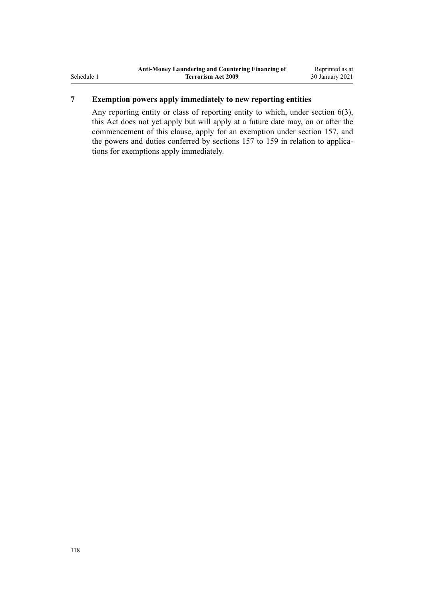# **7 Exemption powers apply immediately to new reporting entities**

Any reporting entity or class of reporting entity to which, under [section 6\(3\)](#page-28-0), this Act does not yet apply but will apply at a future date may, on or after the commencement of this clause, apply for an exemption under [section 157,](#page-110-0) and the powers and duties conferred by sections 157 to 159 in relation to applications for exemptions apply immediately.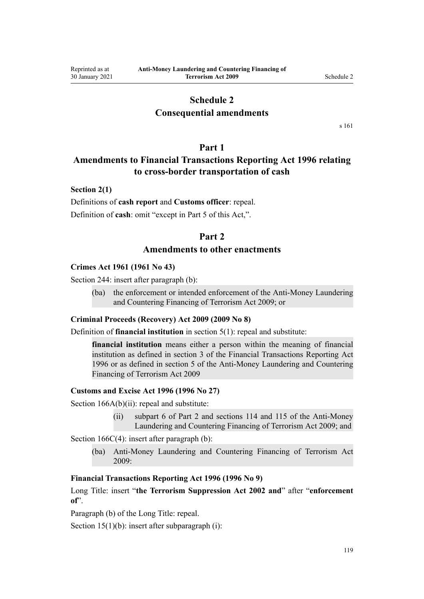# **Schedule 2**

# **Consequential amendments**

[s 161](#page-113-0)

# **Part 1**

# <span id="page-118-0"></span>**Amendments to Financial Transactions Reporting Act 1996 relating to cross-border transportation of cash**

## **Section 2(1)**

Definitions of **cash report** and **Customs officer**: repeal. Definition of **cash**: omit "except in Part 5 of this Act,".

# **Part 2**

# **Amendments to other enactments**

### **Crimes Act 1961 (1961 No 43)**

[Section 244:](http://legislation.govt.nz/pdflink.aspx?id=DLM330403) insert after paragraph (b):

(ba) the enforcement or intended enforcement of the Anti-Money Laundering and Countering Financing of Terrorism Act 2009; or

### **Criminal Proceeds (Recovery) Act 2009 (2009 No 8)**

Definition of **financial institution** in [section 5\(1\)](http://legislation.govt.nz/pdflink.aspx?id=DLM1451012): repeal and substitute:

**financial institution** means either a person within the meaning of financial institution as defined in section 3 of the Financial Transactions Reporting Act 1996 or as defined in section 5 of the Anti-Money Laundering and Countering Financing of Terrorism Act 2009

### **Customs and Excise Act 1996 (1996 No 27)**

[Section 166A\(b\)\(ii\):](http://legislation.govt.nz/pdflink.aspx?id=DLM379246) repeal and substitute:

(ii) subpart 6 of Part 2 and sections 114 and 115 of the Anti-Money Laundering and Countering Financing of Terrorism Act 2009; and

[Section 166C\(4\):](http://legislation.govt.nz/pdflink.aspx?id=DLM379250) insert after paragraph (b):

(ba) Anti-Money Laundering and Countering Financing of Terrorism Act 2009:

# **Financial Transactions Reporting Act 1996 (1996 No 9)**

[Long Title:](http://legislation.govt.nz/pdflink.aspx?id=DLM373806) insert "**the Terrorism Suppression Act 2002 and**" after "**enforcement of**".

Paragraph (b) of the Long Title: repeal.

[Section 15\(1\)\(b\):](http://legislation.govt.nz/pdflink.aspx?id=DLM373899) insert after subparagraph (i):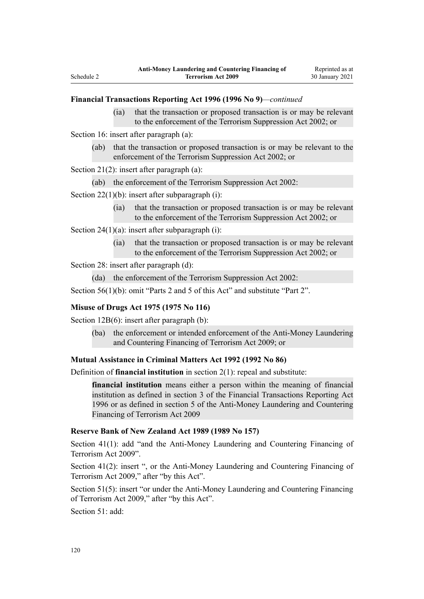### **Financial Transactions Reporting Act 1996 (1996 No 9)***—continued*

(ia) that the transaction or proposed transaction is or may be relevant to the enforcement of the Terrorism Suppression Act 2002; or

[Section 16](http://legislation.govt.nz/pdflink.aspx?id=DLM374103): insert after paragraph (a):

(ab) that the transaction or proposed transaction is or may be relevant to the enforcement of the Terrorism Suppression Act 2002; or

[Section 21\(2\)](http://legislation.govt.nz/pdflink.aspx?id=DLM374114): insert after paragraph (a):

(ab) the enforcement of the Terrorism Suppression Act 2002:

[Section 22\(1\)\(b\):](http://legislation.govt.nz/pdflink.aspx?id=DLM374118) insert after subparagraph (i):

(ia) that the transaction or proposed transaction is or may be relevant to the enforcement of the Terrorism Suppression Act 2002; or

[Section 24\(1\)\(a\)](http://legislation.govt.nz/pdflink.aspx?id=DLM374123): insert after subparagraph (i):

(ia) that the transaction or proposed transaction is or may be relevant to the enforcement of the Terrorism Suppression Act 2002; or

Section 28: insert after paragraph (d):

(da) the enforcement of the Terrorism Suppression Act 2002:

[Section 56\(1\)\(b\):](http://legislation.govt.nz/pdflink.aspx?id=DLM374191) omit "Parts 2 and 5 of this Act" and substitute "Part 2".

## **Misuse of Drugs Act 1975 (1975 No 116)**

[Section 12B\(6\)](http://legislation.govt.nz/pdflink.aspx?id=DLM436285): insert after paragraph (b):

(ba) the enforcement or intended enforcement of the Anti-Money Laundering and Countering Financing of Terrorism Act 2009; or

## **Mutual Assistance in Criminal Matters Act 1992 (1992 No 86)**

Definition of **financial institution** in [section 2\(1\)](http://legislation.govt.nz/pdflink.aspx?id=DLM273063): repeal and substitute:

**financial institution** means either a person within the meaning of financial institution as defined in section 3 of the Financial Transactions Reporting Act 1996 or as defined in section 5 of the Anti-Money Laundering and Countering Financing of Terrorism Act 2009

# **Reserve Bank of New Zealand Act 1989 (1989 No 157)**

[Section 41\(1\)](http://legislation.govt.nz/pdflink.aspx?id=DLM200032): add "and the Anti-Money Laundering and Countering Financing of Terrorism Act 2009".

[Section 41\(2\):](http://legislation.govt.nz/pdflink.aspx?id=DLM200032) insert ", or the Anti-Money Laundering and Countering Financing of Terrorism Act 2009," after "by this Act".

[Section 51\(5\):](http://legislation.govt.nz/pdflink.aspx?id=DLM200048) insert "or under the Anti-Money Laundering and Countering Financing of Terrorism Act 2009," after "by this Act".

[Section 51](http://legislation.govt.nz/pdflink.aspx?id=DLM200048): add: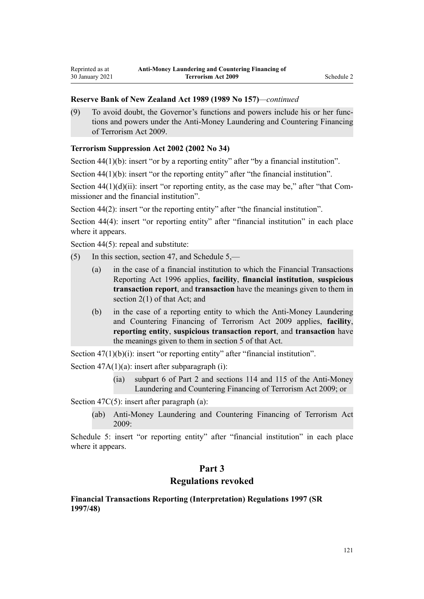## <span id="page-120-0"></span>**Reserve Bank of New Zealand Act 1989 (1989 No 157)***—continued*

(9) To avoid doubt, the Governor's functions and powers include his or her functions and powers under the Anti-Money Laundering and Countering Financing of Terrorism Act 2009.

# **Terrorism Suppression Act 2002 (2002 No 34)**

[Section 44\(1\)\(b\):](http://legislation.govt.nz/pdflink.aspx?id=DLM152784) insert "or by a reporting entity" after "by a financial institution".

[Section 44\(1\)\(b\):](http://legislation.govt.nz/pdflink.aspx?id=DLM152784) insert "or the reporting entity" after "the financial institution".

Section  $44(1)(d)(ii)$ : insert "or reporting entity, as the case may be," after "that Commissioner and the financial institution".

[Section 44\(2\)](http://legislation.govt.nz/pdflink.aspx?id=DLM152784): insert "or the reporting entity" after "the financial institution".

[Section 44\(4\):](http://legislation.govt.nz/pdflink.aspx?id=DLM152784) insert "or reporting entity" after "financial institution" in each place where it appears.

[Section 44\(5\)](http://legislation.govt.nz/pdflink.aspx?id=DLM152784): repeal and substitute:

- (5) In this section, section 47, and Schedule 5,—
	- (a) in the case of a financial institution to which the Financial Transactions Reporting Act 1996 applies, **facility**, **financial institution**, **suspicious transaction report**, and **transaction** have the meanings given to them in section 2(1) of that Act; and
	- (b) in the case of a reporting entity to which the Anti-Money Laundering and Countering Financing of Terrorism Act 2009 applies, **facility**, **reporting entity**, **suspicious transaction report**, and **transaction** have the meanings given to them in section 5 of that Act.

[Section 47\(1\)\(b\)\(i\):](http://legislation.govt.nz/pdflink.aspx?id=DLM152787) insert "or reporting entity" after "financial institution".

Section  $47A(1)(a)$ : insert after subparagraph (i):

(ia) subpart 6 of Part 2 and sections 114 and 115 of the Anti-Money Laundering and Countering Financing of Terrorism Act 2009; or

[Section 47C\(5\)](http://legislation.govt.nz/pdflink.aspx?id=DLM153305): insert after paragraph (a):

(ab) Anti-Money Laundering and Countering Financing of Terrorism Act 2009:

[Schedule 5:](http://legislation.govt.nz/pdflink.aspx?id=DLM154177) insert "or reporting entity" after "financial institution" in each place where it appears.

# **Part 3**

# **Regulations revoked**

# **Financial Transactions Reporting (Interpretation) Regulations 1997 (SR 1997/48)**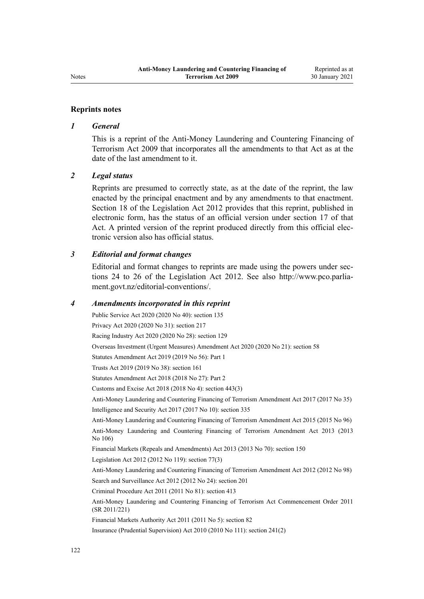### **Reprints notes**

### *1 General*

This is a reprint of the Anti-Money Laundering and Countering Financing of Terrorism Act 2009 that incorporates all the amendments to that Act as at the date of the last amendment to it.

### *2 Legal status*

Reprints are presumed to correctly state, as at the date of the reprint, the law enacted by the principal enactment and by any amendments to that enactment. [Section 18](http://legislation.govt.nz/pdflink.aspx?id=DLM2998516) of the Legislation Act 2012 provides that this reprint, published in electronic form, has the status of an official version under [section 17](http://legislation.govt.nz/pdflink.aspx?id=DLM2998515) of that Act. A printed version of the reprint produced directly from this official electronic version also has official status.

# *3 Editorial and format changes*

Editorial and format changes to reprints are made using the powers under [sec](http://legislation.govt.nz/pdflink.aspx?id=DLM2998532)[tions 24 to 26](http://legislation.govt.nz/pdflink.aspx?id=DLM2998532) of the Legislation Act 2012. See also [http://www.pco.parlia](http://www.pco.parliament.govt.nz/editorial-conventions/)[ment.govt.nz/editorial-conventions/](http://www.pco.parliament.govt.nz/editorial-conventions/).

### *4 Amendments incorporated in this reprint*

Public Service Act 2020 (2020 No 40): [section 135](http://legislation.govt.nz/pdflink.aspx?id=LMS176959) Privacy Act 2020 (2020 No 31): [section 217](http://legislation.govt.nz/pdflink.aspx?id=LMS23706) Racing Industry Act 2020 (2020 No 28): [section 129](http://legislation.govt.nz/pdflink.aspx?id=LMS292230) Overseas Investment (Urgent Measures) Amendment Act 2020 (2020 No 21): [section 58](http://legislation.govt.nz/pdflink.aspx?id=LMS342576) Statutes Amendment Act 2019 (2019 No 56): [Part 1](http://legislation.govt.nz/pdflink.aspx?id=LMS58874) Trusts Act 2019 (2019 No 38): [section 161](http://legislation.govt.nz/pdflink.aspx?id=DLM7383110) Statutes Amendment Act 2018 (2018 No 27): [Part 2](http://legislation.govt.nz/pdflink.aspx?id=LMS11629) Customs and Excise Act 2018 (2018 No 4): [section 443\(3\)](http://legislation.govt.nz/pdflink.aspx?id=DLM7039957) [Anti-Money Laundering and Countering Financing of Terrorism Amendment Act 2017](http://legislation.govt.nz/pdflink.aspx?id=DLM7161200) (2017 No 35) Intelligence and Security Act 2017 (2017 No 10): [section 335](http://legislation.govt.nz/pdflink.aspx?id=DLM6921475) [Anti-Money Laundering and Countering Financing of Terrorism Amendment Act 2015](http://legislation.govt.nz/pdflink.aspx?id=DLM6602202) (2015 No 96) [Anti-Money Laundering and Countering Financing of Terrorism Amendment Act 2013](http://legislation.govt.nz/pdflink.aspx?id=DLM5621500) (2013 No 106) Financial Markets (Repeals and Amendments) Act 2013 (2013 No 70): [section 150](http://legislation.govt.nz/pdflink.aspx?id=DLM5561603) Legislation Act 2012 (2012 No 119): [section 77\(3\)](http://legislation.govt.nz/pdflink.aspx?id=DLM2998633) [Anti-Money Laundering and Countering Financing of Terrorism Amendment Act 2012](http://legislation.govt.nz/pdflink.aspx?id=DLM4109800) (2012 No 98) Search and Surveillance Act 2012 (2012 No 24): [section 201](http://legislation.govt.nz/pdflink.aspx?id=DLM4355905) Criminal Procedure Act 2011 (2011 No 81): [section 413](http://legislation.govt.nz/pdflink.aspx?id=DLM3360714) [Anti-Money Laundering and Countering Financing of Terrorism Act Commencement Order 2011](http://legislation.govt.nz/pdflink.aspx?id=DLM3831000) (SR 2011/221) Financial Markets Authority Act 2011 (2011 No 5): [section 82](http://legislation.govt.nz/pdflink.aspx?id=DLM3231793) Insurance (Prudential Supervision) Act 2010 (2010 No 111): [section 241\(2\)](http://legislation.govt.nz/pdflink.aspx?id=DLM2478612)